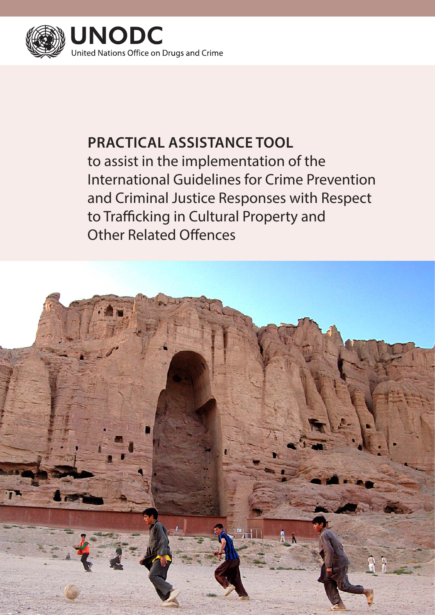

## **PRACTICAL ASSISTANCE TOOL**

to assist in the implementation of the International Guidelines for Crime Prevention and Criminal Justice Responses with Respect to Trafficking in Cultural Property and Other Related Offences

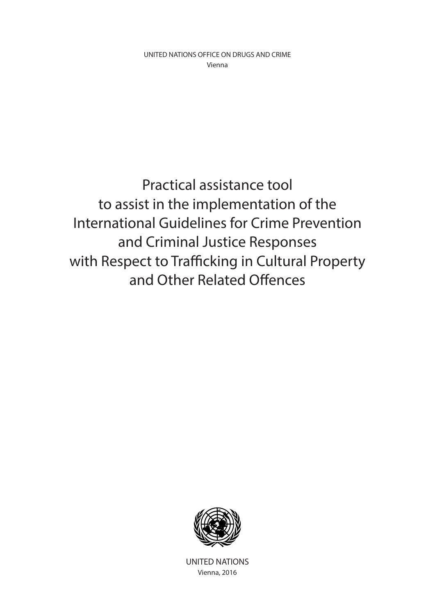UNITED NATIONS OFFICE ON DRUGS AND CRIME Vienna

Practical assistance tool to assist in the implementation of the International Guidelines for Crime Prevention and Criminal Justice Responses with Respect to Trafficking in Cultural Property and Other Related Offences



UNITED NATIONS Vienna, 2016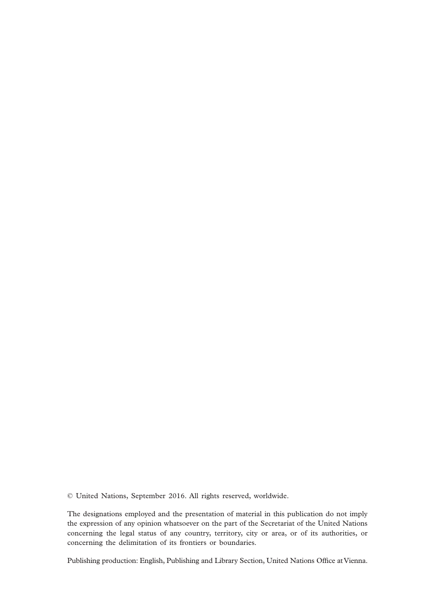© United Nations, September 2016. All rights reserved, worldwide.

The designations employed and the presentation of material in this publication do not imply the expression of any opinion whatsoever on the part of the Secretariat of the United Nations concerning the legal status of any country, territory, city or area, or of its authorities, or concerning the delimitation of its frontiers or boundaries.

Publishing production: English, Publishing and Library Section, United Nations Office at Vienna.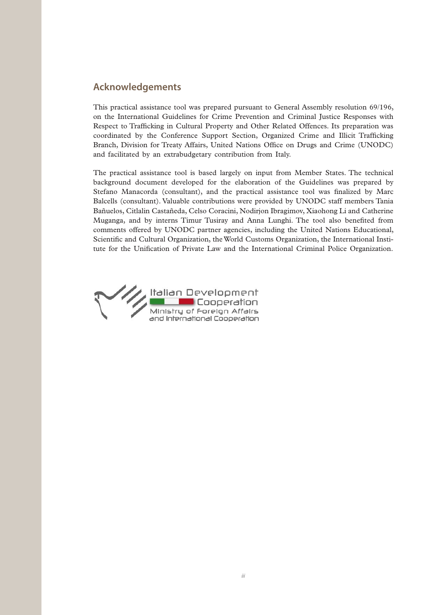## **Acknowledgements**

This practical assistance tool was prepared pursuant to General Assembly resolution 69/196, on the International Guidelines for Crime Prevention and Criminal Justice Responses with Respect to Trafficking in Cultural Property and Other Related Offences. Its preparation was coordinated by the Conference Support Section, Organized Crime and Illicit Trafficking Branch, Division for Treaty Affairs, United Nations Office on Drugs and Crime (UNODC) and facilitated by an extrabudgetary contribution from Italy.

The practical assistance tool is based largely on input from Member States. The technical background document developed for the elaboration of the Guidelines was prepared by Stefano Manacorda (consultant), and the practical assistance tool was finalized by Marc Balcells (consultant). Valuable contributions were provided by UNODC staff members Tania Bañuelos, Citlalin Castañeda, Celso Coracini, Nodirjon Ibragimov, Xiaohong Li and Catherine Muganga, and by interns Timur Tusiray and Anna Lunghi. The tool also benefited from comments offered by UNODC partner agencies, including the United Nations Educational, Scientific and Cultural Organization, the World Customs Organization, the International Institute for the Unification of Private Law and the International Criminal Police Organization.

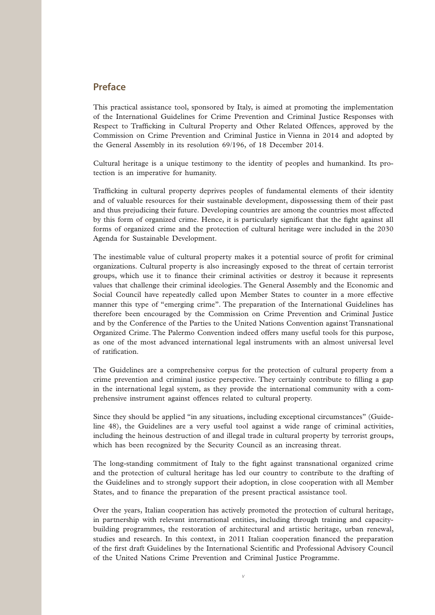## <span id="page-6-0"></span>**Preface**

This practical assistance tool, sponsored by Italy, is aimed at promoting the implementation of the International Guidelines for Crime Prevention and Criminal Justice Responses with Respect to Trafficking in Cultural Property and Other Related Offences, approved by the Commission on Crime Prevention and Criminal Justice in Vienna in 2014 and adopted by the General Assembly in its resolution 69/196, of 18 December 2014.

Cultural heritage is a unique testimony to the identity of peoples and humankind. Its protection is an imperative for humanity.

Trafficking in cultural property deprives peoples of fundamental elements of their identity and of valuable resources for their sustainable development, dispossessing them of their past and thus prejudicing their future. Developing countries are among the countries most affected by this form of organized crime. Hence, it is particularly significant that the fight against all forms of organized crime and the protection of cultural heritage were included in the 2030 Agenda for Sustainable Development.

The inestimable value of cultural property makes it a potential source of profit for criminal organizations. Cultural property is also increasingly exposed to the threat of certain terrorist groups, which use it to finance their criminal activities or destroy it because it represents values that challenge their criminal ideologies. The General Assembly and the Economic and Social Council have repeatedly called upon Member States to counter in a more effective manner this type of "emerging crime". The preparation of the International Guidelines has therefore been encouraged by the Commission on Crime Prevention and Criminal Justice and by the Conference of the Parties to the United Nations Convention against Transnational Organized Crime. The Palermo Convention indeed offers many useful tools for this purpose, as one of the most advanced international legal instruments with an almost universal level of ratification.

The Guidelines are a comprehensive corpus for the protection of cultural property from a crime prevention and criminal justice perspective. They certainly contribute to filling a gap in the international legal system, as they provide the international community with a comprehensive instrument against offences related to cultural property.

Since they should be applied "in any situations, including exceptional circumstances" (Guideline 48), the Guidelines are a very useful tool against a wide range of criminal activities, including the heinous destruction of and illegal trade in cultural property by terrorist groups, which has been recognized by the Security Council as an increasing threat.

The long-standing commitment of Italy to the fight against transnational organized crime and the protection of cultural heritage has led our country to contribute to the drafting of the Guidelines and to strongly support their adoption, in close cooperation with all Member States, and to finance the preparation of the present practical assistance tool.

Over the years, Italian cooperation has actively promoted the protection of cultural heritage, in partnership with relevant international entities, including through training and capacitybuilding programmes, the restoration of architectural and artistic heritage, urban renewal, studies and research. In this context, in 2011 Italian cooperation financed the preparation of the first draft Guidelines by the International Scientific and Professional Advisory Council of the United Nations Crime Prevention and Criminal Justice Programme.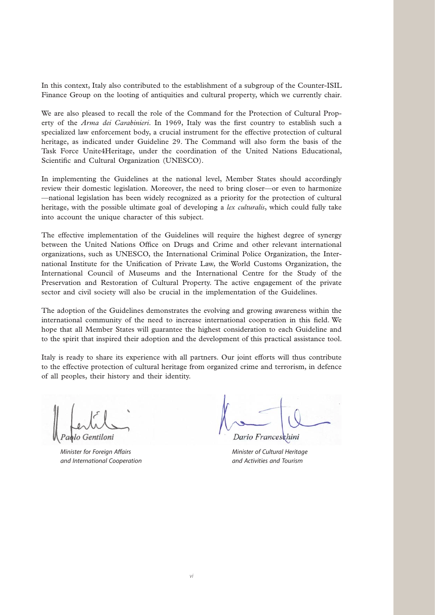In this context, Italy also contributed to the establishment of a subgroup of the Counter-ISIL Finance Group on the looting of antiquities and cultural property, which we currently chair.

We are also pleased to recall the role of the Command for the Protection of Cultural Property of the *Arma dei Carabinieri*. In 1969, Italy was the first country to establish such a specialized law enforcement body, a crucial instrument for the effective protection of cultural heritage, as indicated under Guideline 29. The Command will also form the basis of the Task Force Unite4Heritage, under the coordination of the United Nations Educational, Scientific and Cultural Organization (UNESCO).

In implementing the Guidelines at the national level, Member States should accordingly review their domestic legislation. Moreover, the need to bring closer—or even to harmonize —national legislation has been widely recognized as a priority for the protection of cultural heritage, with the possible ultimate goal of developing a *lex culturalis*, which could fully take into account the unique character of this subject.

The effective implementation of the Guidelines will require the highest degree of synergy between the United Nations Office on Drugs and Crime and other relevant international organizations, such as UNESCO, the International Criminal Police Organization, the International Institute for the Unification of Private Law, the World Customs Organization, the International Council of Museums and the International Centre for the Study of the Preservation and Restoration of Cultural Property. The active engagement of the private sector and civil society will also be crucial in the implementation of the Guidelines.

The adoption of the Guidelines demonstrates the evolving and growing awareness within the international community of the need to increase international cooperation in this field. We hope that all Member States will guarantee the highest consideration to each Guideline and to the spirit that inspired their adoption and the development of this practical assistance tool.

Italy is ready to share its experience with all partners. Our joint efforts will thus contribute to the effective protection of cultural heritage from organized crime and terrorism, in defence of all peoples, their history and their identity.

lo Gentiloni

*Minister for Foreign Affairs Minister of Cultural Heritage and International Cooperation and Activities and Tourism*

Dario Franceschini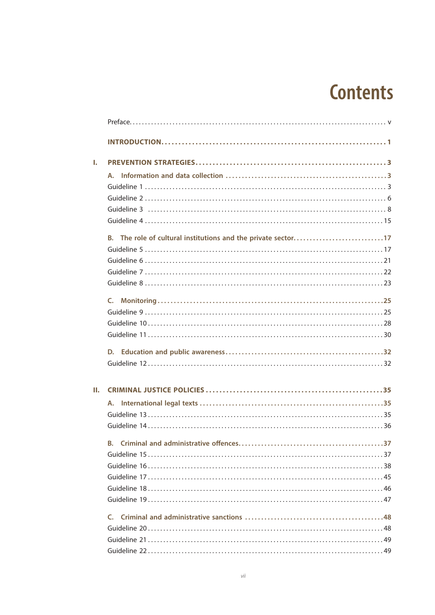## **Contents**

| I. |                                                               |
|----|---------------------------------------------------------------|
|    | B. The role of cultural institutions and the private sector17 |
|    | $\mathsf{C}$ .                                                |
| Π. | А.                                                            |
|    |                                                               |
|    | C.                                                            |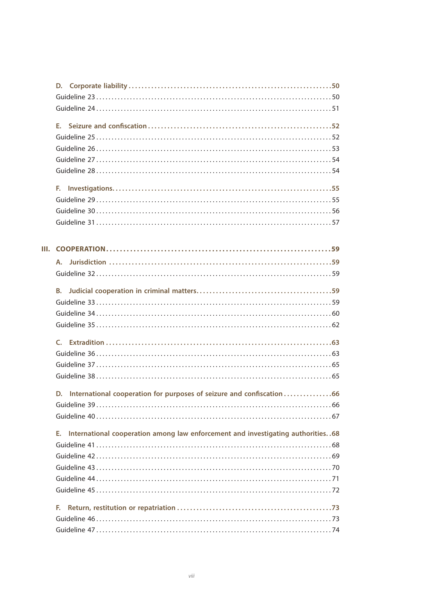|    | Е.                                                                                        |  |
|----|-------------------------------------------------------------------------------------------|--|
|    |                                                                                           |  |
|    |                                                                                           |  |
|    |                                                                                           |  |
|    |                                                                                           |  |
| Ш. |                                                                                           |  |
|    |                                                                                           |  |
|    |                                                                                           |  |
|    | В.                                                                                        |  |
|    |                                                                                           |  |
|    |                                                                                           |  |
|    |                                                                                           |  |
|    |                                                                                           |  |
|    |                                                                                           |  |
|    |                                                                                           |  |
|    |                                                                                           |  |
|    |                                                                                           |  |
|    | D. International cooperation for purposes of seizure and confiscation 66                  |  |
|    |                                                                                           |  |
|    |                                                                                           |  |
|    |                                                                                           |  |
|    | International cooperation among law enforcement and investigating authorities. . 68<br>Е. |  |
|    |                                                                                           |  |
|    |                                                                                           |  |
|    |                                                                                           |  |
|    |                                                                                           |  |
|    |                                                                                           |  |
|    | E.                                                                                        |  |
|    |                                                                                           |  |
|    |                                                                                           |  |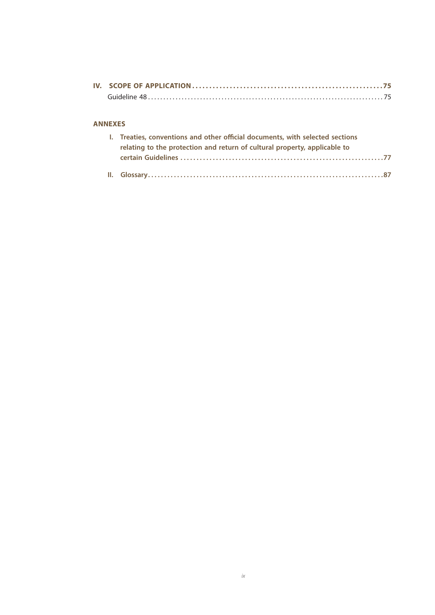## **ANNEXES**

| I. Treaties, conventions and other official documents, with selected sections |
|-------------------------------------------------------------------------------|
| relating to the protection and return of cultural property, applicable to     |
|                                                                               |
|                                                                               |
|                                                                               |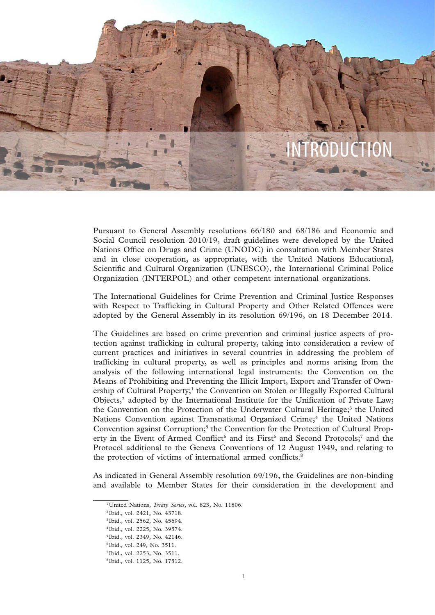<span id="page-12-0"></span>

Pursuant to General Assembly resolutions 66/180 and 68/186 and Economic and Social Council resolution 2010/19, draft guidelines were developed by the United Nations Office on Drugs and Crime (UNODC) in consultation with Member States and in close cooperation, as appropriate, with the United Nations Educational, Scientific and Cultural Organization (UNESCO), the International Criminal Police Organization (INTERPOL) and other competent international organizations.

The International Guidelines for Crime Prevention and Criminal Justice Responses with Respect to Trafficking in Cultural Property and Other Related Offences were adopted by the General Assembly in its resolution 69/196, on 18 December 2014.

The Guidelines are based on crime prevention and criminal justice aspects of protection against trafficking in cultural property, taking into consideration a review of current practices and initiatives in several countries in addressing the problem of trafficking in cultural property, as well as principles and norms arising from the analysis of the following international legal instruments: the Convention on the Means of Prohibiting and Preventing the Illicit Import, Export and Transfer of Ownership of Cultural Property;<sup>1</sup> the Convention on Stolen or Illegally Exported Cultural Objects,<sup>2</sup> adopted by the International Institute for the Unification of Private Law; the Convention on the Protection of the Underwater Cultural Heritage;<sup>3</sup> the United Nations Convention against Transnational Organized Crime;<sup>4</sup> the United Nations Convention against Corruption;<sup>5</sup> the Convention for the Protection of Cultural Property in the Event of Armed Conflict<sup>6</sup> and its First<sup>6</sup> and Second Protocols;<sup>7</sup> and the Protocol additional to the Geneva Conventions of 12 August 1949, and relating to the protection of victims of international armed conflicts.<sup>8</sup>

As indicated in General Assembly resolution 69/196, the Guidelines are non-binding and available to Member States for their consideration in the development and

<sup>&</sup>lt;sup>1</sup>United Nations, *Treaty Series*, vol. 823, No. 11806.

<sup>2</sup> Ibid., vol. 2421, No. 43718.

<sup>3</sup> Ibid., vol. 2562, No. 45694.

<sup>4</sup> Ibid., vol. 2225, No. 39574.

<sup>5</sup> Ibid., vol. 2349, No. 42146.

<sup>6</sup> Ibid., vol. 249, No. 3511.

<sup>7</sup> Ibid., vol. 2253, No. 3511.

<sup>8</sup> Ibid., vol. 1125, No. 17512.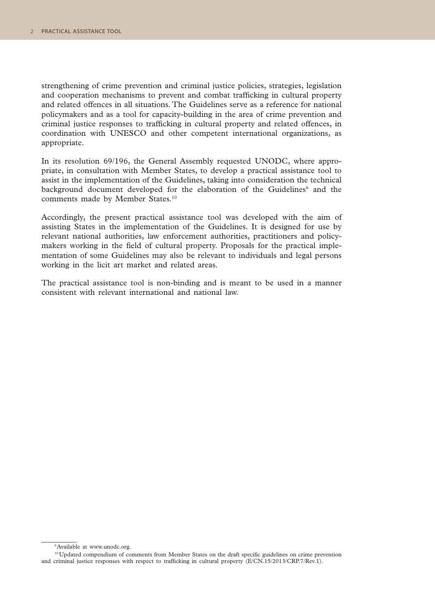strengthening of crime prevention and criminal justice policies, strategies, legislation and cooperation mechanisms to prevent and combat trafficking in cultural property and related offences in all situations. The Guidelines serve as a reference for national policymakers and as a tool for capacity-building in the area of crime prevention and criminal justice responses to trafficking in cultural property and related offences, in coordination with UNESCO and other competent international organizations, as appropriate.

In its resolution 69/196, the General Assembly requested UNODC, where appropriate, in consultation with Member States, to develop a practical assistance tool to assist in the implementation of the Guidelines, taking into consideration the technical background document developed for the elaboration of the Guidelines<sup>9</sup> and the comments made by Member States.10

Accordingly, the present practical assistance tool was developed with the aim of assisting States in the implementation of the Guidelines. It is designed for use by relevant national authorities, law enforcement authorities, practitioners and policymakers working in the field of cultural property. Proposals for the practical implementation of some Guidelines may also be relevant to individuals and legal persons working in the licit art market and related areas.

The practical assistance tool is non-binding and is meant to be used in a manner consistent with relevant international and national law.

<sup>&</sup>lt;sup>9</sup>Available at www.unodc.org.

<sup>&</sup>lt;sup>10</sup>Updated compendium of comments from Member States on the draft specific guidelines on crime prevention and criminal justice responses with respect to trafficking in cultural property (E/CN.15/2013/CRP.7/Rev.1).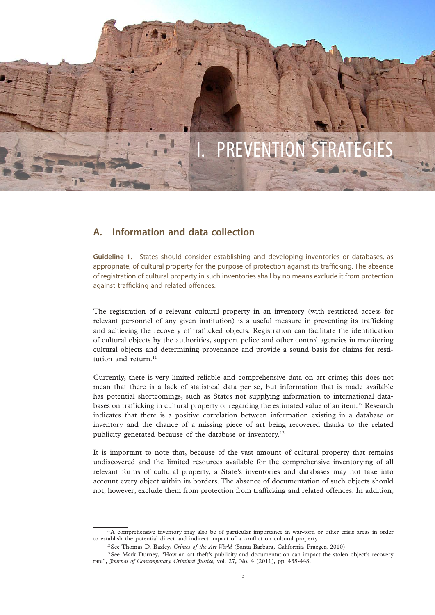# PREVENTION STRATEGIES

## <span id="page-14-0"></span>**A. Information and data collection**

**Guideline 1.** States should consider establishing and developing inventories or databases, as appropriate, of cultural property for the purpose of protection against its trafficking. The absence of registration of cultural property in such inventories shall by no means exclude it from protection against trafficking and related offences.

The registration of a relevant cultural property in an inventory (with restricted access for relevant personnel of any given institution) is a useful measure in preventing its trafficking and achieving the recovery of trafficked objects. Registration can facilitate the identification of cultural objects by the authorities, support police and other control agencies in monitoring cultural objects and determining provenance and provide a sound basis for claims for restitution and return.<sup>11</sup>

Currently, there is very limited reliable and comprehensive data on art crime; this does not mean that there is a lack of statistical data per se*,* but information that is made available has potential shortcomings, such as States not supplying information to international databases on trafficking in cultural property or regarding the estimated value of an item.12 Research indicates that there is a positive correlation between information existing in a database or inventory and the chance of a missing piece of art being recovered thanks to the related publicity generated because of the database or inventory.13

It is important to note that, because of the vast amount of cultural property that remains undiscovered and the limited resources available for the comprehensive inventorying of all relevant forms of cultural property, a State's inventories and databases may not take into account every object within its borders. The absence of documentation of such objects should not, however, exclude them from protection from trafficking and related offences. In addition,

<sup>&</sup>lt;sup>11</sup>A comprehensive inventory may also be of particular importance in war-torn or other crisis areas in order to establish the potential direct and indirect impact of a conflict on cultural property.

<sup>&</sup>lt;sup>12</sup> See Thomas D. Bazley, *Crimes of the Art World* (Santa Barbara, California, Praeger, 2010).

<sup>&</sup>lt;sup>13</sup> See Mark Durney, "How an art theft's publicity and documentation can impact the stolen object's recovery rate", *Journal of Contemporary Criminal Justice*, vol. 27, No. 4 (2011), pp. 438-448.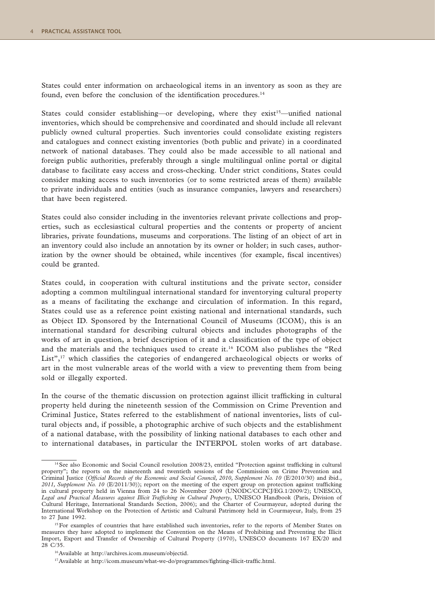States could enter information on archaeological items in an inventory as soon as they are found, even before the conclusion of the identification procedures.<sup>14</sup>

States could consider establishing—or developing, where they exist<sup>15</sup>—unified national inventories, which should be comprehensive and coordinated and should include all relevant publicly owned cultural properties. Such inventories could consolidate existing registers and catalogues and connect existing inventories (both public and private) in a coordinated network of national databases. They could also be made accessible to all national and foreign public authorities, preferably through a single multilingual online portal or digital database to facilitate easy access and cross-checking. Under strict conditions, States could consider making access to such inventories (or to some restricted areas of them) available to private individuals and entities (such as insurance companies, lawyers and researchers) that have been registered.

States could also consider including in the inventories relevant private collections and properties, such as ecclesiastical cultural properties and the contents or property of ancient libraries, private foundations, museums and corporations. The listing of an object of art in an inventory could also include an annotation by its owner or holder; in such cases, authorization by the owner should be obtained, while incentives (for example, fiscal incentives) could be granted.

States could, in cooperation with cultural institutions and the private sector, consider adopting a common multilingual international standard for inventorying cultural property as a means of facilitating the exchange and circulation of information. In this regard, States could use as a reference point existing national and international standards, such as Object ID. Sponsored by the International Council of Museums (ICOM), this is an international standard for describing cultural objects and includes photographs of the works of art in question, a brief description of it and a classification of the type of object and the materials and the techniques used to create it.16 ICOM also publishes the "Red List", $17$  which classifies the categories of endangered archaeological objects or works of art in the most vulnerable areas of the world with a view to preventing them from being sold or illegally exported.

In the course of the thematic discussion on protection against illicit trafficking in cultural property held during the nineteenth session of the Commission on Crime Prevention and Criminal Justice, States referred to the establishment of national inventories, lists of cultural objects and, if possible, a photographic archive of such objects and the establishment of a national database, with the possibility of linking national databases to each other and to international databases, in particular the INTERPOL stolen works of art database.

<sup>14</sup>See also Economic and Social Council resolution 2008/23, entitled "Protection against trafficking in cultural property"; the reports on the nineteenth and twentieth sessions of the Commission on Crime Prevention and Criminal Justice (*Official Records of the Economic and Social Council, 2010, Supplement No. 10* (E/2010/30) and ibid., *2011, Supplement No. 10* (E/2011/30)); report on the meeting of the expert group on protection against trafficking in cultural property held in Vienna from 24 to 26 November 2009 (UNODC/CCPCJ/EG.1/2009/2); UNESCO, *Legal and Practical Measures against Illicit Trafficking in Cultural Property*, UNESCO Handbook (Paris, Division of Cultural Heritage, International Standards Section, 2006); and the Charter of Courmayeur, adopted during the International Workshop on the Protection of Artistic and Cultural Patrimony held in Courmayeur, Italy, from 25 to 27 June 1992.

<sup>&</sup>lt;sup>15</sup>For examples of countries that have established such inventories, refer to the reports of Member States on measures they have adopted to implement the Convention on the Means of Prohibiting and Preventing the Illicit Import, Export and Transfer of Ownership of Cultural Property (1970), UNESCO documents 167 EX/20 and 28 C/35.

<sup>16</sup>Available at http://archives.icom.museum/objectid.

<sup>17</sup>Available at http://icom.museum/what-we-do/programmes/fighting-illicit-traffic.html.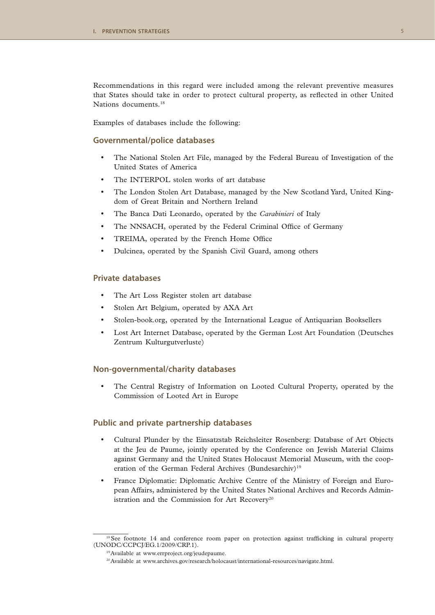Recommendations in this regard were included among the relevant preventive measures that States should take in order to protect cultural property, as reflected in other United Nations documents.<sup>18</sup>

Examples of databases include the following:

### **Governmental/police databases**

- The National Stolen Art File, managed by the Federal Bureau of Investigation of the United States of America
- The INTERPOL stolen works of art database
- The London Stolen Art Database, managed by the New Scotland Yard, United Kingdom of Great Britain and Northern Ireland
- The Banca Dati Leonardo, operated by the *Carabinieri* of Italy
- The NNSACH, operated by the Federal Criminal Office of Germany
- TREIMA, operated by the French Home Office
- Dulcinea, operated by the Spanish Civil Guard, among others

## **Private databases**

- The Art Loss Register stolen art database
- Stolen Art Belgium, operated by AXA Art
- Stolen-book.org, operated by the International League of Antiquarian Booksellers
- Lost Art Internet Database, operated by the German Lost Art Foundation (Deutsches Zentrum Kulturgutverluste)

### **Non-governmental/charity databases**

The Central Registry of Information on Looted Cultural Property, operated by the Commission of Looted Art in Europe

#### **Public and private partnership databases**

- Cultural Plunder by the Einsatzstab Reichsleiter Rosenberg: Database of Art Objects at the Jeu de Paume, jointly operated by the Conference on Jewish Material Claims against Germany and the United States Holocaust Memorial Museum, with the cooperation of the German Federal Archives (Bundesarchiv)<sup>19</sup>
- y France Diplomatie: Diplomatic Archive Centre of the Ministry of Foreign and European Affairs, administered by the United States National Archives and Records Administration and the Commission for Art Recovery<sup>20</sup>

<sup>&</sup>lt;sup>18</sup>See footnote 14 and conference room paper on protection against trafficking in cultural property (UNODC/CCPCJ/EG.1/2009/CRP.1).

<sup>&</sup>lt;sup>19</sup> Available at www.errproject.org/jeudepaume.

<sup>20</sup>Available at www.archives.gov/research/holocaust/international-resources/navigate.html.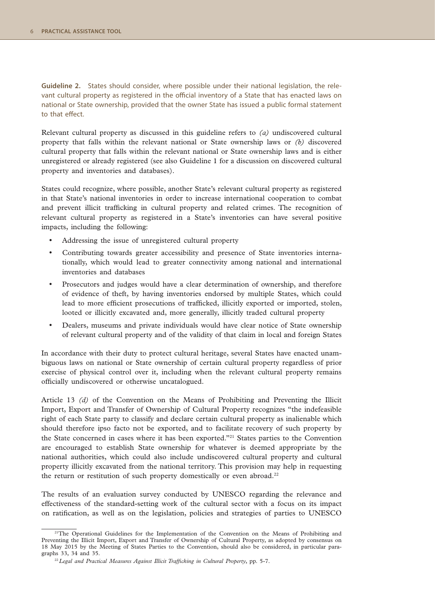<span id="page-17-0"></span>**Guideline 2.** States should consider, where possible under their national legislation, the relevant cultural property as registered in the official inventory of a State that has enacted laws on national or State ownership, provided that the owner State has issued a public formal statement to that effect.

Relevant cultural property as discussed in this guideline refers to *(a)* undiscovered cultural property that falls within the relevant national or State ownership laws or *(b)* discovered cultural property that falls within the relevant national or State ownership laws and is either unregistered or already registered (see also Guideline 1 for a discussion on discovered cultural property and inventories and databases).

States could recognize, where possible, another State's relevant cultural property as registered in that State's national inventories in order to increase international cooperation to combat and prevent illicit trafficking in cultural property and related crimes. The recognition of relevant cultural property as registered in a State's inventories can have several positive impacts, including the following:

- Addressing the issue of unregistered cultural property
- y Contributing towards greater accessibility and presence of State inventories internationally, which would lead to greater connectivity among national and international inventories and databases
- Prosecutors and judges would have a clear determination of ownership, and therefore of evidence of theft, by having inventories endorsed by multiple States, which could lead to more efficient prosecutions of trafficked, illicitly exported or imported, stolen, looted or illicitly excavated and, more generally, illicitly traded cultural property
- Dealers, museums and private individuals would have clear notice of State ownership of relevant cultural property and of the validity of that claim in local and foreign States

In accordance with their duty to protect cultural heritage, several States have enacted unambiguous laws on national or State ownership of certain cultural property regardless of prior exercise of physical control over it, including when the relevant cultural property remains officially undiscovered or otherwise uncatalogued.

Article 13 *(d)* of the Convention on the Means of Prohibiting and Preventing the Illicit Import, Export and Transfer of Ownership of Cultural Property recognizes "the indefeasible right of each State party to classify and declare certain cultural property as inalienable which should therefore ipso facto not be exported, and to facilitate recovery of such property by the State concerned in cases where it has been exported."21 States parties to the Convention are encouraged to establish State ownership for whatever is deemed appropriate by the national authorities, which could also include undiscovered cultural property and cultural property illicitly excavated from the national territory. This provision may help in requesting the return or restitution of such property domestically or even abroad.<sup>22</sup>

The results of an evaluation survey conducted by UNESCO regarding the relevance and effectiveness of the standard-setting work of the cultural sector with a focus on its impact on ratification, as well as on the legislation, policies and strategies of parties to UNESCO

<sup>&</sup>lt;sup>21</sup>The Operational Guidelines for the Implementation of the Convention on the Means of Prohibiting and Preventing the Illicit Import, Export and Transfer of Ownership of Cultural Property, as adopted by consensus on 18 May 2015 by the Meeting of States Parties to the Convention, should also be considered, in particular paragraphs 33, 34 and 35.

<sup>22</sup>*Legal and Practical Measures Against Illicit Trafficking in Cultural Property*, pp. 5-7.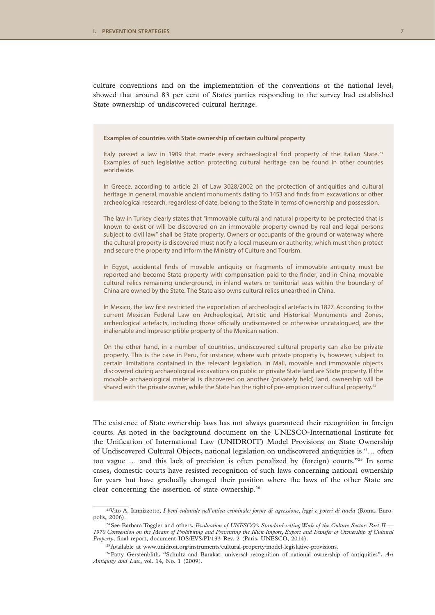culture conventions and on the implementation of the conventions at the national level, showed that around 83 per cent of States parties responding to the survey had established State ownership of undiscovered cultural heritage.

#### **Examples of countries with State ownership of certain cultural property**

Italy passed a law in 1909 that made every archaeological find property of the Italian State.<sup>23</sup> Examples of such legislative action protecting cultural heritage can be found in other countries worldwide.

In Greece, according to article 21 of Law 3028/2002 on the protection of antiquities and cultural heritage in general, movable ancient monuments dating to 1453 and finds from excavations or other archeological research, regardless of date, belong to the State in terms of ownership and possession.

The law in Turkey clearly states that "immovable cultural and natural property to be protected that is known to exist or will be discovered on an immovable property owned by real and legal persons subject to civil law" shall be State property. Owners or occupants of the ground or waterway where the cultural property is discovered must notify a local museum or authority, which must then protect and secure the property and inform the Ministry of Culture and Tourism.

In Egypt, accidental finds of movable antiquity or fragments of immovable antiquity must be reported and become State property with compensation paid to the finder, and in China, movable cultural relics remaining underground, in inland waters or territorial seas within the boundary of China are owned by the State. The State also owns cultural relics unearthed in China.

In Mexico, the law first restricted the exportation of archeological artefacts in 1827. According to the current Mexican Federal Law on Archeological, Artistic and Historical Monuments and Zones, archeological artefacts, including those officially undiscovered or otherwise uncatalogued, are the inalienable and imprescriptible property of the Mexican nation.

On the other hand, in a number of countries, undiscovered cultural property can also be private property. This is the case in Peru, for instance, where such private property is, however, subject to certain limitations contained in the relevant legislation. In Mali, movable and immovable objects discovered during archaeological excavations on public or private State land are State property. If the movable archaeological material is discovered on another (privately held) land, ownership will be shared with the private owner, while the State has the right of pre-emption over cultural property.<sup>24</sup>

The existence of State ownership laws has not always guaranteed their recognition in foreign courts. As noted in the background document on the UNESCO-International Institute for the Unification of International Law (UNIDROIT) Model Provisions on State Ownership of Undiscovered Cultural Objects, national legislation on undiscovered antiquities is "… often too vague … and this lack of precision is often penalized by (foreign) courts."25 In some cases, domestic courts have resisted recognition of such laws concerning national ownership for years but have gradually changed their position where the laws of the other State are clear concerning the assertion of state ownership.26

<sup>23</sup>Vito A. Iannizzotto, *I beni culturale nell'ottica criminale: forme di agressione, leggi e poteri di tutela* (Roma, Europolis, 2006).

<sup>&</sup>lt;sup>24</sup> See Barbara Toggler and others, *Evaluation of UNESCO's Standard-setting Work of the Culture Sector: Part II — 1970 Convention on the Means of Prohibiting and Preventing the Illicit Import, Export and Transfer of Ownership of Cultural Property*, final report, document IOS/EVS/PI/133 Rev. 2 (Paris, UNESCO, 2014).

<sup>&</sup>lt;sup>25</sup> Available at www.unidroit.org/instruments/cultural-property/model-legislative-provisions.

<sup>26</sup>Patty Gerstenblith, "Schultz and Barakat: universal recognition of national ownership of antiquities", *Art Antiquity and Law*, vol. 14, No. 1 (2009).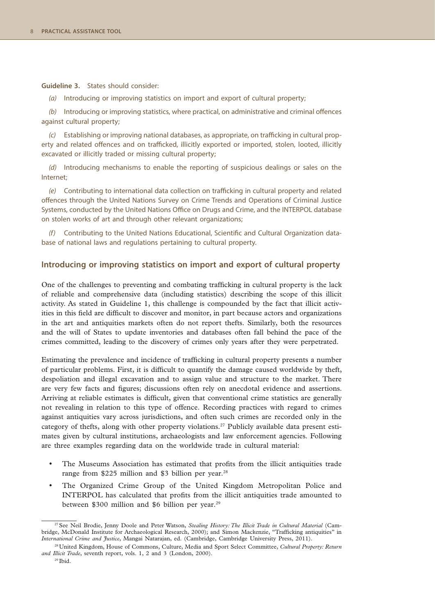<span id="page-19-0"></span>**Guideline 3.** States should consider:

*(a)* Introducing or improving statistics on import and export of cultural property;

*(b)* Introducing or improving statistics, where practical, on administrative and criminal offences against cultural property;

*(c)* Establishing or improving national databases, as appropriate, on trafficking in cultural property and related offences and on trafficked, illicitly exported or imported, stolen, looted, illicitly excavated or illicitly traded or missing cultural property;

*(d)* Introducing mechanisms to enable the reporting of suspicious dealings or sales on the Internet;

*(e)* Contributing to international data collection on trafficking in cultural property and related offences through the United Nations Survey on Crime Trends and Operations of Criminal Justice Systems, conducted by the United Nations Office on Drugs and Crime, and the INTERPOL database on stolen works of art and through other relevant organizations;

*(f)* Contributing to the United Nations Educational, Scientific and Cultural Organization database of national laws and regulations pertaining to cultural property.

## **Introducing or improving statistics on import and export of cultural property**

One of the challenges to preventing and combating trafficking in cultural property is the lack of reliable and comprehensive data (including statistics) describing the scope of this illicit activity. As stated in Guideline 1, this challenge is compounded by the fact that illicit activities in this field are difficult to discover and monitor, in part because actors and organizations in the art and antiquities markets often do not report thefts. Similarly, both the resources and the will of States to update inventories and databases often fall behind the pace of the crimes committed, leading to the discovery of crimes only years after they were perpetrated.

Estimating the prevalence and incidence of trafficking in cultural property presents a number of particular problems. First, it is difficult to quantify the damage caused worldwide by theft, despoliation and illegal excavation and to assign value and structure to the market. There are very few facts and figures; discussions often rely on anecdotal evidence and assertions. Arriving at reliable estimates is difficult, given that conventional crime statistics are generally not revealing in relation to this type of offence. Recording practices with regard to crimes against antiquities vary across jurisdictions, and often such crimes are recorded only in the category of thefts, along with other property violations.<sup>27</sup> Publicly available data present estimates given by cultural institutions, archaeologists and law enforcement agencies. Following are three examples regarding data on the worldwide trade in cultural material:

- The Museums Association has estimated that profits from the illicit antiquities trade range from \$225 million and \$3 billion per year.<sup>28</sup>
- y The Organized Crime Group of the United Kingdom Metropolitan Police and INTERPOL has calculated that profits from the illicit antiquities trade amounted to between \$300 million and \$6 billion per year.<sup>29</sup>

<sup>&</sup>lt;sup>27</sup> See Neil Brodie, Jenny Doole and Peter Watson, *Stealing History: The Illicit Trade in Cultural Material* (Cambridge, McDonald Institute for Archaeological Research, 2000); and Simon Mackenzie, "Trafficking antiquities" in *International Crime and Justice*, Mangai Natarajan, ed. (Cambridge, Cambridge University Press, 2011).

<sup>28</sup>United Kingdom, House of Commons, Culture, Media and Sport Select Committee, *Cultural Property: Return and Illicit Trade*, seventh report, vols. 1, 2 and 3 (London, 2000).

 $29$  Thid.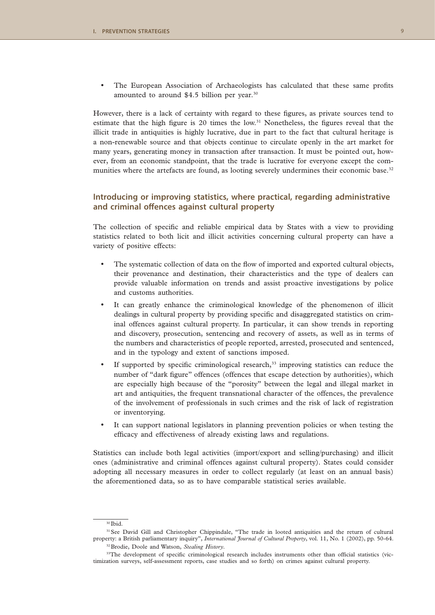The European Association of Archaeologists has calculated that these same profits amounted to around  $$4.5$  billion per year.<sup>30</sup>

However, there is a lack of certainty with regard to these figures, as private sources tend to estimate that the high figure is 20 times the low.31 Nonetheless, the figures reveal that the illicit trade in antiquities is highly lucrative, due in part to the fact that cultural heritage is a non-renewable source and that objects continue to circulate openly in the art market for many years, generating money in transaction after transaction. It must be pointed out, however, from an economic standpoint, that the trade is lucrative for everyone except the communities where the artefacts are found, as looting severely undermines their economic base.<sup>32</sup>

## **Introducing or improving statistics, where practical, regarding administrative and criminal offences against cultural property**

The collection of specific and reliable empirical data by States with a view to providing statistics related to both licit and illicit activities concerning cultural property can have a variety of positive effects:

- The systematic collection of data on the flow of imported and exported cultural objects, their provenance and destination, their characteristics and the type of dealers can provide valuable information on trends and assist proactive investigations by police and customs authorities.
- It can greatly enhance the criminological knowledge of the phenomenon of illicit dealings in cultural property by providing specific and disaggregated statistics on criminal offences against cultural property. In particular, it can show trends in reporting and discovery, prosecution, sentencing and recovery of assets, as well as in terms of the numbers and characteristics of people reported, arrested, prosecuted and sentenced, and in the typology and extent of sanctions imposed.
- If supported by specific criminological research, $33$  improving statistics can reduce the number of "dark figure" offences (offences that escape detection by authorities), which are especially high because of the "porosity" between the legal and illegal market in art and antiquities, the frequent transnational character of the offences, the prevalence of the involvement of professionals in such crimes and the risk of lack of registration or inventorying.
- It can support national legislators in planning prevention policies or when testing the efficacy and effectiveness of already existing laws and regulations.

Statistics can include both legal activities (import/export and selling/purchasing) and illicit ones (administrative and criminal offences against cultural property). States could consider adopting all necessary measures in order to collect regularly (at least on an annual basis) the aforementioned data, so as to have comparable statistical series available.

 $30$  Ibid.

<sup>&</sup>lt;sup>31</sup>See David Gill and Christopher Chippindale, "The trade in looted antiquities and the return of cultural property: a British parliamentary inquiry", *International Journal of Cultural Property*, vol. 11, No. 1 (2002), pp. 50-64.

<sup>32</sup>Brodie, Doole and Watson, *Stealing History*.

<sup>&</sup>lt;sup>33</sup>The development of specific criminological research includes instruments other than official statistics (victimization surveys, self-assessment reports, case studies and so forth) on crimes against cultural property.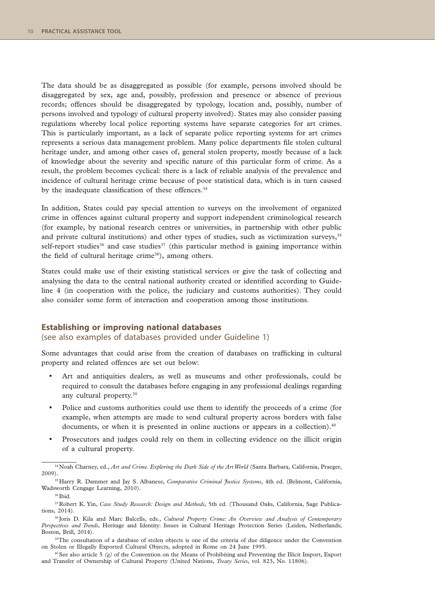The data should be as disaggregated as possible (for example, persons involved should be disaggregated by sex, age and, possibly, profession and presence or absence of previous records; offences should be disaggregated by typology, location and, possibly, number of persons involved and typology of cultural property involved). States may also consider passing regulations whereby local police reporting systems have separate categories for art crimes. This is particularly important, as a lack of separate police reporting systems for art crimes represents a serious data management problem. Many police departments file stolen cultural heritage under, and among other cases of, general stolen property, mostly because of a lack of knowledge about the severity and specific nature of this particular form of crime. As a result, the problem becomes cyclical: there is a lack of reliable analysis of the prevalence and incidence of cultural heritage crime because of poor statistical data, which is in turn caused by the inadequate classification of these offences.<sup>34</sup>

In addition, States could pay special attention to surveys on the involvement of organized crime in offences against cultural property and support independent criminological research (for example, by national research centres or universities, in partnership with other public and private cultural institutions) and other types of studies, such as victimization surveys,<sup>35</sup> self-report studies<sup>36</sup> and case studies<sup>37</sup> (this particular method is gaining importance within the field of cultural heritage crime<sup>38</sup>), among others.

States could make use of their existing statistical services or give the task of collecting and analysing the data to the central national authority created or identified according to Guideline 4 (in cooperation with the police, the judiciary and customs authorities). They could also consider some form of interaction and cooperation among those institutions.

#### **Establishing or improving national databases**

#### (see also examples of databases provided under Guideline 1)

Some advantages that could arise from the creation of databases on trafficking in cultural property and related offences are set out below:

- Art and antiquities dealers, as well as museums and other professionals, could be required to consult the databases before engaging in any professional dealings regarding any cultural property.39
- Police and customs authorities could use them to identify the proceeds of a crime (for example, when attempts are made to send cultural property across borders with false documents, or when it is presented in online auctions or appears in a collection).40
- Prosecutors and judges could rely on them in collecting evidence on the illicit origin of a cultural property.

<sup>&</sup>lt;sup>34</sup> Noah Charney, ed., *Art and Crime. Exploring the Dark Side of the Art World* (Santa Barbara, California, Praeger, 2009).

<sup>35</sup>Harry R. Dammer and Jay S. Albanese, *Comparative Criminal Justice Systems*, 4th ed. (Belmont, California, Wadsworth Cengage Learning, 2010).

<sup>36</sup> Ibid.

<sup>37</sup>Robert K. Yin, *Case Study Research: Design and Methods*, 5th ed. (Thousand Oaks, California, Sage Publications, 2014).

<sup>&</sup>lt;sup>38</sup> Joris D. Kila and Marc Balcells, eds., *Cultural Property Crime: An Overview and Analysis of Contemporary Perspectives and Trends*, Heritage and Identity: Issues in Cultural Heritage Protection Series (Leiden, Netherlands; Boston, Brill, 2014).

<sup>&</sup>lt;sup>39</sup>The consultation of a database of stolen objects is one of the criteria of due diligence under the Convention on Stolen or Illegally Exported Cultural Objects, adopted in Rome on 24 June 1995.

<sup>40</sup>See also article 5 *(g)* of the Convention on the Means of Prohibiting and Preventing the Illicit Import, Export and Transfer of Ownership of Cultural Property (United Nations, *Treaty Series*, vol. 823, No. 11806).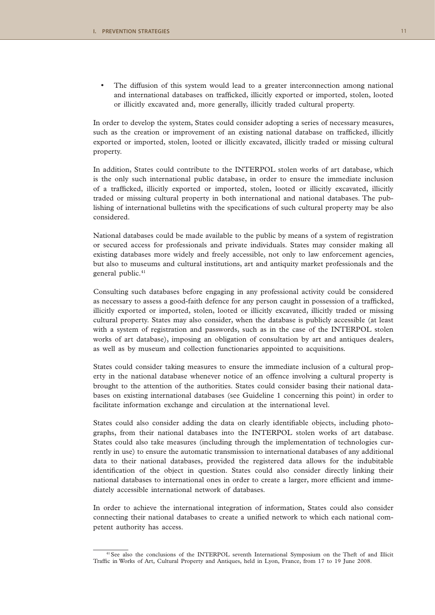• The diffusion of this system would lead to a greater interconnection among national and international databases on trafficked, illicitly exported or imported, stolen, looted or illicitly excavated and, more generally, illicitly traded cultural property.

In order to develop the system, States could consider adopting a series of necessary measures, such as the creation or improvement of an existing national database on trafficked, illicitly exported or imported, stolen, looted or illicitly excavated, illicitly traded or missing cultural property.

In addition, States could contribute to the INTERPOL stolen works of art database*,* which is the only such international public database, in order to ensure the immediate inclusion of a trafficked, illicitly exported or imported, stolen, looted or illicitly excavated, illicitly traded or missing cultural property in both international and national databases. The publishing of international bulletins with the specifications of such cultural property may be also considered.

National databases could be made available to the public by means of a system of registration or secured access for professionals and private individuals. States may consider making all existing databases more widely and freely accessible, not only to law enforcement agencies, but also to museums and cultural institutions, art and antiquity market professionals and the general public.<sup>41</sup>

Consulting such databases before engaging in any professional activity could be considered as necessary to assess a good-faith defence for any person caught in possession of a trafficked, illicitly exported or imported, stolen, looted or illicitly excavated, illicitly traded or missing cultural property. States may also consider, when the database is publicly accessible (at least with a system of registration and passwords, such as in the case of the INTERPOL stolen works of art database), imposing an obligation of consultation by art and antiques dealers, as well as by museum and collection functionaries appointed to acquisitions.

States could consider taking measures to ensure the immediate inclusion of a cultural property in the national database whenever notice of an offence involving a cultural property is brought to the attention of the authorities. States could consider basing their national databases on existing international databases (see Guideline 1 concerning this point) in order to facilitate information exchange and circulation at the international level.

States could also consider adding the data on clearly identifiable objects, including photographs, from their national databases into the INTERPOL stolen works of art database. States could also take measures (including through the implementation of technologies currently in use) to ensure the automatic transmission to international databases of any additional data to their national databases, provided the registered data allows for the indubitable identification of the object in question. States could also consider directly linking their national databases to international ones in order to create a larger, more efficient and immediately accessible international network of databases.

In order to achieve the international integration of information, States could also consider connecting their national databases to create a unified network to which each national competent authority has access.

<sup>&</sup>lt;sup>41</sup>See also the conclusions of the INTERPOL seventh International Symposium on the Theft of and Illicit Traffic in Works of Art, Cultural Property and Antiques, held in Lyon, France, from 17 to 19 June 2008.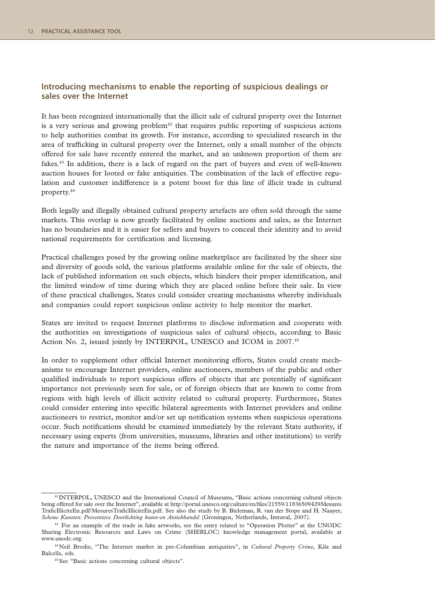## **Introducing mechanisms to enable the reporting of suspicious dealings or sales over the Internet**

It has been recognized internationally that the illicit sale of cultural property over the Internet is a very serious and growing problem $42$  that requires public reporting of suspicious actions to help authorities combat its growth. For instance, according to specialized research in the area of trafficking in cultural property over the Internet, only a small number of the objects offered for sale have recently entered the market, and an unknown proportion of them are fakes.43 In addition, there is a lack of regard on the part of buyers and even of well-known auction houses for looted or fake antiquities. The combination of the lack of effective regulation and customer indifference is a potent boost for this line of illicit trade in cultural property.44

Both legally and illegally obtained cultural property artefacts are often sold through the same markets. This overlap is now greatly facilitated by online auctions and sales, as the Internet has no boundaries and it is easier for sellers and buyers to conceal their identity and to avoid national requirements for certification and licensing.

Practical challenges posed by the growing online marketplace are facilitated by the sheer size and diversity of goods sold, the various platforms available online for the sale of objects, the lack of published information on such objects, which hinders their proper identification, and the limited window of time during which they are placed online before their sale. In view of these practical challenges, States could consider creating mechanisms whereby individuals and companies could report suspicious online activity to help monitor the market.

States are invited to request Internet platforms to disclose information and cooperate with the authorities on investigations of suspicious sales of cultural objects, according to Basic Action No. 2, issued jointly by INTERPOL, UNESCO and ICOM in 2007.<sup>45</sup>

In order to supplement other official Internet monitoring efforts, States could create mechanisms to encourage Internet providers, online auctioneers, members of the public and other qualified individuals to report suspicious offers of objects that are potentially of significant importance not previously seen for sale, or of foreign objects that are known to come from regions with high levels of illicit activity related to cultural property. Furthermore, States could consider entering into specific bilateral agreements with Internet providers and online auctioneers to restrict, monitor and/or set up notification systems when suspicious operations occur. Such notifications should be examined immediately by the relevant State authority, if necessary using experts (from universities, museums, libraries and other institutions) to verify the nature and importance of the items being offered.

<sup>42</sup> INTERPOL, UNESCO and the International Council of Museums, "Basic actions concerning cultural objects being offered for sale over the Internet", available at http://portal.unesco.org/culture/en/files/21559/11836509429Mesures TraficIlliciteEn.pdf/MesuresTraficIlliciteEn.pdf. See also the study by B. Bieleman, R. van der Stope and H. Naayer, *Schone Kunsten: Preventieve Doorlichting kunst-en Antiekhandel* (Groningen, Netherlands, Intraval, 2007).

<sup>&</sup>lt;sup>43</sup> For an example of the trade in fake artworks, see the entry related to "Operation Plotter" at the UNODC Sharing Electronic Resources and Laws on Crime (SHERLOC) knowledge management portal, available at www.unodc.org.

<sup>44</sup>Neil Brodie, "The Internet market in pre-Columbian antiquities", in *Cultural Property Crime*, Kila and Balcells, eds.

<sup>45</sup>See "Basic actions concerning cultural objects".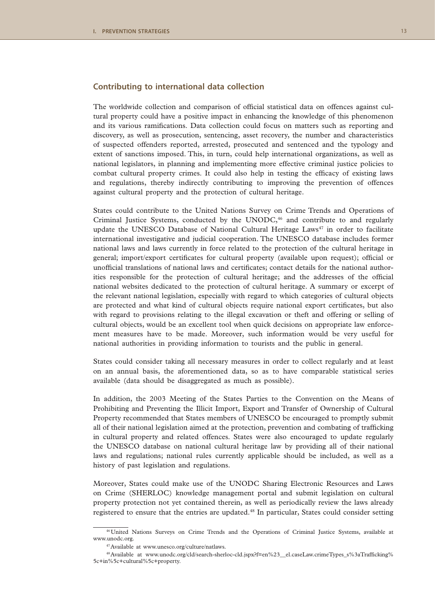## **Contributing to international data collection**

The worldwide collection and comparison of official statistical data on offences against cultural property could have a positive impact in enhancing the knowledge of this phenomenon and its various ramifications. Data collection could focus on matters such as reporting and discovery, as well as prosecution, sentencing, asset recovery, the number and characteristics of suspected offenders reported, arrested, prosecuted and sentenced and the typology and extent of sanctions imposed. This, in turn, could help international organizations, as well as national legislators, in planning and implementing more effective criminal justice policies to combat cultural property crimes. It could also help in testing the efficacy of existing laws and regulations, thereby indirectly contributing to improving the prevention of offences against cultural property and the protection of cultural heritage.

States could contribute to the United Nations Survey on Crime Trends and Operations of Criminal Justice Systems, conducted by the  $UNODC<sub>1</sub><sup>46</sup>$  and contribute to and regularly update the UNESCO Database of National Cultural Heritage  $Laws^{47}$  in order to facilitate international investigative and judicial cooperation. The UNESCO database includes former national laws and laws currently in force related to the protection of the cultural heritage in general; import/export certificates for cultural property (available upon request); official or unofficial translations of national laws and certificates; contact details for the national authorities responsible for the protection of cultural heritage; and the addresses of the official national websites dedicated to the protection of cultural heritage. A summary or excerpt of the relevant national legislation, especially with regard to which categories of cultural objects are protected and what kind of cultural objects require national export certificates, but also with regard to provisions relating to the illegal excavation or theft and offering or selling of cultural objects, would be an excellent tool when quick decisions on appropriate law enforcement measures have to be made. Moreover, such information would be very useful for national authorities in providing information to tourists and the public in general.

States could consider taking all necessary measures in order to collect regularly and at least on an annual basis, the aforementioned data, so as to have comparable statistical series available (data should be disaggregated as much as possible).

In addition, the 2003 Meeting of the States Parties to the Convention on the Means of Prohibiting and Preventing the Illicit Import, Export and Transfer of Ownership of Cultural Property recommended that States members of UNESCO be encouraged to promptly submit all of their national legislation aimed at the protection, prevention and combating of trafficking in cultural property and related offences. States were also encouraged to update regularly the UNESCO database on national cultural heritage law by providing all of their national laws and regulations; national rules currently applicable should be included, as well as a history of past legislation and regulations.

Moreover, States could make use of the UNODC Sharing Electronic Resources and Laws on Crime (SHERLOC) knowledge management portal and submit legislation on cultural property protection not yet contained therein, as well as periodically review the laws already registered to ensure that the entries are updated.48 In particular, States could consider setting

<sup>46</sup>United Nations Surveys on Crime Trends and the Operations of Criminal Justice Systems, available at www.unodc.org.

<sup>47</sup>Available at www.unesco.org/culture/natlaws.

<sup>48</sup>Available at www.unodc.org/cld/search-sherloc-cld.jspx?f=en%23\_\_el.caseLaw.crimeTypes\_s%3aTrafficking% 5c+in%5c+cultural%5c+property.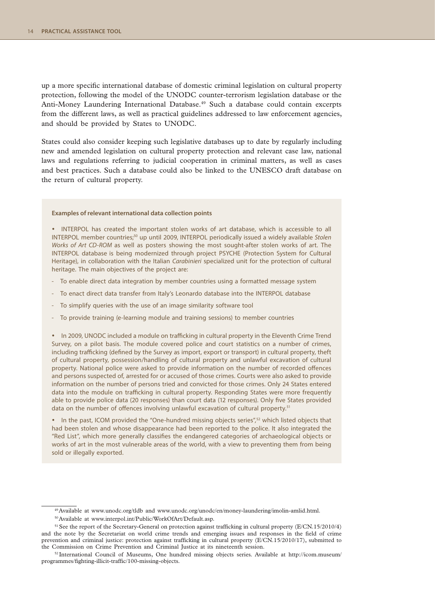up a more specific international database of domestic criminal legislation on cultural property protection, following the model of the UNODC counter-terrorism legislation database or the Anti-Money Laundering International Database.<sup>49</sup> Such a database could contain excerpts from the different laws, as well as practical guidelines addressed to law enforcement agencies, and should be provided by States to UNODC.

States could also consider keeping such legislative databases up to date by regularly including new and amended legislation on cultural property protection and relevant case law, national laws and regulations referring to judicial cooperation in criminal matters, as well as cases and best practices. Such a database could also be linked to the UNESCO draft database on the return of cultural property.

#### **Examples of relevant international data collection points**

• INTERPOL has created the important stolen works of art database, which is accessible to all INTERPOL member countries;50 up until 2009, INTERPOL periodically issued a widely available *Stolen Works of Art CD-ROM* as well as posters showing the most sought-after stolen works of art. The INTERPOL database is being modernized through project PSYCHE (Protection System for Cultural Heritage), in collaboration with the Italian *Carabinieri* specialized unit for the protection of cultural heritage. The main objectives of the project are:

- To enable direct data integration by member countries using a formatted message system
- To enact direct data transfer from Italy's Leonardo database into the INTERPOL database
- To simplify queries with the use of an image similarity software tool
- To provide training (e-learning module and training sessions) to member countries

• In 2009, UNODC included a module on trafficking in cultural property in the Eleventh Crime Trend Survey, on a pilot basis. The module covered police and court statistics on a number of crimes, including trafficking (defined by the Survey as import, export or transport) in cultural property, theft of cultural property, possession/handling of cultural property and unlawful excavation of cultural property. National police were asked to provide information on the number of recorded offences and persons suspected of, arrested for or accused of those crimes. Courts were also asked to provide information on the number of persons tried and convicted for those crimes. Only 24 States entered data into the module on trafficking in cultural property. Responding States were more frequently able to provide police data (20 responses) than court data (12 responses). Only five States provided data on the number of offences involving unlawful excavation of cultural property.<sup>51</sup>

• In the past, ICOM provided the "One-hundred missing objects series",<sup>52</sup> which listed objects that had been stolen and whose disappearance had been reported to the police. It also integrated the "Red List", which more generally classifies the endangered categories of archaeological objects or works of art in the most vulnerable areas of the world, with a view to preventing them from being sold or illegally exported.

<sup>49</sup>Available at www.unodc.org/tldb and www.unodc.org/unodc/en/money-laundering/imolin-amlid.html.

<sup>50</sup>Available at www.interpol.int/Public/WorkOfArt/Default.asp.

 $51$  See the report of the Secretary-General on protection against trafficking in cultural property (E/CN.15/2010/4) and the note by the Secretariat on world crime trends and emerging issues and responses in the field of crime prevention and criminal justice: protection against trafficking in cultural property (E/CN.15/2010/17), submitted to the Commission on Crime Prevention and Criminal Justice at its nineteenth session.

<sup>52</sup> International Council of Museums, One hundred missing objects series. Available at http://icom.museum/ programmes/fighting-illicit-traffic/100-missing-objects.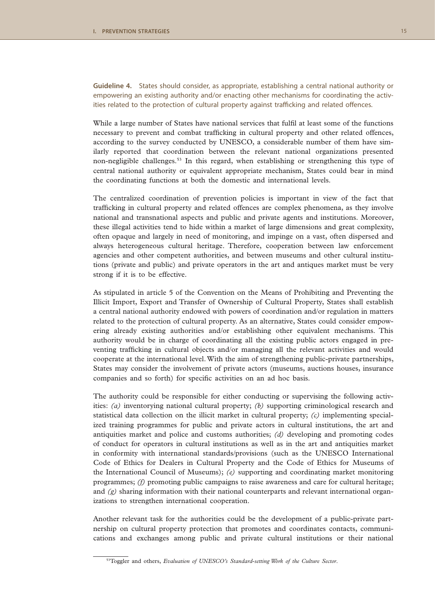<span id="page-26-0"></span>**Guideline 4.** States should consider, as appropriate, establishing a central national authority or empowering an existing authority and/or enacting other mechanisms for coordinating the activities related to the protection of cultural property against trafficking and related offences.

While a large number of States have national services that fulfil at least some of the functions necessary to prevent and combat trafficking in cultural property and other related offences, according to the survey conducted by UNESCO, a considerable number of them have similarly reported that coordination between the relevant national organizations presented non-negligible challenges.53 In this regard, when establishing or strengthening this type of central national authority or equivalent appropriate mechanism, States could bear in mind the coordinating functions at both the domestic and international levels.

The centralized coordination of prevention policies is important in view of the fact that trafficking in cultural property and related offences are complex phenomena, as they involve national and transnational aspects and public and private agents and institutions. Moreover, these illegal activities tend to hide within a market of large dimensions and great complexity, often opaque and largely in need of monitoring, and impinge on a vast, often dispersed and always heterogeneous cultural heritage. Therefore, cooperation between law enforcement agencies and other competent authorities, and between museums and other cultural institutions (private and public) and private operators in the art and antiques market must be very strong if it is to be effective.

As stipulated in article 5 of the Convention on the Means of Prohibiting and Preventing the Illicit Import, Export and Transfer of Ownership of Cultural Property, States shall establish a central national authority endowed with powers of coordination and/or regulation in matters related to the protection of cultural property. As an alternative, States could consider empowering already existing authorities and/or establishing other equivalent mechanisms. This authority would be in charge of coordinating all the existing public actors engaged in preventing trafficking in cultural objects and/or managing all the relevant activities and would cooperate at the international level. With the aim of strengthening public-private partnerships, States may consider the involvement of private actors (museums, auctions houses, insurance companies and so forth) for specific activities on an ad hoc basis.

The authority could be responsible for either conducting or supervising the following activities: *(a)* inventorying national cultural property; *(b)* supporting criminological research and statistical data collection on the illicit market in cultural property; *(c)* implementing specialized training programmes for public and private actors in cultural institutions, the art and antiquities market and police and customs authorities; *(d)* developing and promoting codes of conduct for operators in cultural institutions as well as in the art and antiquities market in conformity with international standards/provisions (such as the UNESCO International Code of Ethics for Dealers in Cultural Property and the Code of Ethics for Museums of the International Council of Museums); *(e)* supporting and coordinating market monitoring programmes; *(f)* promoting public campaigns to raise awareness and care for cultural heritage; and *(g)* sharing information with their national counterparts and relevant international organizations to strengthen international cooperation.

Another relevant task for the authorities could be the development of a public-private partnership on cultural property protection that promotes and coordinates contacts, communications and exchanges among public and private cultural institutions or their national

<sup>53</sup>Toggler and others, *Evaluation of UNESCO's Standard*‐*setting Work of the Culture Sector*.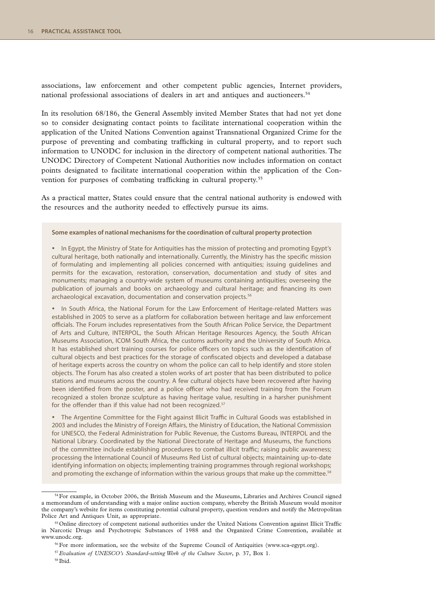associations, law enforcement and other competent public agencies, Internet providers, national professional associations of dealers in art and antiques and auctioneers.54

In its resolution 68/186, the General Assembly invited Member States that had not yet done so to consider designating contact points to facilitate international cooperation within the application of the United Nations Convention against Transnational Organized Crime for the purpose of preventing and combating trafficking in cultural property, and to report such information to UNODC for inclusion in the directory of competent national authorities. The UNODC Directory of Competent National Authorities now includes information on contact points designated to facilitate international cooperation within the application of the Convention for purposes of combating trafficking in cultural property.<sup>55</sup>

As a practical matter, States could ensure that the central national authority is endowed with the resources and the authority needed to effectively pursue its aims.

#### **Some examples of national mechanisms for the coordination of cultural property protection**

• In Egypt, the Ministry of State for Antiquities has the mission of protecting and promoting Egypt's cultural heritage, both nationally and internationally. Currently, the Ministry has the specific mission of formulating and implementing all policies concerned with antiquities; issuing guidelines and permits for the excavation, restoration, conservation, documentation and study of sites and monuments; managing a country-wide system of museums containing antiquities; overseeing the publication of journals and books on archaeology and cultural heritage; and financing its own archaeological excavation, documentation and conservation projects.<sup>56</sup>

• In South Africa, the National Forum for the Law Enforcement of Heritage-related Matters was established in 2005 to serve as a platform for collaboration between heritage and law enforcement officials. The Forum includes representatives from the South African Police Service, the Department of Arts and Culture, INTERPOL, the South African Heritage Resources Agency, the South African Museums Association, ICOM South Africa, the customs authority and the University of South Africa. It has established short training courses for police officers on topics such as the identification of cultural objects and best practices for the storage of confiscated objects and developed a database of heritage experts across the country on whom the police can call to help identify and store stolen objects. The Forum has also created a stolen works of art poster that has been distributed to police stations and museums across the country. A few cultural objects have been recovered after having been identified from the poster, and a police officer who had received training from the Forum recognized a stolen bronze sculpture as having heritage value, resulting in a harsher punishment for the offender than if this value had not been recognized.<sup>57</sup>

The Argentine Committee for the Fight against Illicit Traffic in Cultural Goods was established in 2003 and includes the Ministry of Foreign Affairs, the Ministry of Education, the National Commission for UNESCO, the Federal Administration for Public Revenue, the Customs Bureau, INTERPOL and the National Library. Coordinated by the National Directorate of Heritage and Museums, the functions of the committee include establishing procedures to combat illicit traffic; raising public awareness; processing the International Council of Museums Red List of cultural objects; maintaining up-to-date identifying information on objects; implementing training programmes through regional workshops; and promoting the exchange of information within the various groups that make up the committee.<sup>58</sup>

<sup>54</sup>For example, in October 2006, the British Museum and the Museums, Libraries and Archives Council signed a memorandum of understanding with a major online auction company, whereby the British Museum would monitor the company's website for items constituting potential cultural property, question vendors and notify the Metropolitan Police Art and Antiques Unit, as appropriate.

<sup>55</sup>Online directory of competent national authorities under the United Nations Convention against Illicit Traffic in Narcotic Drugs and Psychotropic Substances of 1988 and the Organized Crime Convention, available at www.unodc.org.

<sup>&</sup>lt;sup>56</sup> For more information, see the website of the Supreme Council of Antiquities (www.sca-egypt.org).

<sup>57</sup>*Evaluation of UNESCO's Standard-setting Work of the Culture Sector*, p. 37, Box 1.

<sup>58</sup> Ibid.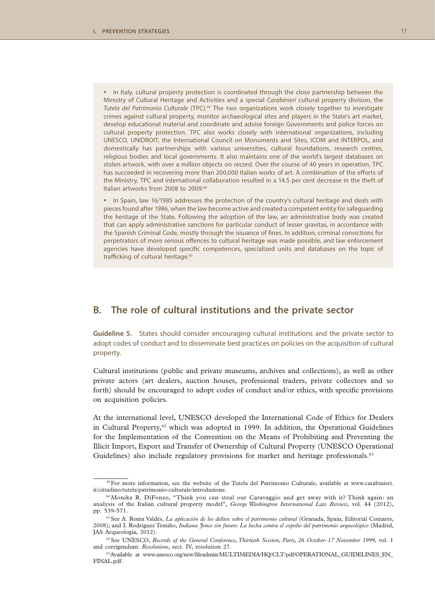<span id="page-28-0"></span>• In Italy, cultural property protection is coordinated through the close partnership between the Ministry of Cultural Heritage and Activities and a special *Carabinieri* cultural property division, the *Tutela del Patrimonio Culturale* (TPC).59 The two organizations work closely together to investigate crimes against cultural property, monitor archaeological sites and players in the State's art market, develop educational material and coordinate and advise foreign Governments and police forces on cultural property protection. TPC also works closely with international organizations, including UNESCO, UNIDROIT, the International Council on Monuments and Sites, ICOM and INTERPOL, and domestically has partnerships with various universities, cultural foundations, research centres, religious bodies and local governments. It also maintains one of the world's largest databases on stolen artwork, with over a million objects on record. Over the course of 40 years in operation, TPC has succeeded in recovering more than 200,000 Italian works of art. A combination of the efforts of the Ministry, TPC and international collaboration resulted in a 14.5 per cent decrease in the theft of Italian artworks from 2008 to 2009.<sup>60</sup>

• In Spain, law 16/1985 addresses the protection of the country's cultural heritage and deals with pieces found after 1986, when the law become active and created a competent entity for safeguarding the heritage of the State. Following the adoption of the law, an administrative body was created that can apply administrative sanctions for particular conduct of lesser gravitas, in accordance with the Spanish Criminal Code, mostly through the issuance of fines. In addition, criminal convictions for perpetrators of more serious offences to cultural heritage was made possible, and law enforcement agencies have developed specific competences, specialized units and databases on the topic of trafficking of cultural heritage.<sup>61</sup>

## **B. The role of cultural institutions and the private sector**

**Guideline 5.** States should consider encouraging cultural institutions and the private sector to adopt codes of conduct and to disseminate best practices on policies on the acquisition of cultural property.

Cultural institutions (public and private museums, archives and collections), as well as other private actors (art dealers, auction houses, professional traders, private collectors and so forth) should be encouraged to adopt codes of conduct and/or ethics, with specific provisions on acquisition policies.

At the international level, UNESCO developed the International Code of Ethics for Dealers in Cultural Property,<sup>62</sup> which was adopted in 1999. In addition, the Operational Guidelines for the Implementation of the Convention on the Means of Prohibiting and Preventing the Illicit Import, Export and Transfer of Ownership of Cultural Property (UNESCO Operational Guidelines) also include regulatory provisions for market and heritage professionals.<sup>63</sup>

<sup>59</sup>For more information, see the website of the Tutela del Patrimonio Culturale, available at www.carabinieri. it/cittadino/tutela/patrimonio-culturale/introduzione.

<sup>60</sup>Monika R. DiFonzo, "Think you can steal our Caravaggio and get away with it? Think again: an analysis of the Italian cultural property model", *George Washington International Law Review*, vol. 44 (2012), pp. 539-571.

<sup>61</sup>See A. Roma Valdés, *La aplicación de los delitos sobre el patrimonio cultural* (Granada, Spain, Editorial Comares, 2008); and I. Rodríguez Temiño, *Indiana Jones sin futuro. La lucha contra el expolio del patrimonio arqueológico* (Madrid, JAS Arqueología, 2012).

<sup>62</sup>See UNESCO, *Records of the General Conference, Thirtieth Session, Paris, 26 October–17 November 1999*, vol. 1 and corrigendum: *Resolutions*, sect. IV, resolution 27.

<sup>63</sup>Available at www.unesco.org/new/fileadmin/MULTIMEDIA/HQ/CLT/pdf/OPERATIONAL\_GUIDELINES\_EN\_ FINAL.pdf.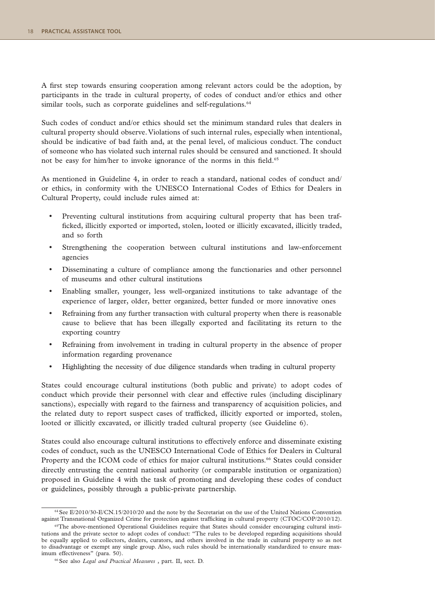A first step towards ensuring cooperation among relevant actors could be the adoption, by participants in the trade in cultural property, of codes of conduct and/or ethics and other similar tools, such as corporate guidelines and self-regulations.<sup>64</sup>

Such codes of conduct and/or ethics should set the minimum standard rules that dealers in cultural property should observe. Violations of such internal rules, especially when intentional, should be indicative of bad faith and, at the penal level, of malicious conduct. The conduct of someone who has violated such internal rules should be censured and sanctioned. It should not be easy for him/her to invoke ignorance of the norms in this field.<sup>65</sup>

As mentioned in Guideline 4, in order to reach a standard, national codes of conduct and/ or ethics, in conformity with the UNESCO International Codes of Ethics for Dealers in Cultural Property, could include rules aimed at:

- Preventing cultural institutions from acquiring cultural property that has been trafficked, illicitly exported or imported, stolen, looted or illicitly excavated, illicitly traded, and so forth
- y Strengthening the cooperation between cultural institutions and law-enforcement agencies
- Disseminating a culture of compliance among the functionaries and other personnel of museums and other cultural institutions
- Enabling smaller, younger, less well-organized institutions to take advantage of the experience of larger, older, better organized, better funded or more innovative ones
- Refraining from any further transaction with cultural property when there is reasonable cause to believe that has been illegally exported and facilitating its return to the exporting country
- Refraining from involvement in trading in cultural property in the absence of proper information regarding provenance
- y Highlighting the necessity of due diligence standards when trading in cultural property

States could encourage cultural institutions (both public and private) to adopt codes of conduct which provide their personnel with clear and effective rules (including disciplinary sanctions), especially with regard to the fairness and transparency of acquisition policies, and the related duty to report suspect cases of trafficked, illicitly exported or imported, stolen, looted or illicitly excavated, or illicitly traded cultural property (see Guideline 6).

States could also encourage cultural institutions to effectively enforce and disseminate existing codes of conduct, such as the UNESCO International Code of Ethics for Dealers in Cultural Property and the ICOM code of ethics for major cultural institutions.<sup>66</sup> States could consider directly entrusting the central national authority (or comparable institution or organization) proposed in Guideline 4 with the task of promoting and developing these codes of conduct or guidelines, possibly through a public-private partnership.

<sup>64</sup>See E/2010/30-E/CN.15/2010/20 and the note by the Secretariat on the use of the United Nations Convention against Transnational Organized Crime for protection against trafficking in cultural property (CTOC/COP/2010/12).

<sup>&</sup>lt;sup>65</sup>The above-mentioned Operational Guidelines require that States should consider encouraging cultural institutions and the private sector to adopt codes of conduct: "The rules to be developed regarding acquisitions should be equally applied to collectors, dealers, curators, and others involved in the trade in cultural property so as not to disadvantage or exempt any single group. Also, such rules should be internationally standardized to ensure maximum effectiveness" (para. 50).

<sup>66</sup>See also *Legal and Practical Measures* , part. II, sect. D.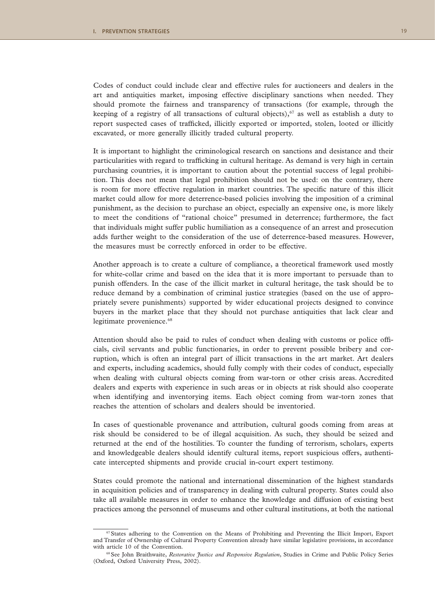Codes of conduct could include clear and effective rules for auctioneers and dealers in the art and antiquities market, imposing effective disciplinary sanctions when needed. They should promote the fairness and transparency of transactions (for example, through the keeping of a registry of all transactions of cultural objects), $67$  as well as establish a duty to report suspected cases of trafficked, illicitly exported or imported, stolen, looted or illicitly excavated, or more generally illicitly traded cultural property.

It is important to highlight the criminological research on sanctions and desistance and their particularities with regard to trafficking in cultural heritage. As demand is very high in certain purchasing countries, it is important to caution about the potential success of legal prohibition. This does not mean that legal prohibition should not be used: on the contrary, there is room for more effective regulation in market countries. The specific nature of this illicit market could allow for more deterrence-based policies involving the imposition of a criminal punishment, as the decision to purchase an object, especially an expensive one, is more likely to meet the conditions of "rational choice" presumed in deterrence; furthermore, the fact that individuals might suffer public humiliation as a consequence of an arrest and prosecution adds further weight to the consideration of the use of deterrence-based measures. However, the measures must be correctly enforced in order to be effective.

Another approach is to create a culture of compliance, a theoretical framework used mostly for white-collar crime and based on the idea that it is more important to persuade than to punish offenders. In the case of the illicit market in cultural heritage, the task should be to reduce demand by a combination of criminal justice strategies (based on the use of appropriately severe punishments) supported by wider educational projects designed to convince buyers in the market place that they should not purchase antiquities that lack clear and legitimate provenience.<sup>68</sup>

Attention should also be paid to rules of conduct when dealing with customs or police officials, civil servants and public functionaries, in order to prevent possible bribery and corruption, which is often an integral part of illicit transactions in the art market. Art dealers and experts, including academics, should fully comply with their codes of conduct, especially when dealing with cultural objects coming from war-torn or other crisis areas. Accredited dealers and experts with experience in such areas or in objects at risk should also cooperate when identifying and inventorying items. Each object coming from war-torn zones that reaches the attention of scholars and dealers should be inventoried.

In cases of questionable provenance and attribution, cultural goods coming from areas at risk should be considered to be of illegal acquisition. As such, they should be seized and returned at the end of the hostilities. To counter the funding of terrorism, scholars, experts and knowledgeable dealers should identify cultural items, report suspicious offers, authenticate intercepted shipments and provide crucial in-court expert testimony.

States could promote the national and international dissemination of the highest standards in acquisition policies and of transparency in dealing with cultural property. States could also take all available measures in order to enhance the knowledge and diffusion of existing best practices among the personnel of museums and other cultural institutions, at both the national

<sup>67</sup>States adhering to the Convention on the Means of Prohibiting and Preventing the Illicit Import, Export and Transfer of Ownership of Cultural Property Convention already have similar legislative provisions, in accordance with article 10 of the Convention.

<sup>68</sup>See John Braithwaite, *Restorative Justice and Responsive Regulation*, Studies in Crime and Public Policy Series (Oxford, Oxford University Press, 2002).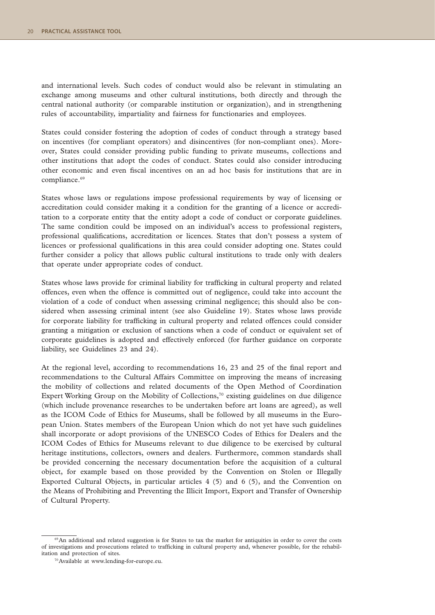and international levels. Such codes of conduct would also be relevant in stimulating an exchange among museums and other cultural institutions, both directly and through the central national authority (or comparable institution or organization), and in strengthening rules of accountability, impartiality and fairness for functionaries and employees.

States could consider fostering the adoption of codes of conduct through a strategy based on incentives (for compliant operators) and disincentives (for non-compliant ones). Moreover, States could consider providing public funding to private museums, collections and other institutions that adopt the codes of conduct. States could also consider introducing other economic and even fiscal incentives on an ad hoc basis for institutions that are in compliance.<sup>69</sup>

States whose laws or regulations impose professional requirements by way of licensing or accreditation could consider making it a condition for the granting of a licence or accreditation to a corporate entity that the entity adopt a code of conduct or corporate guidelines. The same condition could be imposed on an individual's access to professional registers, professional qualifications, accreditation or licences. States that don't possess a system of licences or professional qualifications in this area could consider adopting one. States could further consider a policy that allows public cultural institutions to trade only with dealers that operate under appropriate codes of conduct.

States whose laws provide for criminal liability for trafficking in cultural property and related offences, even when the offence is committed out of negligence, could take into account the violation of a code of conduct when assessing criminal negligence; this should also be considered when assessing criminal intent (see also Guideline 19). States whose laws provide for corporate liability for trafficking in cultural property and related offences could consider granting a mitigation or exclusion of sanctions when a code of conduct or equivalent set of corporate guidelines is adopted and effectively enforced (for further guidance on corporate liability, see Guidelines 23 and 24).

At the regional level, according to recommendations 16, 23 and 25 of the final report and recommendations to the Cultural Affairs Committee on improving the means of increasing the mobility of collections and related documents of the Open Method of Coordination Expert Working Group on the Mobility of Collections,<sup>70</sup> existing guidelines on due diligence (which include provenance researches to be undertaken before art loans are agreed), as well as the ICOM Code of Ethics for Museums, shall be followed by all museums in the European Union. States members of the European Union which do not yet have such guidelines shall incorporate or adopt provisions of the UNESCO Codes of Ethics for Dealers and the ICOM Codes of Ethics for Museums relevant to due diligence to be exercised by cultural heritage institutions, collectors, owners and dealers. Furthermore, common standards shall be provided concerning the necessary documentation before the acquisition of a cultural object, for example based on those provided by the Convention on Stolen or Illegally Exported Cultural Objects, in particular articles 4 (5) and 6 (5), and the Convention on the Means of Prohibiting and Preventing the Illicit Import, Export and Transfer of Ownership of Cultural Property.

<sup>&</sup>lt;sup>69</sup>An additional and related suggestion is for States to tax the market for antiquities in order to cover the costs of investigations and prosecutions related to trafficking in cultural property and, whenever possible, for the rehabilitation and protection of sites.

<sup>70</sup>Available at www.lending-for-europe.eu.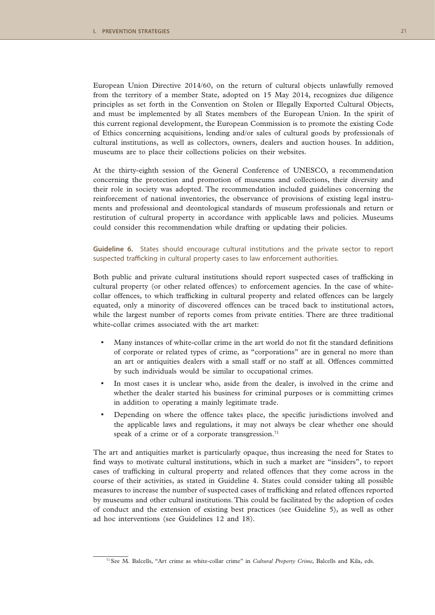<span id="page-32-0"></span>European Union Directive 2014/60, on the return of cultural objects unlawfully removed from the territory of a member State, adopted on 15 May 2014, recognizes due diligence principles as set forth in the Convention on Stolen or Illegally Exported Cultural Objects, and must be implemented by all States members of the European Union. In the spirit of this current regional development, the European Commission is to promote the existing Code of Ethics concerning acquisitions, lending and/or sales of cultural goods by professionals of cultural institutions, as well as collectors, owners, dealers and auction houses. In addition, museums are to place their collections policies on their websites.

At the thirty-eighth session of the General Conference of UNESCO, a recommendation concerning the protection and promotion of museums and collections, their diversity and their role in society was adopted. The recommendation included guidelines concerning the reinforcement of national inventories, the observance of provisions of existing legal instruments and professional and deontological standards of museum professionals and return or restitution of cultural property in accordance with applicable laws and policies. Museums could consider this recommendation while drafting or updating their policies.

**Guideline 6.** States should encourage cultural institutions and the private sector to report suspected trafficking in cultural property cases to law enforcement authorities.

Both public and private cultural institutions should report suspected cases of trafficking in cultural property (or other related offences) to enforcement agencies. In the case of whitecollar offences, to which trafficking in cultural property and related offences can be largely equated, only a minority of discovered offences can be traced back to institutional actors, while the largest number of reports comes from private entities. There are three traditional white-collar crimes associated with the art market:

- Many instances of white-collar crime in the art world do not fit the standard definitions of corporate or related types of crime, as "corporations" are in general no more than an art or antiquities dealers with a small staff or no staff at all. Offences committed by such individuals would be similar to occupational crimes.
- In most cases it is unclear who, aside from the dealer, is involved in the crime and whether the dealer started his business for criminal purposes or is committing crimes in addition to operating a mainly legitimate trade.
- Depending on where the offence takes place, the specific jurisdictions involved and the applicable laws and regulations, it may not always be clear whether one should speak of a crime or of a corporate transgression.<sup>71</sup>

The art and antiquities market is particularly opaque, thus increasing the need for States to find ways to motivate cultural institutions, which in such a market are "insiders", to report cases of trafficking in cultural property and related offences that they come across in the course of their activities, as stated in Guideline 4. States could consider taking all possible measures to increase the number of suspected cases of trafficking and related offences reported by museums and other cultural institutions. This could be facilitated by the adoption of codes of conduct and the extension of existing best practices (see Guideline 5), as well as other ad hoc interventions (see Guidelines 12 and 18).

<sup>71</sup>See M. Balcells, "Art crime as white-collar crime" in *Cultural Property Crime*, Balcells and Kila, eds.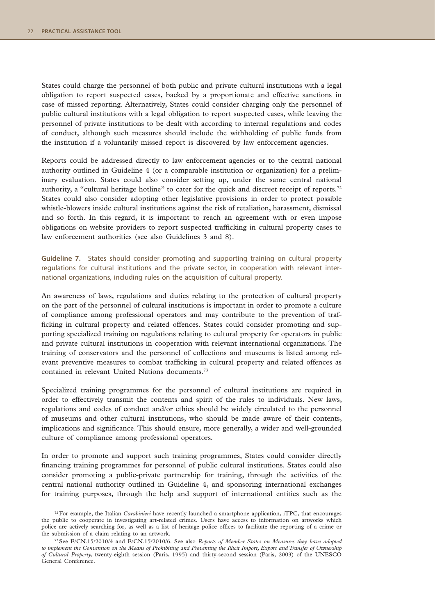<span id="page-33-0"></span>States could charge the personnel of both public and private cultural institutions with a legal obligation to report suspected cases, backed by a proportionate and effective sanctions in case of missed reporting. Alternatively, States could consider charging only the personnel of public cultural institutions with a legal obligation to report suspected cases, while leaving the personnel of private institutions to be dealt with according to internal regulations and codes of conduct, although such measures should include the withholding of public funds from the institution if a voluntarily missed report is discovered by law enforcement agencies.

Reports could be addressed directly to law enforcement agencies or to the central national authority outlined in Guideline 4 (or a comparable institution or organization) for a preliminary evaluation. States could also consider setting up, under the same central national authority, a "cultural heritage hotline" to cater for the quick and discreet receipt of reports.72 States could also consider adopting other legislative provisions in order to protect possible whistle-blowers inside cultural institutions against the risk of retaliation, harassment, dismissal and so forth. In this regard, it is important to reach an agreement with or even impose obligations on website providers to report suspected trafficking in cultural property cases to law enforcement authorities (see also Guidelines 3 and 8).

**Guideline 7.** States should consider promoting and supporting training on cultural property regulations for cultural institutions and the private sector, in cooperation with relevant international organizations, including rules on the acquisition of cultural property.

An awareness of laws, regulations and duties relating to the protection of cultural property on the part of the personnel of cultural institutions is important in order to promote a culture of compliance among professional operators and may contribute to the prevention of trafficking in cultural property and related offences. States could consider promoting and supporting specialized training on regulations relating to cultural property for operators in public and private cultural institutions in cooperation with relevant international organizations. The training of conservators and the personnel of collections and museums is listed among relevant preventive measures to combat trafficking in cultural property and related offences as contained in relevant United Nations documents.73

Specialized training programmes for the personnel of cultural institutions are required in order to effectively transmit the contents and spirit of the rules to individuals. New laws, regulations and codes of conduct and/or ethics should be widely circulated to the personnel of museums and other cultural institutions, who should be made aware of their contents, implications and significance. This should ensure, more generally, a wider and well-grounded culture of compliance among professional operators.

In order to promote and support such training programmes, States could consider directly financing training programmes for personnel of public cultural institutions. States could also consider promoting a public-private partnership for training, through the activities of the central national authority outlined in Guideline 4, and sponsoring international exchanges for training purposes, through the help and support of international entities such as the

<sup>72</sup>For example, the Italian *Carabinieri* have recently launched a smartphone application, iTPC, that encourages the public to cooperate in investigating art-related crimes. Users have access to information on artworks which police are actively searching for, as well as a list of heritage police offices to facilitate the reporting of a crime or the submission of a claim relating to an artwork.

<sup>73</sup>See E/CN.15/2010/4 and E/CN.15/2010/6. See also *Reports of Member States on Measures they have adopted to implement the Convention on the Means of Prohibiting and Preventing the Illicit Import, Export and Transfer of Ownership of Cultural Property,* twenty-eighth session (Paris, 1995) and thirty-second session (Paris, 2003) of the UNESCO General Conference.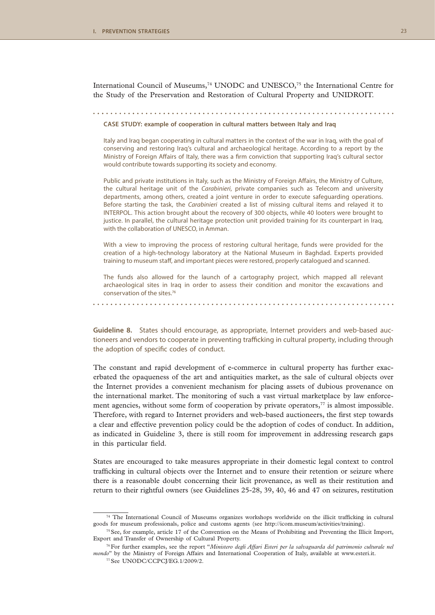<span id="page-34-0"></span>International Council of Museums,74 UNODC and UNESCO,75 the International Centre for the Study of the Preservation and Restoration of Cultural Property and UNIDROIT.

## 

#### **CASE STUDY: example of cooperation in cultural matters between Italy and Iraq**

Italy and Iraq began cooperating in cultural matters in the context of the war in Iraq, with the goal of conserving and restoring Iraq's cultural and archaeological heritage. According to a report by the Ministry of Foreign Affairs of Italy, there was a firm conviction that supporting Iraq's cultural sector would contribute towards supporting its society and economy.

Public and private institutions in Italy, such as the Ministry of Foreign Affairs, the Ministry of Culture, the cultural heritage unit of the *Carabinieri*, private companies such as Telecom and university departments, among others, created a joint venture in order to execute safeguarding operations. Before starting the task, the *Carabinieri* created a list of missing cultural items and relayed it to INTERPOL. This action brought about the recovery of 300 objects, while 40 looters were brought to justice. In parallel, the cultural heritage protection unit provided training for its counterpart in Iraq, with the collaboration of UNESCO, in Amman.

With a view to improving the process of restoring cultural heritage, funds were provided for the creation of a high-technology laboratory at the National Museum in Baghdad. Experts provided training to museum staff, and important pieces were restored, properly catalogued and scanned.

The funds also allowed for the launch of a cartography project, which mapped all relevant archaeological sites in Iraq in order to assess their condition and monitor the excavations and conservation of the sites.76

**Guideline 8.** States should encourage, as appropriate, Internet providers and web-based auctioneers and vendors to cooperate in preventing trafficking in cultural property, including through the adoption of specific codes of conduct.

The constant and rapid development of e-commerce in cultural property has further exacerbated the opaqueness of the art and antiquities market, as the sale of cultural objects over the Internet provides a convenient mechanism for placing assets of dubious provenance on the international market. The monitoring of such a vast virtual marketplace by law enforcement agencies, without some form of cooperation by private operators, $77$  is almost impossible. Therefore, with regard to Internet providers and web-based auctioneers, the first step towards a clear and effective prevention policy could be the adoption of codes of conduct. In addition, as indicated in Guideline 3, there is still room for improvement in addressing research gaps in this particular field.

States are encouraged to take measures appropriate in their domestic legal context to control trafficking in cultural objects over the Internet and to ensure their retention or seizure where there is a reasonable doubt concerning their licit provenance, as well as their restitution and return to their rightful owners (see Guidelines 25-28, 39, 40, 46 and 47 on seizures, restitution

<sup>74</sup> The International Council of Museums organizes workshops worldwide on the illicit trafficking in cultural goods for museum professionals, police and customs agents (see http://icom.museum/activities/training).

<sup>&</sup>lt;sup>75</sup>See, for example, article 17 of the Convention on the Means of Prohibiting and Preventing the Illicit Import, Export and Transfer of Ownership of Cultural Property.

<sup>&</sup>lt;sup>76</sup> For further examples, see the report "*Ministero degli Affari Esteri per la salvaguarda del patrimonio culturale nel mondo*" by the Ministry of Foreign Affairs and International Cooperation of Italy, available at www.esteri.it.

<sup>77</sup>See UNODC/CCPCJ/EG.1/2009/2.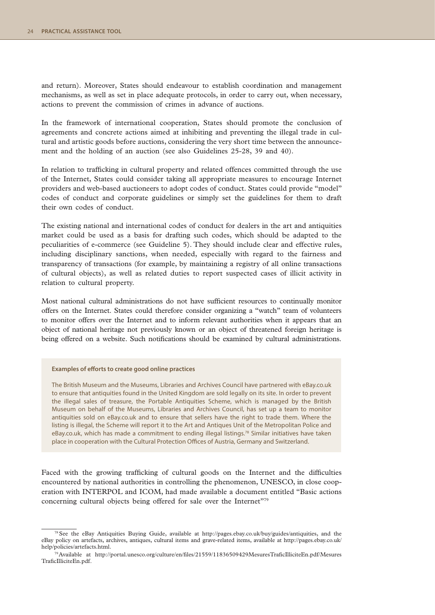and return). Moreover, States should endeavour to establish coordination and management mechanisms, as well as set in place adequate protocols, in order to carry out, when necessary, actions to prevent the commission of crimes in advance of auctions.

In the framework of international cooperation, States should promote the conclusion of agreements and concrete actions aimed at inhibiting and preventing the illegal trade in cultural and artistic goods before auctions, considering the very short time between the announcement and the holding of an auction (see also Guidelines 25-28, 39 and 40).

In relation to trafficking in cultural property and related offences committed through the use of the Internet, States could consider taking all appropriate measures to encourage Internet providers and web-based auctioneers to adopt codes of conduct. States could provide "model" codes of conduct and corporate guidelines or simply set the guidelines for them to draft their own codes of conduct.

The existing national and international codes of conduct for dealers in the art and antiquities market could be used as a basis for drafting such codes, which should be adapted to the peculiarities of e-commerce (see Guideline 5). They should include clear and effective rules, including disciplinary sanctions, when needed, especially with regard to the fairness and transparency of transactions (for example, by maintaining a registry of all online transactions of cultural objects), as well as related duties to report suspected cases of illicit activity in relation to cultural property.

Most national cultural administrations do not have sufficient resources to continually monitor offers on the Internet. States could therefore consider organizing a "watch" team of volunteers to monitor offers over the Internet and to inform relevant authorities when it appears that an object of national heritage not previously known or an object of threatened foreign heritage is being offered on a website. Such notifications should be examined by cultural administrations.

#### **Examples of efforts to create good online practices**

The British Museum and the Museums, Libraries and Archives Council have partnered with eBay.co.uk to ensure that antiquities found in the United Kingdom are sold legally on its site. In order to prevent the illegal sales of treasure, the Portable Antiquities Scheme, which is managed by the British Museum on behalf of the Museums, Libraries and Archives Council, has set up a team to monitor antiquities sold on eBay.co.uk and to ensure that sellers have the right to trade them. Where the listing is illegal, the Scheme will report it to the Art and Antiques Unit of the Metropolitan Police and eBay.co.uk, which has made a commitment to ending illegal listings.<sup>78</sup> Similar initiatives have taken place in cooperation with the Cultural Protection Offices of Austria, Germany and Switzerland.

Faced with the growing trafficking of cultural goods on the Internet and the difficulties encountered by national authorities in controlling the phenomenon, UNESCO, in close cooperation with INTERPOL and ICOM, had made available a document entitled "Basic actions concerning cultural objects being offered for sale over the Internet"79

<sup>78</sup>See the eBay Antiquities Buying Guide, available at http://pages.ebay.co.uk/buy/guides/antiquities, and the eBay policy on artefacts, archives, antiques, cultural items and grave-related items, available at http://pages.ebay.co.uk/ help/policies/artefacts.html.

<sup>79</sup>Available at http://portal.unesco.org/culture/en/files/21559/11836509429MesuresTraficIlliciteEn.pdf/Mesures TraficIlliciteEn.pdf.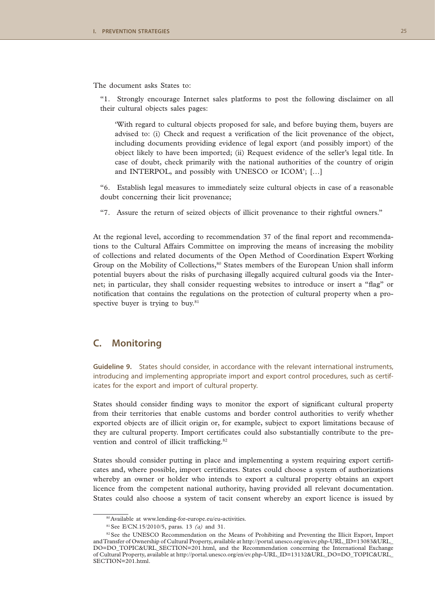The document asks States to:

"1. Strongly encourage Internet sales platforms to post the following disclaimer on all their cultural objects sales pages:

 'With regard to cultural objects proposed for sale, and before buying them, buyers are advised to: (i) Check and request a verification of the licit provenance of the object, including documents providing evidence of legal export (and possibly import) of the object likely to have been imported; (ii) Request evidence of the seller's legal title. In case of doubt, check primarily with the national authorities of the country of origin and INTERPOL, and possibly with UNESCO or ICOM'; […]

"6. Establish legal measures to immediately seize cultural objects in case of a reasonable doubt concerning their licit provenance;

"7. Assure the return of seized objects of illicit provenance to their rightful owners."

At the regional level, according to recommendation 37 of the final report and recommendations to the Cultural Affairs Committee on improving the means of increasing the mobility of collections and related documents of the Open Method of Coordination Expert Working Group on the Mobility of Collections, $80$  States members of the European Union shall inform potential buyers about the risks of purchasing illegally acquired cultural goods via the Internet; in particular, they shall consider requesting websites to introduce or insert a "flag" or notification that contains the regulations on the protection of cultural property when a prospective buyer is trying to buy.<sup>81</sup>

#### **C. Monitoring**

**Guideline 9.** States should consider, in accordance with the relevant international instruments, introducing and implementing appropriate import and export control procedures, such as certificates for the export and import of cultural property.

States should consider finding ways to monitor the export of significant cultural property from their territories that enable customs and border control authorities to verify whether exported objects are of illicit origin or, for example, subject to export limitations because of they are cultural property. Import certificates could also substantially contribute to the prevention and control of illicit trafficking.<sup>82</sup>

States should consider putting in place and implementing a system requiring export certificates and, where possible, import certificates. States could choose a system of authorizations whereby an owner or holder who intends to export a cultural property obtains an export licence from the competent national authority, having provided all relevant documentation. States could also choose a system of tacit consent whereby an export licence is issued by

<sup>80</sup>Available at www.lending-for-europe.eu/eu-activities.

<sup>81</sup>See E/CN.15/2010/5, paras. 13 *(a)* and 31.

<sup>82</sup> See the UNESCO Recommendation on the Means of Prohibiting and Preventing the Illicit Export, Import and Transfer of Ownership of Cultural Property, available at http://portal.unesco.org/en/ev.php-URL\_ID=13083&URL\_ DO=DO\_TOPIC&URL\_SECTION=201.html, and the Recommendation concerning the International Exchange of Cultural Property, available at http://portal.unesco.org/en/ev.php-URL\_ID=13132&URL\_DO=DO\_TOPIC&URL\_ SECTION=201.html.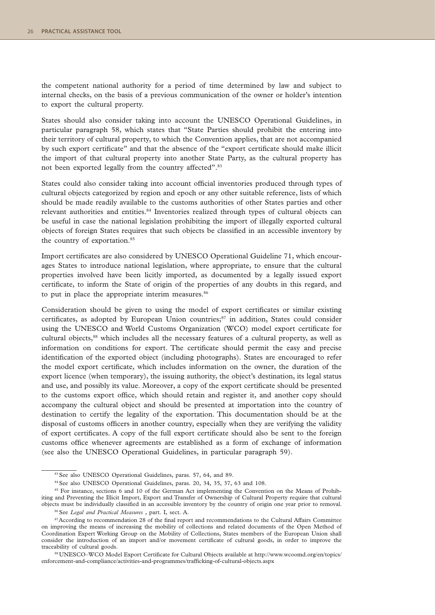the competent national authority for a period of time determined by law and subject to internal checks, on the basis of a previous communication of the owner or holder's intention to export the cultural property.

States should also consider taking into account the UNESCO Operational Guidelines, in particular paragraph 58, which states that "State Parties should prohibit the entering into their territory of cultural property, to which the Convention applies, that are not accompanied by such export certificate" and that the absence of the "export certificate should make illicit the import of that cultural property into another State Party, as the cultural property has not been exported legally from the country affected".83

States could also consider taking into account official inventories produced through types of cultural objects categorized by region and epoch or any other suitable reference, lists of which should be made readily available to the customs authorities of other States parties and other relevant authorities and entities.84 Inventories realized through types of cultural objects can be useful in case the national legislation prohibiting the import of illegally exported cultural objects of foreign States requires that such objects be classified in an accessible inventory by the country of exportation.85

Import certificates are also considered by UNESCO Operational Guideline 71, which encourages States to introduce national legislation, where appropriate, to ensure that the cultural properties involved have been licitly imported, as documented by a legally issued export certificate, to inform the State of origin of the properties of any doubts in this regard, and to put in place the appropriate interim measures.<sup>86</sup>

Consideration should be given to using the model of export certificates or similar existing certificates, as adopted by European Union countries; $s<sup>7</sup>$  in addition, States could consider using the UNESCO and World Customs Organization (WCO) model export certificate for cultural objects,<sup>88</sup> which includes all the necessary features of a cultural property, as well as information on conditions for export. The certificate should permit the easy and precise identification of the exported object (including photographs). States are encouraged to refer the model export certificate, which includes information on the owner, the duration of the export licence (when temporary), the issuing authority, the object's destination, its legal status and use, and possibly its value. Moreover, a copy of the export certificate should be presented to the customs export office, which should retain and register it, and another copy should accompany the cultural object and should be presented at importation into the country of destination to certify the legality of the exportation. This documentation should be at the disposal of customs officers in another country, especially when they are verifying the validity of export certificates. A copy of the full export certificate should also be sent to the foreign customs office whenever agreements are established as a form of exchange of information (see also the UNESCO Operational Guidelines, in particular paragraph 59).

<sup>83</sup> See also UNESCO Operational Guidelines, paras. 57, 64, and 89.

<sup>84</sup>See also UNESCO Operational Guidelines, paras. 20, 34, 35, 37, 63 and 108.

<sup>&</sup>lt;sup>85</sup> For instance, sections 6 and 10 of the German Act implementing the Convention on the Means of Prohibiting and Preventing the Illicit Import, Export and Transfer of Ownership of Cultural Property require that cultural objects must be individually classified in an accessible inventory by the country of origin one year prior to removal.

<sup>86</sup>See *Legal and Practical Measures* , part. I, sect. A.

<sup>&</sup>lt;sup>87</sup>According to recommendation 28 of the final report and recommendations to the Cultural Affairs Committee on improving the means of increasing the mobility of collections and related documents of the Open Method of Coordination Expert Working Group on the Mobility of Collections, States members of the European Union shall consider the introduction of an import and/or movement certificate of cultural goods, in order to improve the traceability of cultural goods.

[<sup>88</sup>UNESCO–WCO Model Export Certificate for Cultural Objects available at http://www.wcoomd.org/en/topics/](http://www.wcoomd.org/en/topics/enforcement-and-compliance/activities-and-programmes/trafficking-of-cultural-objects.aspx) enforcement-and-compliance/activities-and-programmes/trafficking-of-cultural-objects.aspx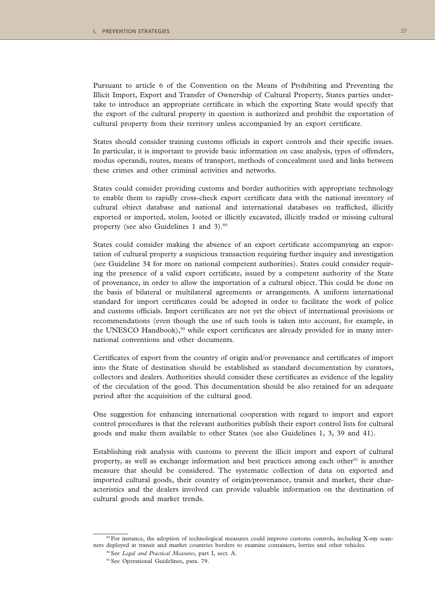Pursuant to article 6 of the Convention on the Means of Prohibiting and Preventing the Illicit Import, Export and Transfer of Ownership of Cultural Property, States parties undertake to introduce an appropriate certificate in which the exporting State would specify that the export of the cultural property in question is authorized and prohibit the exportation of cultural property from their territory unless accompanied by an export certificate.

States should consider training customs officials in export controls and their specific issues. In particular, it is important to provide basic information on case analysis, types of offenders, modus operandi, routes, means of transport, methods of concealment used and links between these crimes and other criminal activities and networks.

States could consider providing customs and border authorities with appropriate technology to enable them to rapidly cross-check export certificate data with the national inventory of cultural object database and national and international databases on trafficked, illicitly exported or imported, stolen, looted or illicitly excavated, illicitly traded or missing cultural property (see also Guidelines 1 and 3).<sup>89</sup>

States could consider making the absence of an export certificate accompanying an exportation of cultural property a suspicious transaction requiring further inquiry and investigation (see Guideline 34 for more on national competent authorities). States could consider requiring the presence of a valid export certificate, issued by a competent authority of the State of provenance, in order to allow the importation of a cultural object. This could be done on the basis of bilateral or multilateral agreements or arrangements. A uniform international standard for import certificates could be adopted in order to facilitate the work of police and customs officials. Import certificates are not yet the object of international provisions or recommendations (even though the use of such tools is taken into account, for example, in the UNESCO Handbook), $90$  while export certificates are already provided for in many international conventions and other documents.

Certificates of export from the country of origin and/or provenance and certificates of import into the State of destination should be established as standard documentation by curators, collectors and dealers. Authorities should consider these certificates as evidence of the legality of the circulation of the good. This documentation should be also retained for an adequate period after the acquisition of the cultural good.

One suggestion for enhancing international cooperation with regard to import and export control procedures is that the relevant authorities publish their export control lists for cultural goods and make them available to other States (see also Guidelines 1, 3, 39 and 41).

Establishing risk analysis with customs to prevent the illicit import and export of cultural property, as well as exchange information and best practices among each other<sup>91</sup> is another measure that should be considered. The systematic collection of data on exported and imported cultural goods, their country of origin/provenance, transit and market, their characteristics and the dealers involved can provide valuable information on the destination of cultural goods and market trends.

<sup>89</sup>For instance, the adoption of technological measures could improve customs controls, including X-ray scanners deployed at transit and market countries borders to examine containers, lorries and other vehicles.

<sup>90</sup>See *Legal and Practical Measures*, part I, sect. A.

<sup>&</sup>lt;sup>91</sup> See Operational Guidelines, para. 79.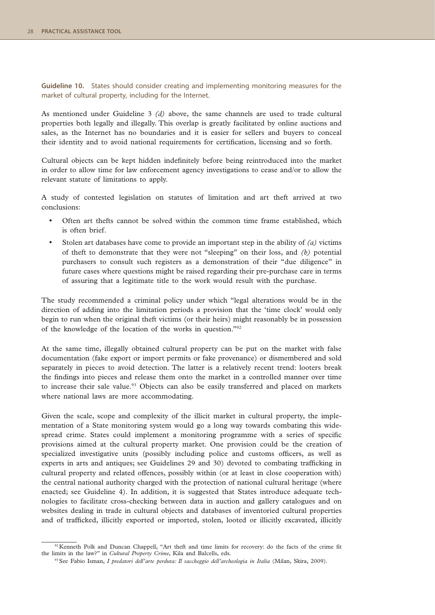**Guideline 10.** States should consider creating and implementing monitoring measures for the market of cultural property, including for the Internet.

As mentioned under Guideline 3 *(d)* above, the same channels are used to trade cultural properties both legally and illegally. This overlap is greatly facilitated by online auctions and sales, as the Internet has no boundaries and it is easier for sellers and buyers to conceal their identity and to avoid national requirements for certification, licensing and so forth.

Cultural objects can be kept hidden indefinitely before being reintroduced into the market in order to allow time for law enforcement agency investigations to cease and/or to allow the relevant statute of limitations to apply.

A study of contested legislation on statutes of limitation and art theft arrived at two conclusions:

- Often art thefts cannot be solved within the common time frame established, which is often brief.
- y Stolen art databases have come to provide an important step in the ability of *(a)* victims of theft to demonstrate that they were not "sleeping" on their loss, and *(b)* potential purchasers to consult such registers as a demonstration of their "due diligence" in future cases where questions might be raised regarding their pre-purchase care in terms of assuring that a legitimate title to the work would result with the purchase.

The study recommended a criminal policy under which "legal alterations would be in the direction of adding into the limitation periods a provision that the 'time clock' would only begin to run when the original theft victims (or their heirs) might reasonably be in possession of the knowledge of the location of the works in question."92

At the same time, illegally obtained cultural property can be put on the market with false documentation (fake export or import permits or fake provenance) or dismembered and sold separately in pieces to avoid detection. The latter is a relatively recent trend: looters break the findings into pieces and release them onto the market in a controlled manner over time to increase their sale value.<sup>93</sup> Objects can also be easily transferred and placed on markets where national laws are more accommodating.

Given the scale, scope and complexity of the illicit market in cultural property, the implementation of a State monitoring system would go a long way towards combating this widespread crime. States could implement a monitoring programme with a series of specific provisions aimed at the cultural property market. One provision could be the creation of specialized investigative units (possibly including police and customs officers, as well as experts in arts and antiques; see Guidelines 29 and 30) devoted to combating trafficking in cultural property and related offences, possibly within (or at least in close cooperation with) the central national authority charged with the protection of national cultural heritage (where enacted; see Guideline 4). In addition, it is suggested that States introduce adequate technologies to facilitate cross-checking between data in auction and gallery catalogues and on websites dealing in trade in cultural objects and databases of inventoried cultural properties and of trafficked, illicitly exported or imported, stolen, looted or illicitly excavated, illicitly

<sup>92</sup> Kenneth Polk and Duncan Chappell, "Art theft and time limits for recovery: do the facts of the crime fit the limits in the law?" in *Cultural Property Crime*, Kila and Balcells, eds.

<sup>93</sup>See Fabio Isman, *I predatori dell'arte perduta: Il saccheggio dell'archeologia in Italia* (Milan, Skira, 2009).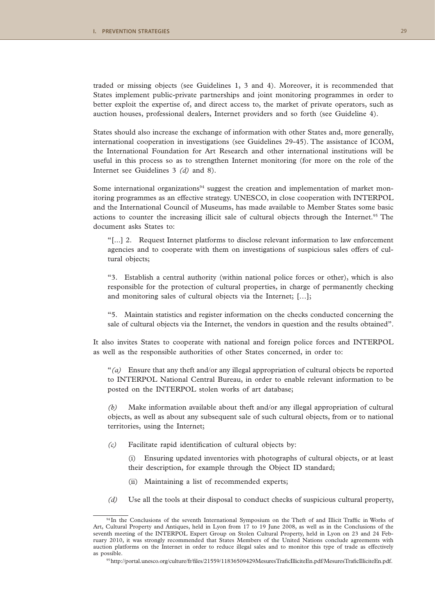traded or missing objects (see Guidelines 1, 3 and 4). Moreover, it is recommended that States implement public-private partnerships and joint monitoring programmes in order to better exploit the expertise of, and direct access to, the market of private operators, such as auction houses, professional dealers, Internet providers and so forth (see Guideline 4).

States should also increase the exchange of information with other States and, more generally, international cooperation in investigations (see Guidelines 29-45). The assistance of ICOM, the International Foundation for Art Research and other international institutions will be useful in this process so as to strengthen Internet monitoring (for more on the role of the Internet see Guidelines 3 *(d)* and 8).

Some international organizations<sup>94</sup> suggest the creation and implementation of market monitoring programmes as an effective strategy. UNESCO, in close cooperation with INTERPOL and the International Council of Museums, has made available to Member States some basic actions to counter the increasing illicit sale of cultural objects through the Internet.<sup>95</sup> The document asks States to:

"[...] 2. Request Internet platforms to disclose relevant information to law enforcement agencies and to cooperate with them on investigations of suspicious sales offers of cultural objects;

"3. Establish a central authority (within national police forces or other), which is also responsible for the protection of cultural properties, in charge of permanently checking and monitoring sales of cultural objects via the Internet; […];

"5. Maintain statistics and register information on the checks conducted concerning the sale of cultural objects via the Internet, the vendors in question and the results obtained".

It also invites States to cooperate with national and foreign police forces and INTERPOL as well as the responsible authorities of other States concerned, in order to:

"*(a)* Ensure that any theft and/or any illegal appropriation of cultural objects be reported to INTERPOL National Central Bureau, in order to enable relevant information to be posted on the INTERPOL stolen works of art database;

*(b)* Make information available about theft and/or any illegal appropriation of cultural objects, as well as about any subsequent sale of such cultural objects, from or to national territories, using the Internet;

*(c)* Facilitate rapid identification of cultural objects by:

(i) Ensuring updated inventories with photographs of cultural objects, or at least their description, for example through the Object ID standard;

- (ii) Maintaining a list of recommended experts;
- *(d)* Use all the tools at their disposal to conduct checks of suspicious cultural property,

<sup>94</sup> In the Conclusions of the seventh International Symposium on the Theft of and Illicit Traffic in Works of Art, Cultural Property and Antiques, held in Lyon from 17 to 19 June 2008, as well as in the Conclusions of the seventh meeting of the INTERPOL Expert Group on Stolen Cultural Property, held in Lyon on 23 and 24 February 2010, it was strongly recommended that States Members of the United Nations conclude agreements with auction platforms on the Internet in order to reduce illegal sales and to monitor this type of trade as effectively as possible.

<sup>95</sup>http://portal.unesco.org/culture/fr/files/21559/11836509429MesuresTraficIlliciteEn.pdf/MesuresTraficIlliciteEn.pdf.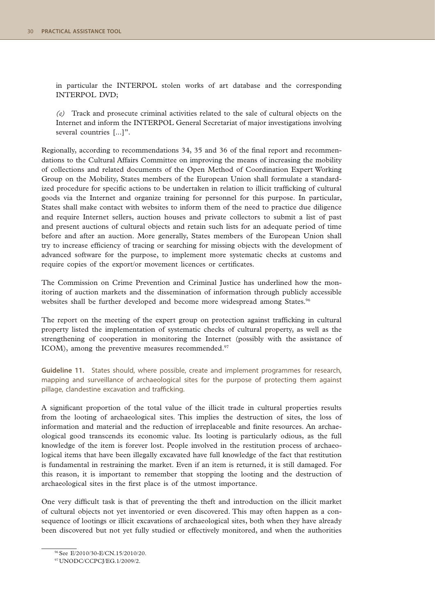in particular the INTERPOL stolen works of art database and the corresponding INTERPOL DVD;

*(e)* Track and prosecute criminal activities related to the sale of cultural objects on the Internet and inform the INTERPOL General Secretariat of major investigations involving several countries [...]".

Regionally, according to recommendations 34, 35 and 36 of the final report and recommendations to the Cultural Affairs Committee on improving the means of increasing the mobility of collections and related documents of the Open Method of Coordination Expert Working Group on the Mobility, States members of the European Union shall formulate a standardized procedure for specific actions to be undertaken in relation to illicit trafficking of cultural goods via the Internet and organize training for personnel for this purpose. In particular, States shall make contact with websites to inform them of the need to practice due diligence and require Internet sellers, auction houses and private collectors to submit a list of past and present auctions of cultural objects and retain such lists for an adequate period of time before and after an auction. More generally, States members of the European Union shall try to increase efficiency of tracing or searching for missing objects with the development of advanced software for the purpose, to implement more systematic checks at customs and require copies of the export/or movement licences or certificates.

The Commission on Crime Prevention and Criminal Justice has underlined how the monitoring of auction markets and the dissemination of information through publicly accessible websites shall be further developed and become more widespread among States.<sup>96</sup>

The report on the meeting of the expert group on protection against trafficking in cultural property listed the implementation of systematic checks of cultural property, as well as the strengthening of cooperation in monitoring the Internet (possibly with the assistance of ICOM), among the preventive measures recommended.<sup>97</sup>

**Guideline 11.** States should, where possible, create and implement programmes for research, mapping and surveillance of archaeological sites for the purpose of protecting them against pillage, clandestine excavation and trafficking.

A significant proportion of the total value of the illicit trade in cultural properties results from the looting of archaeological sites. This implies the destruction of sites, the loss of information and material and the reduction of irreplaceable and finite resources. An archaeological good transcends its economic value. Its looting is particularly odious, as the full knowledge of the item is forever lost. People involved in the restitution process of archaeological items that have been illegally excavated have full knowledge of the fact that restitution is fundamental in restraining the market. Even if an item is returned, it is still damaged. For this reason, it is important to remember that stopping the looting and the destruction of archaeological sites in the first place is of the utmost importance.

One very difficult task is that of preventing the theft and introduction on the illicit market of cultural objects not yet inventoried or even discovered. This may often happen as a consequence of lootings or illicit excavations of archaeological sites, both when they have already been discovered but not yet fully studied or effectively monitored, and when the authorities

<sup>96</sup>See E/2010/30-E/CN.15/2010/20.

<sup>97</sup> UNODC/CCPCJ/EG.1/2009/2.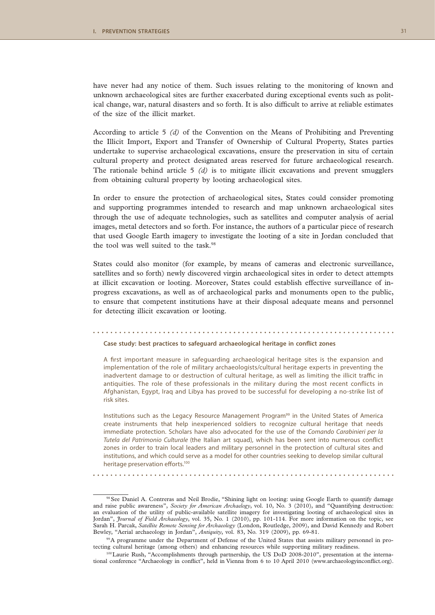have never had any notice of them. Such issues relating to the monitoring of known and unknown archaeological sites are further exacerbated during exceptional events such as political change, war, natural disasters and so forth. It is also difficult to arrive at reliable estimates of the size of the illicit market.

According to article 5 *(d)* of the Convention on the Means of Prohibiting and Preventing the Illicit Import, Export and Transfer of Ownership of Cultural Property, States parties undertake to supervise archaeological excavations, ensure the preservation in situ of certain cultural property and protect designated areas reserved for future archaeological research. The rationale behind article 5 *(d)* is to mitigate illicit excavations and prevent smugglers from obtaining cultural property by looting archaeological sites.

In order to ensure the protection of archaeological sites, States could consider promoting and supporting programmes intended to research and map unknown archaeological sites through the use of adequate technologies, such as satellites and computer analysis of aerial images, metal detectors and so forth. For instance, the authors of a particular piece of research that used Google Earth imagery to investigate the looting of a site in Jordan concluded that the tool was well suited to the task.98

States could also monitor (for example, by means of cameras and electronic surveillance, satellites and so forth) newly discovered virgin archaeological sites in order to detect attempts at illicit excavation or looting. Moreover, States could establish effective surveillance of inprogress excavations, as well as of archaeological parks and monuments open to the public, to ensure that competent institutions have at their disposal adequate means and personnel for detecting illicit excavation or looting.

#### **Case study: best practices to safeguard archaeological heritage in conflict zones**

A first important measure in safeguarding archaeological heritage sites is the expansion and implementation of the role of military archaeologists/cultural heritage experts in preventing the inadvertent damage to or destruction of cultural heritage, as well as limiting the illicit traffic in antiquities. The role of these professionals in the military during the most recent conflicts in Afghanistan, Egypt, Iraq and Libya has proved to be successful for developing a no-strike list of risk sites.

Institutions such as the Legacy Resource Management Program<sup>99</sup> in the United States of America create instruments that help inexperienced soldiers to recognize cultural heritage that needs immediate protection. Scholars have also advocated for the use of the *Comando Carabinieri per la Tutela del Patrimonio Culturale* (the Italian art squad), which has been sent into numerous conflict zones in order to train local leaders and military personnel in the protection of cultural sites and institutions, and which could serve as a model for other countries seeking to develop similar cultural heritage preservation efforts.<sup>100</sup>

<sup>98</sup> See Daniel A. Contreras and Neil Brodie, "Shining light on looting: using Google Earth to quantify damage and raise public awareness", *Society for American Archaelogy*, vol. 10, No. 3 (2010), and "Quantifying destruction: an evaluation of the utility of public-available satellite imagery for investigating looting of archaeological sites in Jordan", *Journal of Field Archaeology*, vol. 35, No. 1 (2010), pp. 101-114. For more information on the topic, see Sarah H. Parcak, *Satellite Remote Sensing for Archaeology* (London, Routledge, 2009), and David Kennedy and Robert Bewley, "Aerial archaeology in Jordan", *Antiquity*, vol. 83, No. 319 (2009), pp. 69-81.

<sup>99</sup>A programme under the Department of Defense of the United States that assists military personnel in protecting cultural heritage (among others) and enhancing resources while supporting military readiness.

<sup>&</sup>lt;sup>100</sup>Laurie Rush, "Accomplishments through partnership, the US DoD 2008-2010", presentation at the international conference "Archaeology in conflict", held in Vienna from 6 to 10 April 2010 (www.archaeologyinconflict.org).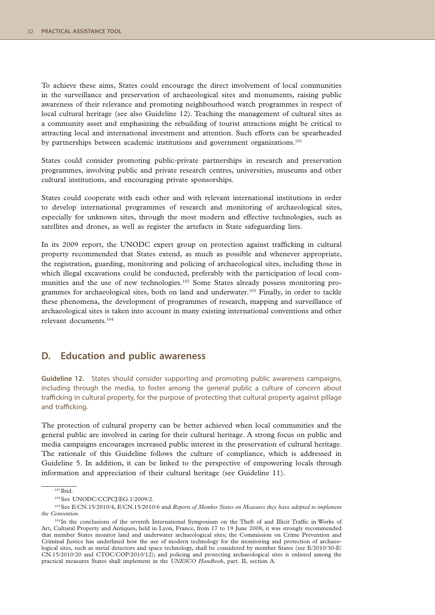To achieve these aims, States could encourage the direct involvement of local communities in the surveillance and preservation of archaeological sites and monuments, raising public awareness of their relevance and promoting neighbourhood watch programmes in respect of local cultural heritage (see also Guideline 12). Teaching the management of cultural sites as a community asset and emphasizing the rebuilding of tourist attractions might be critical to attracting local and international investment and attention. Such efforts can be spearheaded by partnerships between academic institutions and government organizations.<sup>101</sup>

States could consider promoting public-private partnerships in research and preservation programmes, involving public and private research centres, universities, museums and other cultural institutions, and encouraging private sponsorships.

States could cooperate with each other and with relevant international institutions in order to develop international programmes of research and monitoring of archaeological sites, especially for unknown sites, through the most modern and effective technologies, such as satellites and drones, as well as register the artefacts in State safeguarding lists.

In its 2009 report, the UNODC expert group on protection against trafficking in cultural property recommended that States extend, as much as possible and whenever appropriate, the registration, guarding, monitoring and policing of archaeological sites, including those in which illegal excavations could be conducted, preferably with the participation of local communities and the use of new technologies.102 Some States already possess monitoring programmes for archaeological sites, both on land and underwater.<sup>103</sup> Finally, in order to tackle these phenomena, the development of programmes of research, mapping and surveillance of archaeological sites is taken into account in many existing international conventions and other relevant documents.104

#### **D. Education and public awareness**

**Guideline 12.** States should consider supporting and promoting public awareness campaigns, including through the media, to foster among the general public a culture of concern about trafficking in cultural property, for the purpose of protecting that cultural property against pillage and trafficking.

The protection of cultural property can be better achieved when local communities and the general public are involved in caring for their cultural heritage. A strong focus on public and media campaigns encourages increased public interest in the preservation of cultural heritage. The rationale of this Guideline follows the culture of compliance, which is addressed in Guideline 5. In addition, it can be linked to the perspective of empowering locals through information and appreciation of their cultural heritage (see Guideline 11).

 $101$  Ibid.

<sup>102</sup> See UNODC/CCPCJ/EG.1/2009/2.

<sup>103</sup>See E/CN.15/2010/4, E/CN.15/2010/6 and *Reports of Member States on Measures they have adopted to implement the Convention*.

<sup>104</sup> In the conclusions of the seventh International Symposium on the Theft of and Illicit Traffic in Works of Art, Cultural Property and Antiques, held in Lyon, France, from 17 to 19 June 2008, it was strongly recommended that member States monitor land and underwater archaeological sites; the Commission on Crime Prevention and Criminal Justice has underlined how the use of modern technology for the monitoring and protection of archaeological sites, such as metal detectors and space technology, shall be considered by member States (see E/2010/30-E/ CN.15/2010/20 and CTOC/COP/2010/12); and policing and protecting archaeological sites is enlisted among the practical measures States shall implement in the *UNESCO Handbook*, part. II, section A.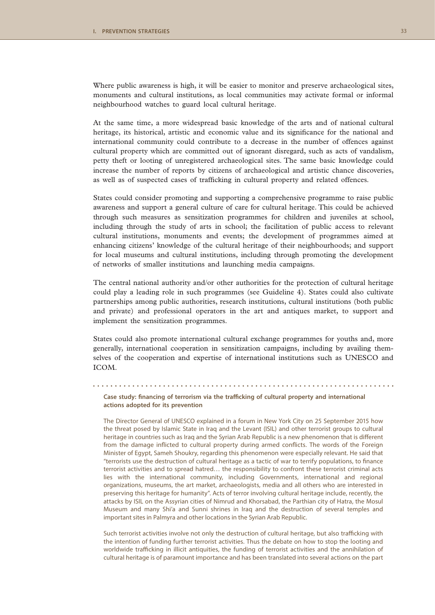Where public awareness is high, it will be easier to monitor and preserve archaeological sites, monuments and cultural institutions, as local communities may activate formal or informal neighbourhood watches to guard local cultural heritage.

At the same time, a more widespread basic knowledge of the arts and of national cultural heritage, its historical, artistic and economic value and its significance for the national and international community could contribute to a decrease in the number of offences against cultural property which are committed out of ignorant disregard, such as acts of vandalism, petty theft or looting of unregistered archaeological sites. The same basic knowledge could increase the number of reports by citizens of archaeological and artistic chance discoveries, as well as of suspected cases of trafficking in cultural property and related offences.

States could consider promoting and supporting a comprehensive programme to raise public awareness and support a general culture of care for cultural heritage. This could be achieved through such measures as sensitization programmes for children and juveniles at school, including through the study of arts in school; the facilitation of public access to relevant cultural institutions, monuments and events; the development of programmes aimed at enhancing citizens' knowledge of the cultural heritage of their neighbourhoods; and support for local museums and cultural institutions, including through promoting the development of networks of smaller institutions and launching media campaigns.

The central national authority and/or other authorities for the protection of cultural heritage could play a leading role in such programmes (see Guideline 4). States could also cultivate partnerships among public authorities, research institutions, cultural institutions (both public and private) and professional operators in the art and antiques market, to support and implement the sensitization programmes.

States could also promote international cultural exchange programmes for youths and, more generally, international cooperation in sensitization campaigns, including by availing themselves of the cooperation and expertise of international institutions such as UNESCO and ICOM.

**Case study: financing of terrorism via the trafficking of cultural property and international actions adopted for its prevention**

The Director General of UNESCO explained in a forum in New York City on 25 September 2015 how the threat posed by Islamic State in Iraq and the Levant (ISIL) and other terrorist groups to cultural heritage in countries such as Iraq and the Syrian Arab Republic is a new phenomenon that is different from the damage inflicted to cultural property during armed conflicts. The words of the Foreign Minister of Egypt, Sameh Shoukry, regarding this phenomenon were especially relevant. He said that "terrorists use the destruction of cultural heritage as a tactic of war to terrify populations, to finance terrorist activities and to spread hatred… the responsibility to confront these terrorist criminal acts lies with the international community, including Governments, international and regional organizations, museums, the art market, archaeologists, media and all others who are interested in preserving this heritage for humanity". Acts of terror involving cultural heritage include, recently, the attacks by ISIL on the Assyrian cities of Nimrud and Khorsabad, the Parthian city of Hatra, the Mosul Museum and many Shi'a and Sunni shrines in Iraq and the destruction of several temples and important sites in Palmyra and other locations in the Syrian Arab Republic.

Such terrorist activities involve not only the destruction of cultural heritage, but also trafficking with the intention of funding further terrorist activities. Thus the debate on how to stop the looting and worldwide trafficking in illicit antiquities, the funding of terrorist activities and the annihilation of cultural heritage is of paramount importance and has been translated into several actions on the part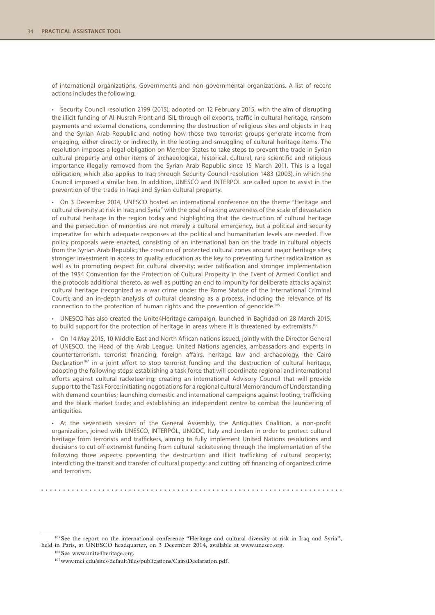of international organizations, Governments and non-governmental organizations. A list of recent actions includes the following:

• Security Council resolution 2199 (2015), adopted on 12 February 2015, with the aim of disrupting the illicit funding of Al-Nusrah Front and ISIL through oil exports, traffic in cultural heritage, ransom payments and external donations, condemning the destruction of religious sites and objects in Iraq and the Syrian Arab Republic and noting how those two terrorist groups generate income from engaging, either directly or indirectly, in the looting and smuggling of cultural heritage items. The resolution imposes a legal obligation on Member States to take steps to prevent the trade in Syrian cultural property and other items of archaeological, historical, cultural, rare scientific and religious importance illegally removed from the Syrian Arab Republic since 15 March 2011. This is a legal obligation, which also applies to Iraq through Security Council resolution 1483 (2003), in which the Council imposed a similar ban. In addition, UNESCO and INTERPOL are called upon to assist in the prevention of the trade in Iraqi and Syrian cultural property.

• On 3 December 2014, UNESCO hosted an international conference on the theme "Heritage and cultural diversity at risk in Iraq and Syria" with the goal of raising awareness of the scale of devastation of cultural heritage in the region today and highlighting that the destruction of cultural heritage and the persecution of minorities are not merely a cultural emergency, but a political and security imperative for which adequate responses at the political and humanitarian levels are needed. Five policy proposals were enacted, consisting of an international ban on the trade in cultural objects from the Syrian Arab Republic; the creation of protected cultural zones around major heritage sites; stronger investment in access to quality education as the key to preventing further radicalization as well as to promoting respect for cultural diversity; wider ratification and stronger implementation of the 1954 Convention for the Protection of Cultural Property in the Event of Armed Conflict and the protocols additional thereto, as well as putting an end to impunity for deliberate attacks against cultural heritage (recognized as a war crime under the Rome Statute of the International Criminal Court); and an in-depth analysis of cultural cleansing as a process, including the relevance of its connection to the protection of human rights and the prevention of genocide.105

• UNESCO has also created the Unite4Heritage campaign, launched in Baghdad on 28 March 2015, to build support for the protection of heritage in areas where it is threatened by extremists.<sup>106</sup>

• On 14 May 2015, 10 Middle East and North African nations issued, jointly with the Director General of UNESCO, the Head of the Arab League, United Nations agencies, ambassadors and experts in counterterrorism, terrorist financing, foreign affairs, heritage law and archaeology, the Cairo Declaration<sup>107</sup> in a joint effort to stop terrorist funding and the destruction of cultural heritage, adopting the following steps: establishing a task force that will coordinate regional and international efforts against cultural racketeering; creating an international Advisory Council that will provide support to the Task Force; initiating negotiations for a regional cultural Memorandum of Understanding with demand countries; launching domestic and international campaigns against looting, trafficking and the black market trade; and establishing an independent centre to combat the laundering of antiquities.

• At the seventieth session of the General Assembly, the Antiquities Coalition, a non-profit organization, joined with UNESCO, INTERPOL, UNODC, Italy and Jordan in order to protect cultural heritage from terrorists and traffickers, aiming to fully implement United Nations resolutions and decisions to cut off extremist funding from cultural racketeering through the implementation of the following three aspects: preventing the destruction and illicit trafficking of cultural property; interdicting the transit and transfer of cultural property; and cutting off financing of organized crime and terrorism.

<sup>105</sup> See the report on the international conference "Heritage and cultural diversity at risk in Iraq and Syria", held in Paris, at UNESCO headquarter, on 3 December 2014, available at www.unesco.org.

<sup>&</sup>lt;sup>106</sup>See www.unite4heritage.org.

<sup>107</sup>www.mei.edu/sites/default/files/publications/CairoDeclaration.pdf.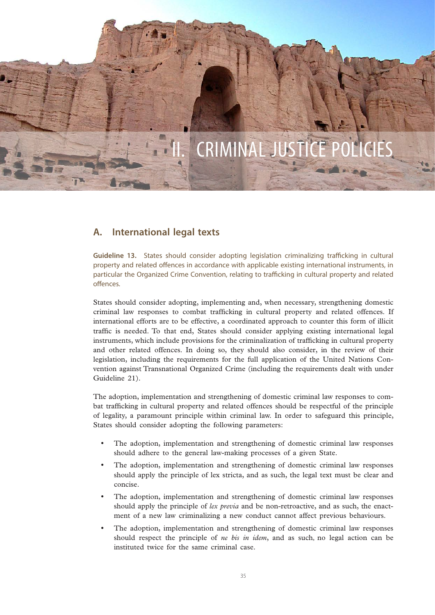# CRIMINAL JUSTICE POLICIES

## **A. International legal texts**

**Guideline 13.** States should consider adopting legislation criminalizing trafficking in cultural property and related offences in accordance with applicable existing international instruments, in particular the Organized Crime Convention, relating to trafficking in cultural property and related offences.

States should consider adopting, implementing and, when necessary, strengthening domestic criminal law responses to combat trafficking in cultural property and related offences. If international efforts are to be effective, a coordinated approach to counter this form of illicit traffic is needed. To that end, States should consider applying existing international legal instruments, which include provisions for the criminalization of trafficking in cultural property and other related offences. In doing so, they should also consider, in the review of their legislation, including the requirements for the full application of the United Nations Convention against Transnational Organized Crime (including the requirements dealt with under Guideline 21).

The adoption, implementation and strengthening of domestic criminal law responses to combat trafficking in cultural property and related offences should be respectful of the principle of legality, a paramount principle within criminal law. In order to safeguard this principle, States should consider adopting the following parameters:

- The adoption, implementation and strengthening of domestic criminal law responses should adhere to the general law-making processes of a given State.
- The adoption, implementation and strengthening of domestic criminal law responses should apply the principle of lex stricta, and as such, the legal text must be clear and concise.
- The adoption, implementation and strengthening of domestic criminal law responses should apply the principle of *lex previa* and be non-retroactive, and as such, the enactment of a new law criminalizing a new conduct cannot affect previous behaviours.
- The adoption, implementation and strengthening of domestic criminal law responses should respect the principle of *ne bis in idem*, and as such, no legal action can be instituted twice for the same criminal case.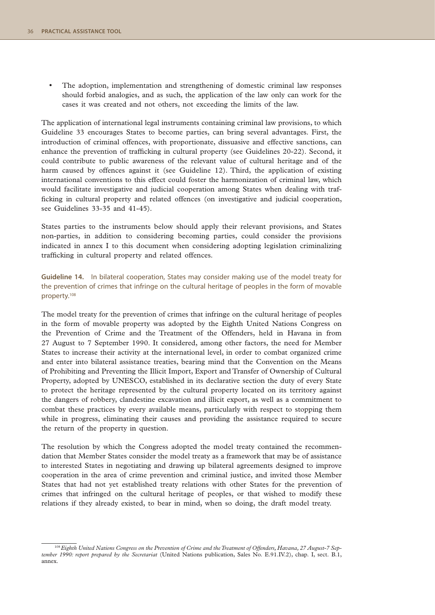• The adoption, implementation and strengthening of domestic criminal law responses should forbid analogies, and as such, the application of the law only can work for the cases it was created and not others, not exceeding the limits of the law.

The application of international legal instruments containing criminal law provisions, to which Guideline 33 encourages States to become parties, can bring several advantages. First, the introduction of criminal offences, with proportionate, dissuasive and effective sanctions, can enhance the prevention of trafficking in cultural property (see Guidelines 20-22). Second, it could contribute to public awareness of the relevant value of cultural heritage and of the harm caused by offences against it (see Guideline 12). Third, the application of existing international conventions to this effect could foster the harmonization of criminal law, which would facilitate investigative and judicial cooperation among States when dealing with trafficking in cultural property and related offences (on investigative and judicial cooperation, see Guidelines 33-35 and 41-45).

States parties to the instruments below should apply their relevant provisions, and States non-parties, in addition to considering becoming parties, could consider the provisions indicated in annex I to this document when considering adopting legislation criminalizing trafficking in cultural property and related offences.

**Guideline 14.** In bilateral cooperation, States may consider making use of the model treaty for the prevention of crimes that infringe on the cultural heritage of peoples in the form of movable property.108

The model treaty for the prevention of crimes that infringe on the cultural heritage of peoples in the form of movable property was adopted by the Eighth United Nations Congress on the Prevention of Crime and the Treatment of the Offenders, held in Havana in from 27 August to 7 September 1990. It considered, among other factors, the need for Member States to increase their activity at the international level, in order to combat organized crime and enter into bilateral assistance treaties, bearing mind that the Convention on the Means of Prohibiting and Preventing the Illicit Import, Export and Transfer of Ownership of Cultural Property, adopted by UNESCO, established in its declarative section the duty of every State to protect the heritage represented by the cultural property located on its territory against the dangers of robbery, clandestine excavation and illicit export, as well as a commitment to combat these practices by every available means, particularly with respect to stopping them while in progress, eliminating their causes and providing the assistance required to secure the return of the property in question.

The resolution by which the Congress adopted the model treaty contained the recommendation that Member States consider the model treaty as a framework that may be of assistance to interested States in negotiating and drawing up bilateral agreements designed to improve cooperation in the area of crime prevention and criminal justice, and invited those Member States that had not yet established treaty relations with other States for the prevention of crimes that infringed on the cultural heritage of peoples, or that wished to modify these relations if they already existed, to bear in mind, when so doing, the draft model treaty.

<sup>108</sup>*Eighth United Nations Congress on the Prevention of Crime and the Treatment of Offenders, Havana, 27 August-7 September 1990: report prepared by the Secretariat* (United Nations publication, Sales No. E.91.IV.2), chap. I, sect. B.1, annex.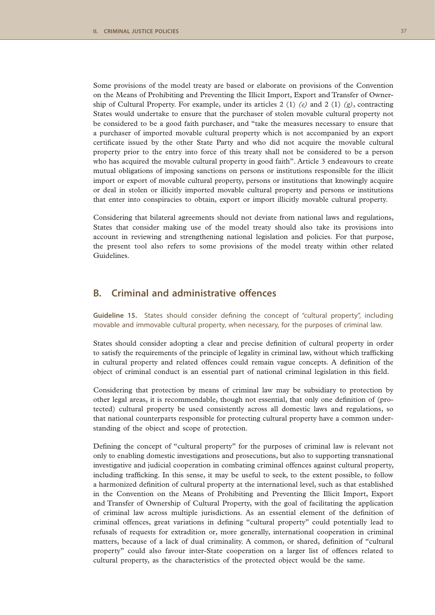Some provisions of the model treaty are based or elaborate on provisions of the Convention on the Means of Prohibiting and Preventing the Illicit Import, Export and Transfer of Ownership of Cultural Property. For example, under its articles 2 (1) *(e)* and 2 (1) *(g)*, contracting States would undertake to ensure that the purchaser of stolen movable cultural property not be considered to be a good faith purchaser, and "take the measures necessary to ensure that a purchaser of imported movable cultural property which is not accompanied by an export certificate issued by the other State Party and who did not acquire the movable cultural property prior to the entry into force of this treaty shall not be considered to be a person who has acquired the movable cultural property in good faith". Article 3 endeavours to create mutual obligations of imposing sanctions on persons or institutions responsible for the illicit import or export of movable cultural property, persons or institutions that knowingly acquire or deal in stolen or illicitly imported movable cultural property and persons or institutions that enter into conspiracies to obtain, export or import illicitly movable cultural property.

Considering that bilateral agreements should not deviate from national laws and regulations, States that consider making use of the model treaty should also take its provisions into account in reviewing and strengthening national legislation and policies. For that purpose, the present tool also refers to some provisions of the model treaty within other related Guidelines.

#### **B. Criminal and administrative offences**

**Guideline 15.** States should consider defining the concept of "cultural property", including movable and immovable cultural property, when necessary, for the purposes of criminal law.

States should consider adopting a clear and precise definition of cultural property in order to satisfy the requirements of the principle of legality in criminal law, without which trafficking in cultural property and related offences could remain vague concepts. A definition of the object of criminal conduct is an essential part of national criminal legislation in this field.

Considering that protection by means of criminal law may be subsidiary to protection by other legal areas, it is recommendable, though not essential, that only one definition of (protected) cultural property be used consistently across all domestic laws and regulations, so that national counterparts responsible for protecting cultural property have a common understanding of the object and scope of protection.

Defining the concept of "cultural property" for the purposes of criminal law is relevant not only to enabling domestic investigations and prosecutions, but also to supporting transnational investigative and judicial cooperation in combating criminal offences against cultural property, including trafficking. In this sense, it may be useful to seek, to the extent possible, to follow a harmonized definition of cultural property at the international level, such as that established in the Convention on the Means of Prohibiting and Preventing the Illicit Import, Export and Transfer of Ownership of Cultural Property, with the goal of facilitating the application of criminal law across multiple jurisdictions. As an essential element of the definition of criminal offences, great variations in defining "cultural property" could potentially lead to refusals of requests for extradition or, more generally, international cooperation in criminal matters, because of a lack of dual criminality. A common, or shared, definition of "cultural property" could also favour inter-State cooperation on a larger list of offences related to cultural property, as the characteristics of the protected object would be the same.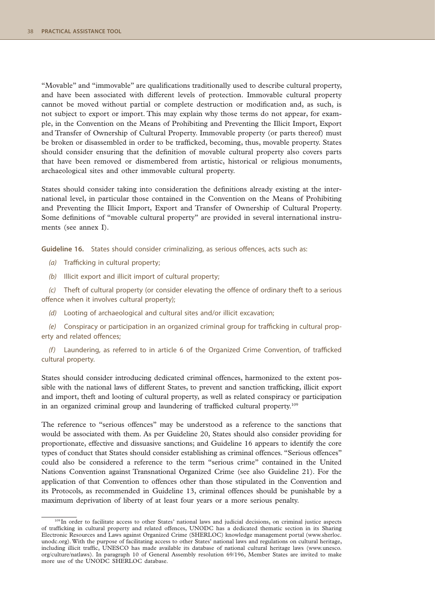"Movable" and "immovable" are qualifications traditionally used to describe cultural property, and have been associated with different levels of protection. Immovable cultural property cannot be moved without partial or complete destruction or modification and, as such, is not subject to export or import. This may explain why those terms do not appear, for example, in the Convention on the Means of Prohibiting and Preventing the Illicit Import, Export and Transfer of Ownership of Cultural Property. Immovable property (or parts thereof) must be broken or disassembled in order to be trafficked, becoming, thus, movable property. States should consider ensuring that the definition of movable cultural property also covers parts that have been removed or dismembered from artistic, historical or religious monuments, archaeological sites and other immovable cultural property.

States should consider taking into consideration the definitions already existing at the international level, in particular those contained in the Convention on the Means of Prohibiting and Preventing the Illicit Import, Export and Transfer of Ownership of Cultural Property. Some definitions of "movable cultural property" are provided in several international instruments (see annex I).

**Guideline 16.** States should consider criminalizing, as serious offences, acts such as:

- *(a)* Trafficking in cultural property;
- *(b)* Illicit export and illicit import of cultural property;

*(c)* Theft of cultural property (or consider elevating the offence of ordinary theft to a serious offence when it involves cultural property);

*(d)* Looting of archaeological and cultural sites and/or illicit excavation;

*(e)* Conspiracy or participation in an organized criminal group for trafficking in cultural property and related offences;

*(f)* Laundering, as referred to in article 6 of the Organized Crime Convention, of trafficked cultural property.

States should consider introducing dedicated criminal offences, harmonized to the extent possible with the national laws of different States, to prevent and sanction trafficking, illicit export and import, theft and looting of cultural property, as well as related conspiracy or participation in an organized criminal group and laundering of trafficked cultural property.109

The reference to "serious offences" may be understood as a reference to the sanctions that would be associated with them. As per Guideline 20, States should also consider providing for proportionate, effective and dissuasive sanctions; and Guideline 16 appears to identify the core types of conduct that States should consider establishing as criminal offences. "Serious offences" could also be considered a reference to the term "serious crime" contained in the United Nations Convention against Transnational Organized Crime (see also Guideline 21). For the application of that Convention to offences other than those stipulated in the Convention and its Protocols, as recommended in Guideline 13, criminal offences should be punishable by a maximum deprivation of liberty of at least four years or a more serious penalty.

<sup>&</sup>lt;sup>109</sup> In order to facilitate access to other States' national laws and judicial decisions, on criminal justice aspects of trafficking in cultural property and related offences, UNODC has a dedicated thematic section in its Sharing Electronic Resources and Laws against Organized Crime (SHERLOC) knowledge management portal (www.sherloc. unodc.org). With the purpose of facilitating access to other States' national laws and regulations on cultural heritage, including illicit traffic, UNESCO has made available its database of national cultural heritage laws (www.unesco. org/culture/natlaws). In paragraph 10 of General Assembly resolution 69/196, Member States are invited to make more use of the UNODC SHERLOC database.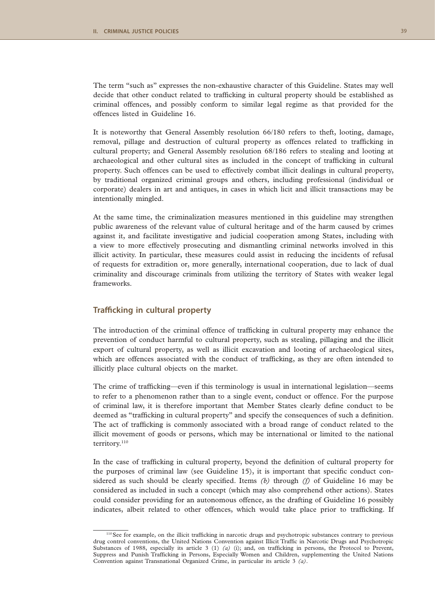The term "such as" expresses the non-exhaustive character of this Guideline. States may well decide that other conduct related to trafficking in cultural property should be established as criminal offences, and possibly conform to similar legal regime as that provided for the offences listed in Guideline 16.

It is noteworthy that General Assembly resolution 66/180 refers to theft, looting, damage, removal, pillage and destruction of cultural property as offences related to trafficking in cultural property; and General Assembly resolution 68/186 refers to stealing and looting at archaeological and other cultural sites as included in the concept of trafficking in cultural property. Such offences can be used to effectively combat illicit dealings in cultural property, by traditional organized criminal groups and others, including professional (individual or corporate) dealers in art and antiques, in cases in which licit and illicit transactions may be intentionally mingled.

At the same time, the criminalization measures mentioned in this guideline may strengthen public awareness of the relevant value of cultural heritage and of the harm caused by crimes against it, and facilitate investigative and judicial cooperation among States, including with a view to more effectively prosecuting and dismantling criminal networks involved in this illicit activity. In particular, these measures could assist in reducing the incidents of refusal of requests for extradition or, more generally, international cooperation, due to lack of dual criminality and discourage criminals from utilizing the territory of States with weaker legal frameworks.

#### **Trafficking in cultural property**

The introduction of the criminal offence of trafficking in cultural property may enhance the prevention of conduct harmful to cultural property, such as stealing, pillaging and the illicit export of cultural property, as well as illicit excavation and looting of archaeological sites, which are offences associated with the conduct of trafficking, as they are often intended to illicitly place cultural objects on the market.

The crime of trafficking—even if this terminology is usual in international legislation—seems to refer to a phenomenon rather than to a single event, conduct or offence. For the purpose of criminal law, it is therefore important that Member States clearly define conduct to be deemed as "trafficking in cultural property" and specify the consequences of such a definition. The act of trafficking is commonly associated with a broad range of conduct related to the illicit movement of goods or persons, which may be international or limited to the national territory.<sup>110</sup>

In the case of trafficking in cultural property, beyond the definition of cultural property for the purposes of criminal law (see Guideline 15), it is important that specific conduct considered as such should be clearly specified. Items *(b)* through *(f)* of Guideline 16 may be considered as included in such a concept (which may also comprehend other actions). States could consider providing for an autonomous offence, as the drafting of Guideline 16 possibly indicates, albeit related to other offences, which would take place prior to trafficking. If

<sup>110</sup>See for example, on the illicit trafficking in narcotic drugs and psychotropic substances contrary to previous drug control conventions, the United Nations Convention against Illicit Traffic in Narcotic Drugs and Psychotropic Substances of 1988, especially its article 3 (1) *(a)* (i); and, on trafficking in persons, the Protocol to Prevent, Suppress and Punish Trafficking in Persons, Especially Women and Children, supplementing the United Nations Convention against Transnational Organized Crime, in particular its article 3 *(a)*.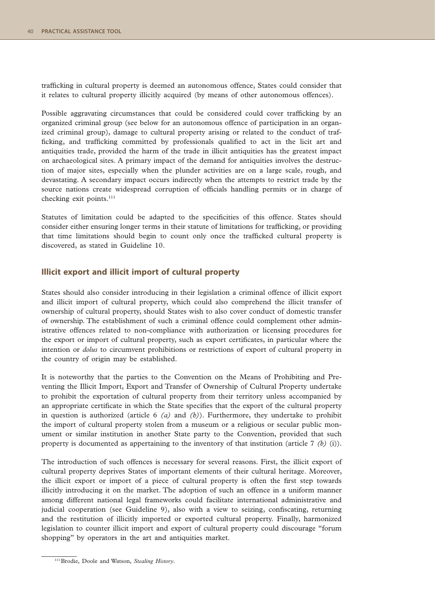trafficking in cultural property is deemed an autonomous offence, States could consider that it relates to cultural property illicitly acquired (by means of other autonomous offences).

Possible aggravating circumstances that could be considered could cover trafficking by an organized criminal group (see below for an autonomous offence of participation in an organized criminal group), damage to cultural property arising or related to the conduct of trafficking, and trafficking committed by professionals qualified to act in the licit art and antiquities trade, provided the harm of the trade in illicit antiquities has the greatest impact on archaeological sites. A primary impact of the demand for antiquities involves the destruction of major sites, especially when the plunder activities are on a large scale, rough, and devastating. A secondary impact occurs indirectly when the attempts to restrict trade by the source nations create widespread corruption of officials handling permits or in charge of checking exit points.<sup>111</sup>

Statutes of limitation could be adapted to the specificities of this offence. States should consider either ensuring longer terms in their statute of limitations for trafficking, or providing that time limitations should begin to count only once the trafficked cultural property is discovered, as stated in Guideline 10.

#### **Illicit export and illicit import of cultural property**

States should also consider introducing in their legislation a criminal offence of illicit export and illicit import of cultural property, which could also comprehend the illicit transfer of ownership of cultural property, should States wish to also cover conduct of domestic transfer of ownership. The establishment of such a criminal offence could complement other administrative offences related to non-compliance with authorization or licensing procedures for the export or import of cultural property, such as export certificates, in particular where the intention or *dolus* to circumvent prohibitions or restrictions of export of cultural property in the country of origin may be established.

It is noteworthy that the parties to the Convention on the Means of Prohibiting and Preventing the Illicit Import, Export and Transfer of Ownership of Cultural Property undertake to prohibit the exportation of cultural property from their territory unless accompanied by an appropriate certificate in which the State specifies that the export of the cultural property in question is authorized (article 6 *(a)* and *(b)*). Furthermore, they undertake to prohibit the import of cultural property stolen from a museum or a religious or secular public monument or similar institution in another State party to the Convention, provided that such property is documented as appertaining to the inventory of that institution (article 7 *(b)* (i)).

The introduction of such offences is necessary for several reasons. First, the illicit export of cultural property deprives States of important elements of their cultural heritage. Moreover, the illicit export or import of a piece of cultural property is often the first step towards illicitly introducing it on the market. The adoption of such an offence in a uniform manner among different national legal frameworks could facilitate international administrative and judicial cooperation (see Guideline 9), also with a view to seizing, confiscating, returning and the restitution of illicitly imported or exported cultural property. Finally, harmonized legislation to counter illicit import and export of cultural property could discourage "forum shopping" by operators in the art and antiquities market.

<sup>111</sup>Brodie, Doole and Watson, *Stealing History*.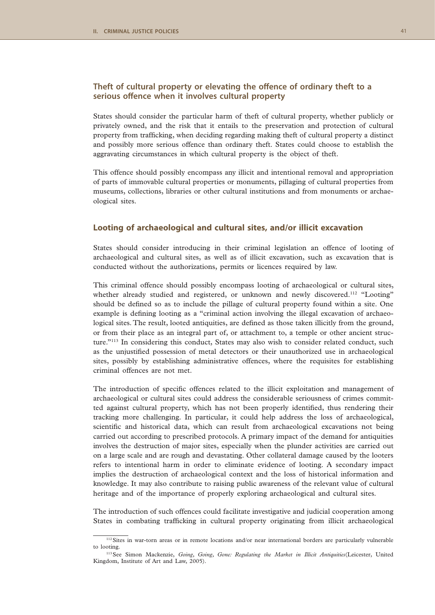#### **Theft of cultural property or elevating the offence of ordinary theft to a serious offence when it involves cultural property**

States should consider the particular harm of theft of cultural property, whether publicly or privately owned, and the risk that it entails to the preservation and protection of cultural property from trafficking, when deciding regarding making theft of cultural property a distinct and possibly more serious offence than ordinary theft. States could choose to establish the aggravating circumstances in which cultural property is the object of theft.

This offence should possibly encompass any illicit and intentional removal and appropriation of parts of immovable cultural properties or monuments, pillaging of cultural properties from museums, collections, libraries or other cultural institutions and from monuments or archaeological sites.

#### **Looting of archaeological and cultural sites, and/or illicit excavation**

States should consider introducing in their criminal legislation an offence of looting of archaeological and cultural sites, as well as of illicit excavation, such as excavation that is conducted without the authorizations, permits or licences required by law.

This criminal offence should possibly encompass looting of archaeological or cultural sites, whether already studied and registered, or unknown and newly discovered.<sup>112</sup> "Looting" should be defined so as to include the pillage of cultural property found within a site. One example is defining looting as a "criminal action involving the illegal excavation of archaeological sites. The result, looted antiquities, are defined as those taken illicitly from the ground, or from their place as an integral part of, or attachment to, a temple or other ancient structure."113 In considering this conduct, States may also wish to consider related conduct, such as the unjustified possession of metal detectors or their unauthorized use in archaeological sites, possibly by establishing administrative offences, where the requisites for establishing criminal offences are not met.

The introduction of specific offences related to the illicit exploitation and management of archaeological or cultural sites could address the considerable seriousness of crimes committed against cultural property, which has not been properly identified, thus rendering their tracking more challenging. In particular, it could help address the loss of archaeological, scientific and historical data, which can result from archaeological excavations not being carried out according to prescribed protocols. A primary impact of the demand for antiquities involves the destruction of major sites, especially when the plunder activities are carried out on a large scale and are rough and devastating. Other collateral damage caused by the looters refers to intentional harm in order to eliminate evidence of looting. A secondary impact implies the destruction of archaeological context and the loss of historical information and knowledge. It may also contribute to raising public awareness of the relevant value of cultural heritage and of the importance of properly exploring archaeological and cultural sites.

The introduction of such offences could facilitate investigative and judicial cooperation among States in combating trafficking in cultural property originating from illicit archaeological

<sup>&</sup>lt;sup>112</sup>Sites in war-torn areas or in remote locations and/or near international borders are particularly vulnerable to looting.

<sup>113</sup>See Simon Mackenzie, *Going, Going, Gone: Regulating the Market in Illicit Antiquities*(Leicester, United Kingdom, Institute of Art and Law, 2005).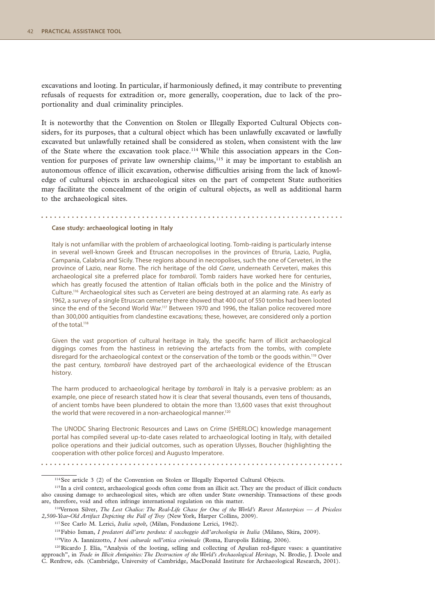excavations and looting. In particular, if harmoniously defined, it may contribute to preventing refusals of requests for extradition or, more generally, cooperation, due to lack of the proportionality and dual criminality principles.

It is noteworthy that the Convention on Stolen or Illegally Exported Cultural Objects considers, for its purposes, that a cultural object which has been unlawfully excavated or lawfully excavated but unlawfully retained shall be considered as stolen, when consistent with the law of the State where the excavation took place.114 While this association appears in the Convention for purposes of private law ownership claims, $115$  it may be important to establish an autonomous offence of illicit excavation, otherwise difficulties arising from the lack of knowledge of cultural objects in archaeological sites on the part of competent State authorities may facilitate the concealment of the origin of cultural objects, as well as additional harm to the archaeological sites.

#### **Case study: archaeological looting in Italy**

Italy is not unfamiliar with the problem of archaeological looting. Tomb-raiding is particularly intense in several well-known Greek and Etruscan necropolises in the provinces of Etruria, Lazio, Puglia, Campania, Calabria and Sicily. These regions abound in necropolises, such the one of Cerveteri, in the province of Lazio, near Rome. The rich heritage of the old *Caere*, underneath Cerveteri, makes this archaeological site a preferred place for *tombaroli*. Tomb raiders have worked here for centuries, which has greatly focused the attention of Italian officials both in the police and the Ministry of Culture.116 Archaeological sites such as Cerveteri are being destroyed at an alarming rate. As early as 1962, a survey of a single Etruscan cemetery there showed that 400 out of 550 tombs had been looted since the end of the Second World War.<sup>117</sup> Between 1970 and 1996, the Italian police recovered more than 300,000 antiquities from clandestine excavations; these, however, are considered only a portion of the total.<sup>118</sup>

Given the vast proportion of cultural heritage in Italy, the specific harm of illicit archaeological diggings comes from the hastiness in retrieving the artefacts from the tombs, with complete disregard for the archaeological context or the conservation of the tomb or the goods within.119 Over the past century, *tombaroli* have destroyed part of the archaeological evidence of the Etruscan history.

The harm produced to archaeological heritage by *tombaroli* in Italy is a pervasive problem: as an example, one piece of research stated how it is clear that several thousands, even tens of thousands, of ancient tombs have been plundered to obtain the more than 13,600 vases that exist throughout the world that were recovered in a non-archaeological manner.<sup>120</sup>

The UNODC Sharing Electronic Resources and Laws on Crime (SHERLOC) knowledge management portal has compiled several up-to-date cases related to archaeological looting in Italy, with detailed police operations and their judicial outcomes, such as operation Ulysses, Boucher (highlighting the cooperation with other police forces) and Augusto Imperatore.

120Ricardo J. Elia, "Analysis of the looting, selling and collecting of Apulian red-figure vases: a quantitative approach", in *Trade in Illicit Antiquities: The Destruction of the World's Archaeological Heritage*, N. Brodie, J. Doole and C. Renfrew, eds. (Cambridge, University of Cambridge, MacDonald Institute for Archaeological Research, 2001).

<sup>&</sup>lt;sup>114</sup> See article 3 (2) of the Convention on Stolen or Illegally Exported Cultural Objects.

<sup>&</sup>lt;sup>115</sup> In a civil context, archaeological goods often come from an illicit act. They are the product of illicit conducts also causing damage to archaeological sites, which are often under State ownership. Transactions of these goods are, therefore, void and often infringe international regulation on this matter.

<sup>&</sup>lt;sup>116</sup>Vernon Silver, *The Lost Chalice: The Real-Life Chase for One of the World's Rarest Masterpices - A Priceless 2,500-Year-Old Artifact Depicting the Fall of Troy* (New York, Harper Collins, 2009).

<sup>117</sup>See Carlo M. Lerici, *Italia sepolt,* (Milan, Fondazione Lerici, 1962).

<sup>118</sup>Fabio Isman, *I predatori dell'arte perduta: il saccheggio dell'archeologia in Italia* (Milano, Skira, 2009).

<sup>119</sup>Vito A. Iannizzotto, *I beni culturale nell'ottica criminale* (Roma, Europolis Editing, 2006).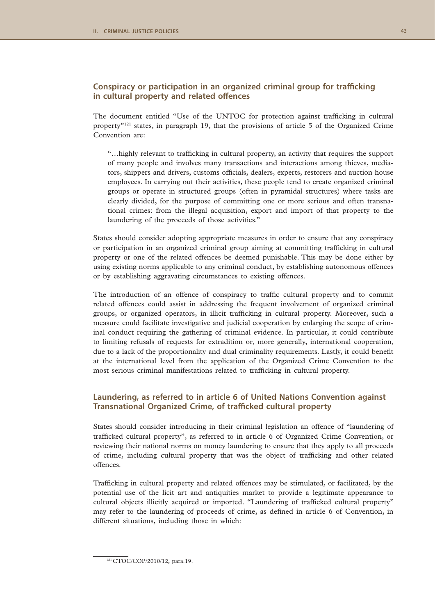#### **Conspiracy or participation in an organized criminal group for trafficking in cultural property and related offences**

The document entitled "Use of the UNTOC for protection against trafficking in cultural property"<sup>121</sup> states, in paragraph 19, that the provisions of article 5 of the Organized Crime Convention are:

"…highly relevant to trafficking in cultural property, an activity that requires the support of many people and involves many transactions and interactions among thieves, mediators, shippers and drivers, customs officials, dealers, experts, restorers and auction house employees. In carrying out their activities, these people tend to create organized criminal groups or operate in structured groups (often in pyramidal structures) where tasks are clearly divided, for the purpose of committing one or more serious and often transnational crimes: from the illegal acquisition, export and import of that property to the laundering of the proceeds of those activities."

States should consider adopting appropriate measures in order to ensure that any conspiracy or participation in an organized criminal group aiming at committing trafficking in cultural property or one of the related offences be deemed punishable. This may be done either by using existing norms applicable to any criminal conduct, by establishing autonomous offences or by establishing aggravating circumstances to existing offences.

The introduction of an offence of conspiracy to traffic cultural property and to commit related offences could assist in addressing the frequent involvement of organized criminal groups, or organized operators, in illicit trafficking in cultural property. Moreover, such a measure could facilitate investigative and judicial cooperation by enlarging the scope of criminal conduct requiring the gathering of criminal evidence. In particular, it could contribute to limiting refusals of requests for extradition or, more generally, international cooperation, due to a lack of the proportionality and dual criminality requirements. Lastly, it could benefit at the international level from the application of the Organized Crime Convention to the most serious criminal manifestations related to trafficking in cultural property.

#### **Laundering, as referred to in article 6 of United Nations Convention against Transnational Organized Crime, of trafficked cultural property**

States should consider introducing in their criminal legislation an offence of "laundering of trafficked cultural property", as referred to in article 6 of Organized Crime Convention, or reviewing their national norms on money laundering to ensure that they apply to all proceeds of crime, including cultural property that was the object of trafficking and other related offences.

Trafficking in cultural property and related offences may be stimulated, or facilitated, by the potential use of the licit art and antiquities market to provide a legitimate appearance to cultural objects illicitly acquired or imported. "Laundering of trafficked cultural property" may refer to the laundering of proceeds of crime, as defined in article 6 of Convention, in different situations, including those in which:

<sup>121</sup> CTOC/COP/2010/12, para.19.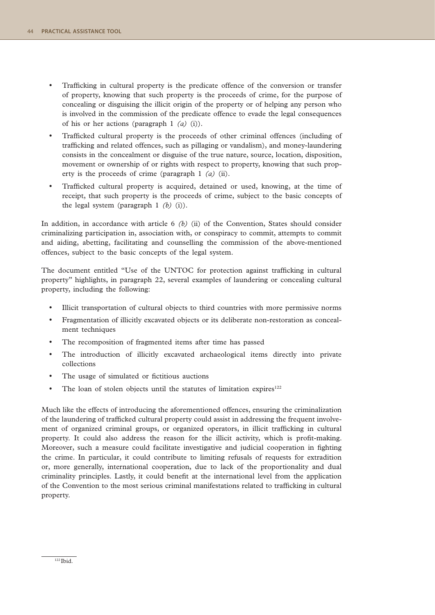- Trafficking in cultural property is the predicate offence of the conversion or transfer of property, knowing that such property is the proceeds of crime, for the purpose of concealing or disguising the illicit origin of the property or of helping any person who is involved in the commission of the predicate offence to evade the legal consequences of his or her actions (paragraph 1 *(a)* (i)).
- Trafficked cultural property is the proceeds of other criminal offences (including of trafficking and related offences, such as pillaging or vandalism), and money-laundering consists in the concealment or disguise of the true nature, source, location, disposition, movement or ownership of or rights with respect to property, knowing that such property is the proceeds of crime (paragraph 1 *(a)* (ii).
- Trafficked cultural property is acquired, detained or used, knowing, at the time of receipt, that such property is the proceeds of crime, subject to the basic concepts of the legal system (paragraph 1 *(b)* (i)).

In addition, in accordance with article 6 *(b)* (ii) of the Convention, States should consider criminalizing participation in, association with, or conspiracy to commit, attempts to commit and aiding, abetting, facilitating and counselling the commission of the above-mentioned offences, subject to the basic concepts of the legal system.

The document entitled "Use of the UNTOC for protection against trafficking in cultural property" highlights, in paragraph 22, several examples of laundering or concealing cultural property, including the following:

- Illicit transportation of cultural objects to third countries with more permissive norms
- Fragmentation of illicitly excavated objects or its deliberate non-restoration as concealment techniques
- The recomposition of fragmented items after time has passed
- The introduction of illicitly excavated archaeological items directly into private collections
- The usage of simulated or fictitious auctions
- The loan of stolen objects until the statutes of limitation expires $122$

Much like the effects of introducing the aforementioned offences, ensuring the criminalization of the laundering of trafficked cultural property could assist in addressing the frequent involvement of organized criminal groups, or organized operators, in illicit trafficking in cultural property. It could also address the reason for the illicit activity, which is profit-making. Moreover, such a measure could facilitate investigative and judicial cooperation in fighting the crime. In particular, it could contribute to limiting refusals of requests for extradition or, more generally, international cooperation, due to lack of the proportionality and dual criminality principles. Lastly, it could benefit at the international level from the application of the Convention to the most serious criminal manifestations related to trafficking in cultural property.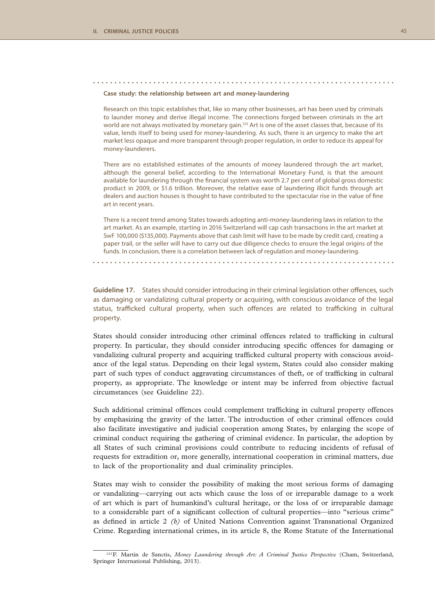#### **Case study: the relationship between art and money-laundering**

Research on this topic establishes that, like so many other businesses, art has been used by criminals to launder money and derive illegal income. The connections forged between criminals in the art world are not always motivated by monetary gain.<sup>123</sup> Art is one of the asset classes that, because of its value, lends itself to being used for money-laundering. As such, there is an urgency to make the art market less opaque and more transparent through proper regulation, in order to reduce its appeal for money-launderers.

There are no established estimates of the amounts of money laundered through the art market, although the general belief, according to the International Monetary Fund, is that the amount available for laundering through the financial system was worth 2.7 per cent of global gross domestic product in 2009, or \$1.6 trillion. Moreover, the relative ease of laundering illicit funds through art dealers and auction houses is thought to have contributed to the spectacular rise in the value of fine art in recent years.

There is a recent trend among States towards adopting anti-money-laundering laws in relation to the art market. As an example, starting in 2016 Switzerland will cap cash transactions in the art market at SwF 100,000 (\$135,000). Payments above that cash limit will have to be made by credit card, creating a paper trail, or the seller will have to carry out due diligence checks to ensure the legal origins of the funds. In conclusion, there is a correlation between lack of regulation and money-laundering.

**Guideline 17.** States should consider introducing in their criminal legislation other offences, such as damaging or vandalizing cultural property or acquiring, with conscious avoidance of the legal status, trafficked cultural property, when such offences are related to trafficking in cultural property.

States should consider introducing other criminal offences related to trafficking in cultural property. In particular, they should consider introducing specific offences for damaging or vandalizing cultural property and acquiring trafficked cultural property with conscious avoidance of the legal status. Depending on their legal system, States could also consider making part of such types of conduct aggravating circumstances of theft, or of trafficking in cultural property, as appropriate. The knowledge or intent may be inferred from objective factual circumstances (see Guideline 22).

Such additional criminal offences could complement trafficking in cultural property offences by emphasizing the gravity of the latter. The introduction of other criminal offences could also facilitate investigative and judicial cooperation among States, by enlarging the scope of criminal conduct requiring the gathering of criminal evidence. In particular, the adoption by all States of such criminal provisions could contribute to reducing incidents of refusal of requests for extradition or, more generally, international cooperation in criminal matters, due to lack of the proportionality and dual criminality principles.

States may wish to consider the possibility of making the most serious forms of damaging or vandalizing—carrying out acts which cause the loss of or irreparable damage to a work of art which is part of humankind's cultural heritage, or the loss of or irreparable damage to a considerable part of a significant collection of cultural properties—into "serious crime" as defined in article 2 *(b)* of United Nations Convention against Transnational Organized Crime. Regarding international crimes, in its article 8, the Rome Statute of the International

<sup>&</sup>lt;sup>123</sup>F. Martin de Sanctis, *Money Laundering through Art: A Criminal Justice Perspective* (Cham, Switzerland, Springer International Publishing, 2013).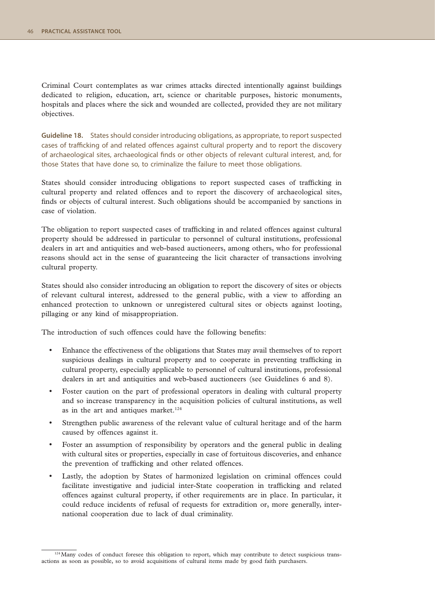Criminal Court contemplates as war crimes attacks directed intentionally against buildings dedicated to religion, education, art, science or charitable purposes, historic monuments, hospitals and places where the sick and wounded are collected, provided they are not military objectives.

**Guideline 18.** States should consider introducing obligations, as appropriate, to report suspected cases of trafficking of and related offences against cultural property and to report the discovery of archaeological sites, archaeological finds or other objects of relevant cultural interest, and, for those States that have done so, to criminalize the failure to meet those obligations.

States should consider introducing obligations to report suspected cases of trafficking in cultural property and related offences and to report the discovery of archaeological sites, finds or objects of cultural interest. Such obligations should be accompanied by sanctions in case of violation.

The obligation to report suspected cases of trafficking in and related offences against cultural property should be addressed in particular to personnel of cultural institutions, professional dealers in art and antiquities and web-based auctioneers, among others, who for professional reasons should act in the sense of guaranteeing the licit character of transactions involving cultural property.

States should also consider introducing an obligation to report the discovery of sites or objects of relevant cultural interest, addressed to the general public, with a view to affording an enhanced protection to unknown or unregistered cultural sites or objects against looting, pillaging or any kind of misappropriation.

The introduction of such offences could have the following benefits:

- Enhance the effectiveness of the obligations that States may avail themselves of to report suspicious dealings in cultural property and to cooperate in preventing trafficking in cultural property, especially applicable to personnel of cultural institutions, professional dealers in art and antiquities and web-based auctioneers (see Guidelines 6 and 8).
- Foster caution on the part of professional operators in dealing with cultural property and so increase transparency in the acquisition policies of cultural institutions, as well as in the art and antiques market.<sup>124</sup>
- Strengthen public awareness of the relevant value of cultural heritage and of the harm caused by offences against it.
- Foster an assumption of responsibility by operators and the general public in dealing with cultural sites or properties, especially in case of fortuitous discoveries, and enhance the prevention of trafficking and other related offences.
- Lastly, the adoption by States of harmonized legislation on criminal offences could facilitate investigative and judicial inter-State cooperation in trafficking and related offences against cultural property, if other requirements are in place. In particular, it could reduce incidents of refusal of requests for extradition or, more generally, international cooperation due to lack of dual criminality.

<sup>124</sup> Many codes of conduct foresee this obligation to report, which may contribute to detect suspicious transactions as soon as possible, so to avoid acquisitions of cultural items made by good faith purchasers.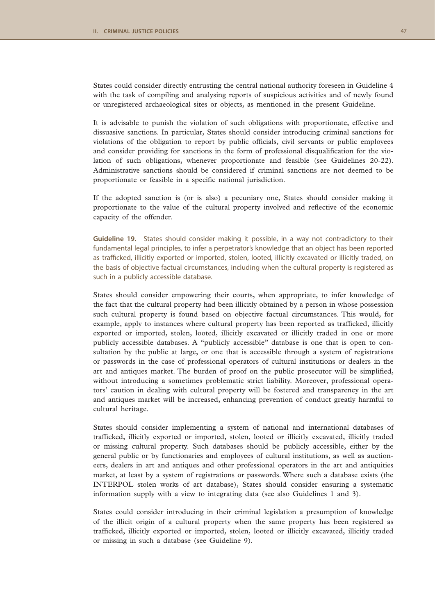States could consider directly entrusting the central national authority foreseen in Guideline 4 with the task of compiling and analysing reports of suspicious activities and of newly found or unregistered archaeological sites or objects, as mentioned in the present Guideline.

It is advisable to punish the violation of such obligations with proportionate, effective and dissuasive sanctions. In particular, States should consider introducing criminal sanctions for violations of the obligation to report by public officials, civil servants or public employees and consider providing for sanctions in the form of professional disqualification for the violation of such obligations, whenever proportionate and feasible (see Guidelines 20-22). Administrative sanctions should be considered if criminal sanctions are not deemed to be proportionate or feasible in a specific national jurisdiction.

If the adopted sanction is (or is also) a pecuniary one, States should consider making it proportionate to the value of the cultural property involved and reflective of the economic capacity of the offender.

**Guideline 19.** States should consider making it possible, in a way not contradictory to their fundamental legal principles, to infer a perpetrator's knowledge that an object has been reported as trafficked, illicitly exported or imported, stolen, looted, illicitly excavated or illicitly traded, on the basis of objective factual circumstances, including when the cultural property is registered as such in a publicly accessible database.

States should consider empowering their courts, when appropriate, to infer knowledge of the fact that the cultural property had been illicitly obtained by a person in whose possession such cultural property is found based on objective factual circumstances. This would, for example, apply to instances where cultural property has been reported as trafficked, illicitly exported or imported, stolen, looted, illicitly excavated or illicitly traded in one or more publicly accessible databases. A "publicly accessible" database is one that is open to consultation by the public at large, or one that is accessible through a system of registrations or passwords in the case of professional operators of cultural institutions or dealers in the art and antiques market. The burden of proof on the public prosecutor will be simplified, without introducing a sometimes problematic strict liability. Moreover, professional operators' caution in dealing with cultural property will be fostered and transparency in the art and antiques market will be increased, enhancing prevention of conduct greatly harmful to cultural heritage.

States should consider implementing a system of national and international databases of trafficked, illicitly exported or imported, stolen, looted or illicitly excavated, illicitly traded or missing cultural property. Such databases should be publicly accessible, either by the general public or by functionaries and employees of cultural institutions, as well as auctioneers, dealers in art and antiques and other professional operators in the art and antiquities market, at least by a system of registrations or passwords. Where such a database exists (the INTERPOL stolen works of art database), States should consider ensuring a systematic information supply with a view to integrating data (see also Guidelines 1 and 3).

States could consider introducing in their criminal legislation a presumption of knowledge of the illicit origin of a cultural property when the same property has been registered as trafficked, illicitly exported or imported, stolen, looted or illicitly excavated, illicitly traded or missing in such a database (see Guideline 9).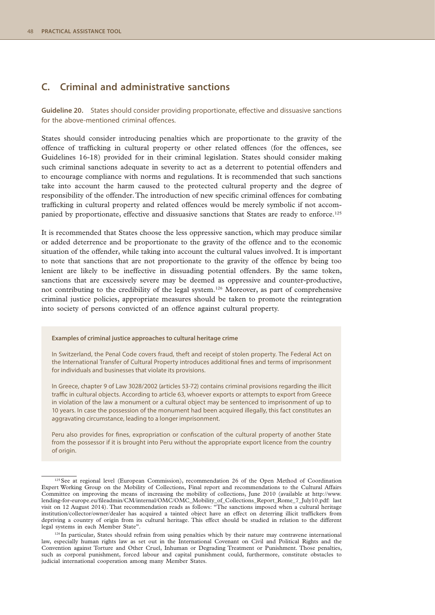# **C. Criminal and administrative sanctions**

**Guideline 20.** States should consider providing proportionate, effective and dissuasive sanctions for the above-mentioned criminal offences.

States should consider introducing penalties which are proportionate to the gravity of the offence of trafficking in cultural property or other related offences (for the offences, see Guidelines 16-18) provided for in their criminal legislation. States should consider making such criminal sanctions adequate in severity to act as a deterrent to potential offenders and to encourage compliance with norms and regulations. It is recommended that such sanctions take into account the harm caused to the protected cultural property and the degree of responsibility of the offender. The introduction of new specific criminal offences for combating trafficking in cultural property and related offences would be merely symbolic if not accompanied by proportionate, effective and dissuasive sanctions that States are ready to enforce.125

It is recommended that States choose the less oppressive sanction, which may produce similar or added deterrence and be proportionate to the gravity of the offence and to the economic situation of the offender, while taking into account the cultural values involved. It is important to note that sanctions that are not proportionate to the gravity of the offence by being too lenient are likely to be ineffective in dissuading potential offenders. By the same token, sanctions that are excessively severe may be deemed as oppressive and counter-productive, not contributing to the credibility of the legal system.126 Moreover, as part of comprehensive criminal justice policies, appropriate measures should be taken to promote the reintegration into society of persons convicted of an offence against cultural property.

#### **Examples of criminal justice approaches to cultural heritage crime**

In Switzerland, the Penal Code covers fraud, theft and receipt of stolen property. The Federal Act on the International Transfer of Cultural Property introduces additional fines and terms of imprisonment for individuals and businesses that violate its provisions.

In Greece, chapter 9 of Law 3028/2002 (articles 53-72) contains criminal provisions regarding the illicit traffic in cultural objects. According to article 63, whoever exports or attempts to export from Greece in violation of the law a monument or a cultural object may be sentenced to imprisonment of up to 10 years. In case the possession of the monument had been acquired illegally, this fact constitutes an aggravating circumstance, leading to a longer imprisonment.

Peru also provides for fines, expropriation or confiscation of the cultural property of another State from the possessor if it is brought into Peru without the appropriate export licence from the country of origin.

<sup>&</sup>lt;sup>125</sup>See at regional level (European Commission), recommendation 26 of the Open Method of Coordination Expert Working Group on the Mobility of Collections, Final report and recommendations to the Cultural Affairs Committee on improving the means of increasing the mobility of collections, June 2010 (available at http://www. lending-for-europe.eu/fileadmin/CM/internal/OMC/OMC\_Mobility\_of\_Collections\_Report\_Rome\_7\_July10.pdf: last visit on 12 August 2014). That recommendation reads as follows: "The sanctions imposed when a cultural heritage institution/collector/owner/dealer has acquired a tainted object have an effect on deterring illicit traffickers from depriving a country of origin from its cultural heritage. This effect should be studied in relation to the different legal systems in each Member State".

<sup>&</sup>lt;sup>126</sup> In particular, States should refrain from using penalties which by their nature may contravene international law, especially human rights law as set out in the International Covenant on Civil and Political Rights and the Convention against Torture and Other Cruel, Inhuman or Degrading Treatment or Punishment. Those penalties, such as corporal punishment, forced labour and capital punishment could, furthermore, constitute obstacles to judicial international cooperation among many Member States.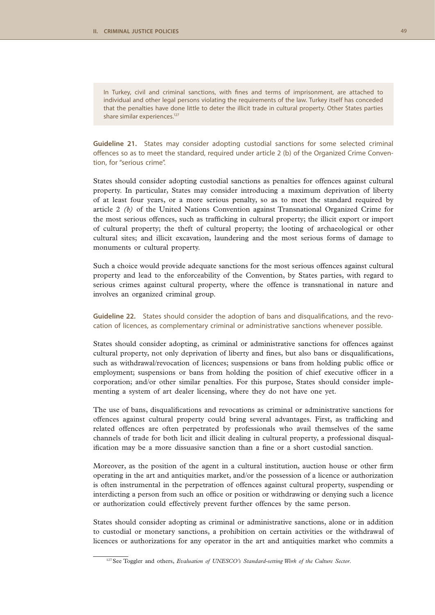In Turkey, civil and criminal sanctions, with fines and terms of imprisonment, are attached to individual and other legal persons violating the requirements of the law. Turkey itself has conceded that the penalties have done little to deter the illicit trade in cultural property. Other States parties share similar experiences.<sup>127</sup>

**Guideline 21.** States may consider adopting custodial sanctions for some selected criminal offences so as to meet the standard, required under article 2 (b) of the Organized Crime Convention, for "serious crime".

States should consider adopting custodial sanctions as penalties for offences against cultural property. In particular, States may consider introducing a maximum deprivation of liberty of at least four years, or a more serious penalty, so as to meet the standard required by article 2 *(b)* of the United Nations Convention against Transnational Organized Crime for the most serious offences, such as trafficking in cultural property; the illicit export or import of cultural property; the theft of cultural property; the looting of archaeological or other cultural sites; and illicit excavation, laundering and the most serious forms of damage to monuments or cultural property.

Such a choice would provide adequate sanctions for the most serious offences against cultural property and lead to the enforceability of the Convention, by States parties, with regard to serious crimes against cultural property, where the offence is transnational in nature and involves an organized criminal group.

**Guideline 22.** States should consider the adoption of bans and disqualifications, and the revocation of licences, as complementary criminal or administrative sanctions whenever possible.

States should consider adopting, as criminal or administrative sanctions for offences against cultural property, not only deprivation of liberty and fines, but also bans or disqualifications, such as withdrawal/revocation of licences; suspensions or bans from holding public office or employment; suspensions or bans from holding the position of chief executive officer in a corporation; and/or other similar penalties. For this purpose, States should consider implementing a system of art dealer licensing, where they do not have one yet.

The use of bans, disqualifications and revocations as criminal or administrative sanctions for offences against cultural property could bring several advantages. First, as trafficking and related offences are often perpetrated by professionals who avail themselves of the same channels of trade for both licit and illicit dealing in cultural property, a professional disqualification may be a more dissuasive sanction than a fine or a short custodial sanction.

Moreover, as the position of the agent in a cultural institution, auction house or other firm operating in the art and antiquities market, and/or the possession of a licence or authorization is often instrumental in the perpetration of offences against cultural property, suspending or interdicting a person from such an office or position or withdrawing or denying such a licence or authorization could effectively prevent further offences by the same person.

States should consider adopting as criminal or administrative sanctions, alone or in addition to custodial or monetary sanctions, a prohibition on certain activities or the withdrawal of licences or authorizations for any operator in the art and antiquities market who commits a

<sup>127</sup>See Toggler and others, *Evaluation of UNESCO's Standard-setting Work of the Culture Sector*.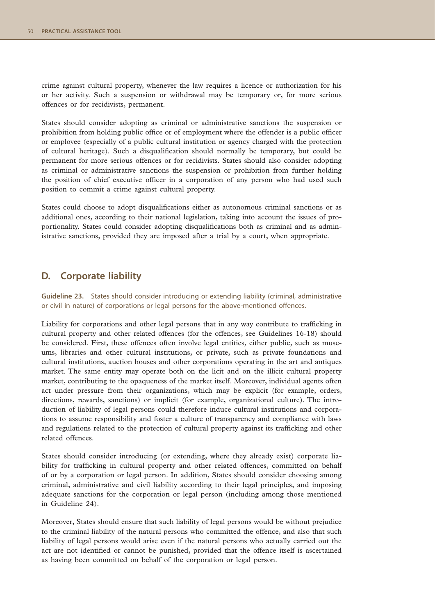crime against cultural property, whenever the law requires a licence or authorization for his or her activity. Such a suspension or withdrawal may be temporary or, for more serious offences or for recidivists, permanent.

States should consider adopting as criminal or administrative sanctions the suspension or prohibition from holding public office or of employment where the offender is a public officer or employee (especially of a public cultural institution or agency charged with the protection of cultural heritage). Such a disqualification should normally be temporary, but could be permanent for more serious offences or for recidivists. States should also consider adopting as criminal or administrative sanctions the suspension or prohibition from further holding the position of chief executive officer in a corporation of any person who had used such position to commit a crime against cultural property.

States could choose to adopt disqualifications either as autonomous criminal sanctions or as additional ones, according to their national legislation, taking into account the issues of proportionality. States could consider adopting disqualifications both as criminal and as administrative sanctions, provided they are imposed after a trial by a court, when appropriate.

#### **D. Corporate liability**

**Guideline 23.** States should consider introducing or extending liability (criminal, administrative or civil in nature) of corporations or legal persons for the above-mentioned offences.

Liability for corporations and other legal persons that in any way contribute to trafficking in cultural property and other related offences (for the offences, see Guidelines 16-18) should be considered. First, these offences often involve legal entities, either public, such as museums, libraries and other cultural institutions, or private, such as private foundations and cultural institutions, auction houses and other corporations operating in the art and antiques market. The same entity may operate both on the licit and on the illicit cultural property market, contributing to the opaqueness of the market itself. Moreover, individual agents often act under pressure from their organizations, which may be explicit (for example, orders, directions, rewards, sanctions) or implicit (for example, organizational culture). The introduction of liability of legal persons could therefore induce cultural institutions and corporations to assume responsibility and foster a culture of transparency and compliance with laws and regulations related to the protection of cultural property against its trafficking and other related offences.

States should consider introducing (or extending, where they already exist) corporate liability for trafficking in cultural property and other related offences, committed on behalf of or by a corporation or legal person. In addition, States should consider choosing among criminal, administrative and civil liability according to their legal principles, and imposing adequate sanctions for the corporation or legal person (including among those mentioned in Guideline 24).

Moreover, States should ensure that such liability of legal persons would be without prejudice to the criminal liability of the natural persons who committed the offence, and also that such liability of legal persons would arise even if the natural persons who actually carried out the act are not identified or cannot be punished, provided that the offence itself is ascertained as having been committed on behalf of the corporation or legal person.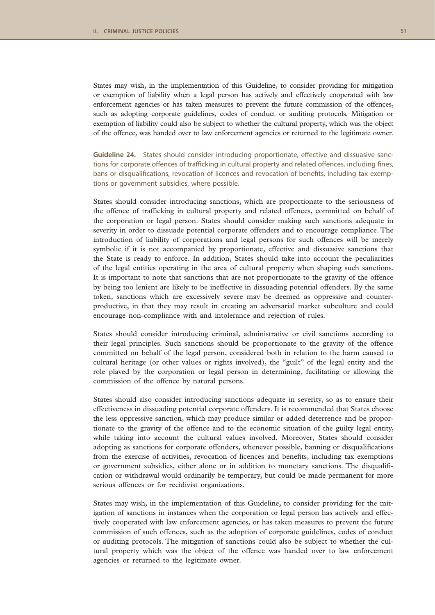States may wish, in the implementation of this Guideline, to consider providing for mitigation or exemption of liability when a legal person has actively and effectively cooperated with law enforcement agencies or has taken measures to prevent the future commission of the offences, such as adopting corporate guidelines, codes of conduct or auditing protocols. Mitigation or exemption of liability could also be subject to whether the cultural property, which was the object of the offence, was handed over to law enforcement agencies or returned to the legitimate owner.

**Guideline 24.** States should consider introducing proportionate, effective and dissuasive sanctions for corporate offences of trafficking in cultural property and related offences, including fines, bans or disqualifications, revocation of licences and revocation of benefits, including tax exemptions or government subsidies, where possible.

States should consider introducing sanctions, which are proportionate to the seriousness of the offence of trafficking in cultural property and related offences, committed on behalf of the corporation or legal person. States should consider making such sanctions adequate in severity in order to dissuade potential corporate offenders and to encourage compliance. The introduction of liability of corporations and legal persons for such offences will be merely symbolic if it is not accompanied by proportionate, effective and dissuasive sanctions that the State is ready to enforce. In addition, States should take into account the peculiarities of the legal entities operating in the area of cultural property when shaping such sanctions. It is important to note that sanctions that are not proportionate to the gravity of the offence by being too lenient are likely to be ineffective in dissuading potential offenders. By the same token, sanctions which are excessively severe may be deemed as oppressive and counterproductive, in that they may result in creating an adversarial market subculture and could encourage non-compliance with and intolerance and rejection of rules.

States should consider introducing criminal, administrative or civil sanctions according to their legal principles. Such sanctions should be proportionate to the gravity of the offence committed on behalf of the legal person, considered both in relation to the harm caused to cultural heritage (or other values or rights involved), the "guilt" of the legal entity and the role played by the corporation or legal person in determining, facilitating or allowing the commission of the offence by natural persons.

States should also consider introducing sanctions adequate in severity, so as to ensure their effectiveness in dissuading potential corporate offenders. It is recommended that States choose the less oppressive sanction, which may produce similar or added deterrence and be proportionate to the gravity of the offence and to the economic situation of the guilty legal entity, while taking into account the cultural values involved. Moreover, States should consider adopting as sanctions for corporate offenders, whenever possible, banning or disqualifications from the exercise of activities, revocation of licences and benefits, including tax exemptions or government subsidies, either alone or in addition to monetary sanctions. The disqualification or withdrawal would ordinarily be temporary, but could be made permanent for more serious offences or for recidivist organizations.

States may wish, in the implementation of this Guideline, to consider providing for the mitigation of sanctions in instances when the corporation or legal person has actively and effectively cooperated with law enforcement agencies, or has taken measures to prevent the future commission of such offences, such as the adoption of corporate guidelines, codes of conduct or auditing protocols. The mitigation of sanctions could also be subject to whether the cultural property which was the object of the offence was handed over to law enforcement agencies or returned to the legitimate owner.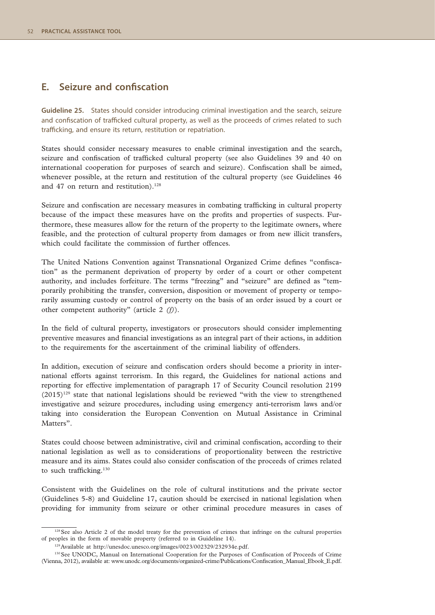# **E. Seizure and confiscation**

**Guideline 25.** States should consider introducing criminal investigation and the search, seizure and confiscation of trafficked cultural property, as well as the proceeds of crimes related to such trafficking, and ensure its return, restitution or repatriation.

States should consider necessary measures to enable criminal investigation and the search, seizure and confiscation of trafficked cultural property (see also Guidelines 39 and 40 on international cooperation for purposes of search and seizure). Confiscation shall be aimed, whenever possible, at the return and restitution of the cultural property (see Guidelines 46 and 47 on return and restitution). $128$ 

Seizure and confiscation are necessary measures in combating trafficking in cultural property because of the impact these measures have on the profits and properties of suspects. Furthermore, these measures allow for the return of the property to the legitimate owners, where feasible, and the protection of cultural property from damages or from new illicit transfers, which could facilitate the commission of further offences.

The United Nations Convention against Transnational Organized Crime defines "confiscation" as the permanent deprivation of property by order of a court or other competent authority, and includes forfeiture. The terms "freezing" and "seizure" are defined as "temporarily prohibiting the transfer, conversion, disposition or movement of property or temporarily assuming custody or control of property on the basis of an order issued by a court or other competent authority" (article 2 *(f)*).

In the field of cultural property, investigators or prosecutors should consider implementing preventive measures and financial investigations as an integral part of their actions, in addition to the requirements for the ascertainment of the criminal liability of offenders.

In addition, execution of seizure and confiscation orders should become a priority in international efforts against terrorism. In this regard, the Guidelines for national actions and reporting for effective implementation of paragraph 17 of Security Council resolution 2199 (2015)129 state that national legislations should be reviewed "with the view to strengthened investigative and seizure procedures, including using emergency anti-terrorism laws and/or taking into consideration the European Convention on Mutual Assistance in Criminal Matters".

States could choose between administrative, civil and criminal confiscation, according to their national legislation as well as to considerations of proportionality between the restrictive measure and its aims. States could also consider confiscation of the proceeds of crimes related to such trafficking.<sup>130</sup>

Consistent with the Guidelines on the role of cultural institutions and the private sector (Guidelines 5-8) and Guideline 17, caution should be exercised in national legislation when providing for immunity from seizure or other criminal procedure measures in cases of

<sup>&</sup>lt;sup>128</sup> See also Article 2 of the model treaty for the prevention of crimes that infringe on the cultural properties of peoples in the form of movable property (referred to in Guideline 14).

<sup>129</sup>Available at http://unesdoc.unesco.org/images/0023/002329/232934e.pdf.

<sup>130</sup>See UNODC, Manual on International Cooperation for the Purposes of Confiscation of Proceeds of Crime (Vienna, 2012), available at: www.unodc.org/documents/organized-crime/Publications/Confiscation\_Manual\_Ebook\_E.pdf.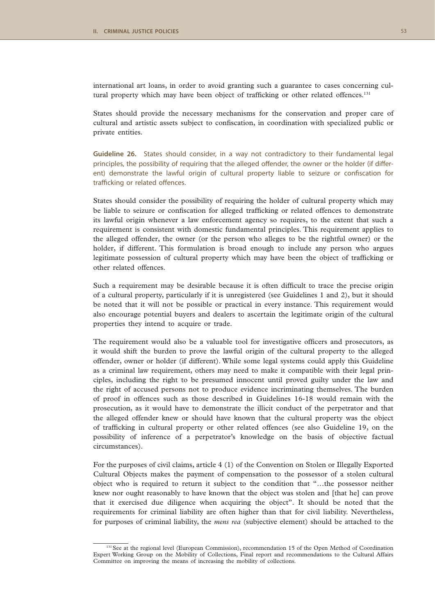international art loans, in order to avoid granting such a guarantee to cases concerning cultural property which may have been object of trafficking or other related offences.<sup>131</sup>

States should provide the necessary mechanisms for the conservation and proper care of cultural and artistic assets subject to confiscation, in coordination with specialized public or private entities.

**Guideline 26.** States should consider, in a way not contradictory to their fundamental legal principles, the possibility of requiring that the alleged offender, the owner or the holder (if different) demonstrate the lawful origin of cultural property liable to seizure or confiscation for trafficking or related offences.

States should consider the possibility of requiring the holder of cultural property which may be liable to seizure or confiscation for alleged trafficking or related offences to demonstrate its lawful origin whenever a law enforcement agency so requires, to the extent that such a requirement is consistent with domestic fundamental principles. This requirement applies to the alleged offender, the owner (or the person who alleges to be the rightful owner) or the holder, if different. This formulation is broad enough to include any person who argues legitimate possession of cultural property which may have been the object of trafficking or other related offences.

Such a requirement may be desirable because it is often difficult to trace the precise origin of a cultural property, particularly if it is unregistered (see Guidelines 1 and 2), but it should be noted that it will not be possible or practical in every instance. This requirement would also encourage potential buyers and dealers to ascertain the legitimate origin of the cultural properties they intend to acquire or trade.

The requirement would also be a valuable tool for investigative officers and prosecutors, as it would shift the burden to prove the lawful origin of the cultural property to the alleged offender, owner or holder (if different). While some legal systems could apply this Guideline as a criminal law requirement, others may need to make it compatible with their legal principles, including the right to be presumed innocent until proved guilty under the law and the right of accused persons not to produce evidence incriminating themselves. The burden of proof in offences such as those described in Guidelines 16-18 would remain with the prosecution, as it would have to demonstrate the illicit conduct of the perpetrator and that the alleged offender knew or should have known that the cultural property was the object of trafficking in cultural property or other related offences (see also Guideline 19, on the possibility of inference of a perpetrator's knowledge on the basis of objective factual circumstances).

For the purposes of civil claims, article 4 (1) of the Convention on Stolen or Illegally Exported Cultural Objects makes the payment of compensation to the possessor of a stolen cultural object who is required to return it subject to the condition that "…the possessor neither knew nor ought reasonably to have known that the object was stolen and [that he] can prove that it exercised due diligence when acquiring the object". It should be noted that the requirements for criminal liability are often higher than that for civil liability. Nevertheless, for purposes of criminal liability, the *mens rea* (subjective element) should be attached to the

<sup>&</sup>lt;sup>131</sup>See at the regional level (European Commission), recommendation 15 of the Open Method of Coordination Expert Working Group on the Mobility of Collections, Final report and recommendations to the Cultural Affairs Committee on improving the means of increasing the mobility of collections.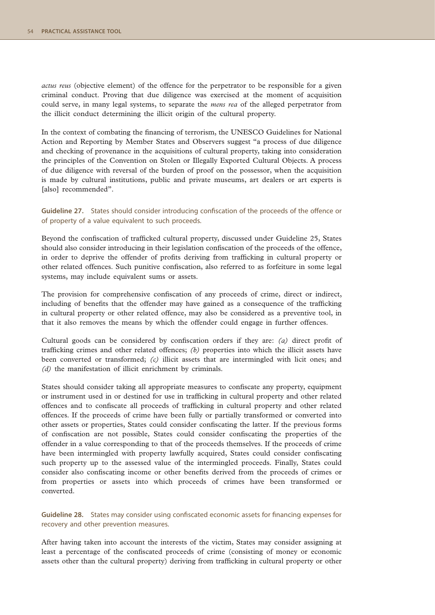*actus reus* (objective element) of the offence for the perpetrator to be responsible for a given criminal conduct. Proving that due diligence was exercised at the moment of acquisition could serve, in many legal systems, to separate the *mens rea* of the alleged perpetrator from the illicit conduct determining the illicit origin of the cultural property.

In the context of combating the financing of terrorism, the UNESCO Guidelines for National Action and Reporting by Member States and Observers suggest "a process of due diligence and checking of provenance in the acquisitions of cultural property, taking into consideration the principles of the Convention on Stolen or Illegally Exported Cultural Objects. A process of due diligence with reversal of the burden of proof on the possessor, when the acquisition is made by cultural institutions, public and private museums, art dealers or art experts is [also] recommended".

**Guideline 27.** States should consider introducing confiscation of the proceeds of the offence or of property of a value equivalent to such proceeds.

Beyond the confiscation of trafficked cultural property, discussed under Guideline 25, States should also consider introducing in their legislation confiscation of the proceeds of the offence, in order to deprive the offender of profits deriving from trafficking in cultural property or other related offences. Such punitive confiscation, also referred to as forfeiture in some legal systems, may include equivalent sums or assets.

The provision for comprehensive confiscation of any proceeds of crime, direct or indirect, including of benefits that the offender may have gained as a consequence of the trafficking in cultural property or other related offence, may also be considered as a preventive tool, in that it also removes the means by which the offender could engage in further offences.

Cultural goods can be considered by confiscation orders if they are: *(a)* direct profit of trafficking crimes and other related offences; *(b)* properties into which the illicit assets have been converted or transformed; *(c)* illicit assets that are intermingled with licit ones; and *(d)* the manifestation of illicit enrichment by criminals.

States should consider taking all appropriate measures to confiscate any property, equipment or instrument used in or destined for use in trafficking in cultural property and other related offences and to confiscate all proceeds of trafficking in cultural property and other related offences. If the proceeds of crime have been fully or partially transformed or converted into other assets or properties, States could consider confiscating the latter. If the previous forms of confiscation are not possible, States could consider confiscating the properties of the offender in a value corresponding to that of the proceeds themselves. If the proceeds of crime have been intermingled with property lawfully acquired, States could consider confiscating such property up to the assessed value of the intermingled proceeds. Finally, States could consider also confiscating income or other benefits derived from the proceeds of crimes or from properties or assets into which proceeds of crimes have been transformed or converted.

**Guideline 28.** States may consider using confiscated economic assets for financing expenses for recovery and other prevention measures.

After having taken into account the interests of the victim, States may consider assigning at least a percentage of the confiscated proceeds of crime (consisting of money or economic assets other than the cultural property) deriving from trafficking in cultural property or other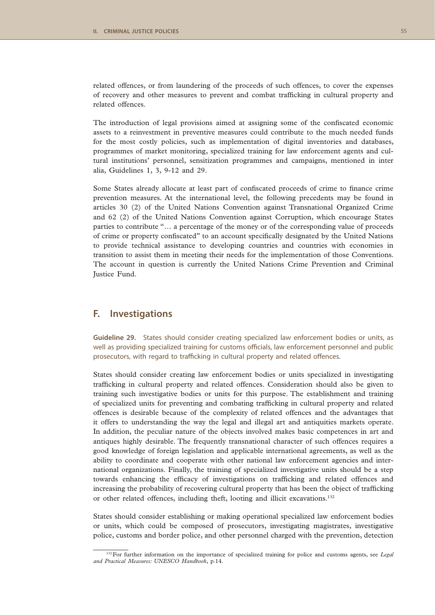related offences, or from laundering of the proceeds of such offences, to cover the expenses of recovery and other measures to prevent and combat trafficking in cultural property and related offences.

The introduction of legal provisions aimed at assigning some of the confiscated economic assets to a reinvestment in preventive measures could contribute to the much needed funds for the most costly policies, such as implementation of digital inventories and databases, programmes of market monitoring, specialized training for law enforcement agents and cultural institutions' personnel, sensitization programmes and campaigns, mentioned in inter alia, Guidelines 1, 3, 9-12 and 29.

Some States already allocate at least part of confiscated proceeds of crime to finance crime prevention measures. At the international level, the following precedents may be found in articles 30 (2) of the United Nations Convention against Transnational Organized Crime and 62 (2) of the United Nations Convention against Corruption, which encourage States parties to contribute "… a percentage of the money or of the corresponding value of proceeds of crime or property confiscated" to an account specifically designated by the United Nations to provide technical assistance to developing countries and countries with economies in transition to assist them in meeting their needs for the implementation of those Conventions. The account in question is currently the United Nations Crime Prevention and Criminal Justice Fund.

#### **F. Investigations**

**Guideline 29.** States should consider creating specialized law enforcement bodies or units, as well as providing specialized training for customs officials, law enforcement personnel and public prosecutors, with regard to trafficking in cultural property and related offences.

States should consider creating law enforcement bodies or units specialized in investigating trafficking in cultural property and related offences. Consideration should also be given to training such investigative bodies or units for this purpose. The establishment and training of specialized units for preventing and combating trafficking in cultural property and related offences is desirable because of the complexity of related offences and the advantages that it offers to understanding the way the legal and illegal art and antiquities markets operate. In addition, the peculiar nature of the objects involved makes basic competences in art and antiques highly desirable. The frequently transnational character of such offences requires a good knowledge of foreign legislation and applicable international agreements, as well as the ability to coordinate and cooperate with other national law enforcement agencies and international organizations. Finally, the training of specialized investigative units should be a step towards enhancing the efficacy of investigations on trafficking and related offences and increasing the probability of recovering cultural property that has been the object of trafficking or other related offences, including theft, looting and illicit excavations.<sup>132</sup>

States should consider establishing or making operational specialized law enforcement bodies or units, which could be composed of prosecutors, investigating magistrates, investigative police, customs and border police, and other personnel charged with the prevention, detection

<sup>132</sup>For further information on the importance of specialized training for police and customs agents, see *Legal and Practical Measures: UNESCO Handbook*, p.14.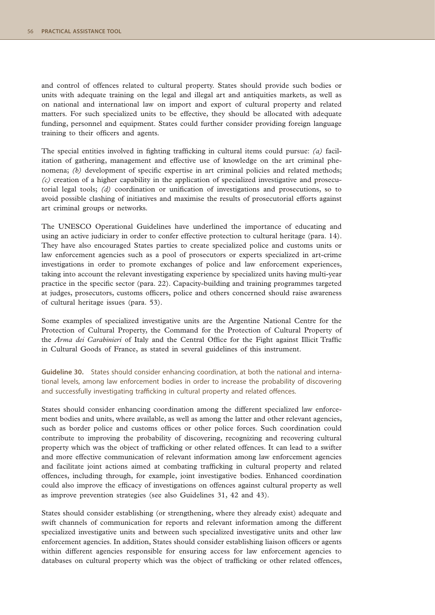and control of offences related to cultural property. States should provide such bodies or units with adequate training on the legal and illegal art and antiquities markets, as well as on national and international law on import and export of cultural property and related matters. For such specialized units to be effective, they should be allocated with adequate funding, personnel and equipment. States could further consider providing foreign language training to their officers and agents.

The special entities involved in fighting trafficking in cultural items could pursue: *(a)* facilitation of gathering, management and effective use of knowledge on the art criminal phenomena; *(b)* development of specific expertise in art criminal policies and related methods; *(c)* creation of a higher capability in the application of specialized investigative and prosecutorial legal tools; *(d)* coordination or unification of investigations and prosecutions, so to avoid possible clashing of initiatives and maximise the results of prosecutorial efforts against art criminal groups or networks.

The UNESCO Operational Guidelines have underlined the importance of educating and using an active judiciary in order to confer effective protection to cultural heritage (para. 14). They have also encouraged States parties to create specialized police and customs units or law enforcement agencies such as a pool of prosecutors or experts specialized in art-crime investigations in order to promote exchanges of police and law enforcement experiences, taking into account the relevant investigating experience by specialized units having multi-year practice in the specific sector (para. 22). Capacity-building and training programmes targeted at judges, prosecutors, customs officers, police and others concerned should raise awareness of cultural heritage issues (para. 53).

Some examples of specialized investigative units are the Argentine National Centre for the Protection of Cultural Property, the Command for the Protection of Cultural Property of the *Arma dei Carabinieri* of Italy and the Central Office for the Fight against Illicit Traffic in Cultural Goods of France, as stated in several guidelines of this instrument.

**Guideline 30.** States should consider enhancing coordination, at both the national and international levels, among law enforcement bodies in order to increase the probability of discovering and successfully investigating trafficking in cultural property and related offences.

States should consider enhancing coordination among the different specialized law enforcement bodies and units, where available, as well as among the latter and other relevant agencies, such as border police and customs offices or other police forces. Such coordination could contribute to improving the probability of discovering, recognizing and recovering cultural property which was the object of trafficking or other related offences. It can lead to a swifter and more effective communication of relevant information among law enforcement agencies and facilitate joint actions aimed at combating trafficking in cultural property and related offences, including through, for example, joint investigative bodies. Enhanced coordination could also improve the efficacy of investigations on offences against cultural property as well as improve prevention strategies (see also Guidelines 31, 42 and 43).

States should consider establishing (or strengthening, where they already exist) adequate and swift channels of communication for reports and relevant information among the different specialized investigative units and between such specialized investigative units and other law enforcement agencies. In addition, States should consider establishing liaison officers or agents within different agencies responsible for ensuring access for law enforcement agencies to databases on cultural property which was the object of trafficking or other related offences,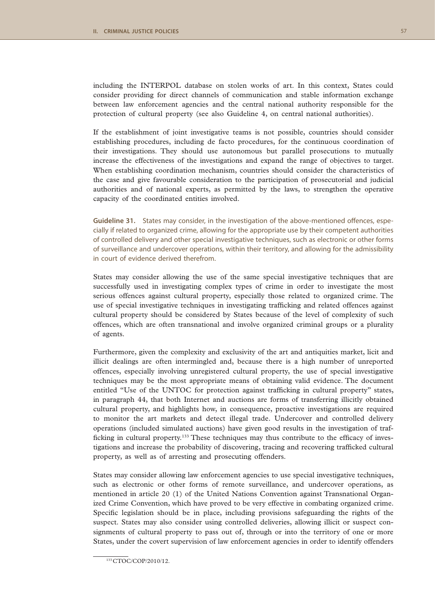including the INTERPOL database on stolen works of art. In this context, States could consider providing for direct channels of communication and stable information exchange between law enforcement agencies and the central national authority responsible for the protection of cultural property (see also Guideline 4, on central national authorities).

If the establishment of joint investigative teams is not possible, countries should consider establishing procedures, including de facto procedures, for the continuous coordination of their investigations. They should use autonomous but parallel prosecutions to mutually increase the effectiveness of the investigations and expand the range of objectives to target. When establishing coordination mechanism, countries should consider the characteristics of the case and give favourable consideration to the participation of prosecutorial and judicial authorities and of national experts, as permitted by the laws, to strengthen the operative capacity of the coordinated entities involved.

**Guideline 31.** States may consider, in the investigation of the above-mentioned offences, especially if related to organized crime, allowing for the appropriate use by their competent authorities of controlled delivery and other special investigative techniques, such as electronic or other forms of surveillance and undercover operations, within their territory, and allowing for the admissibility in court of evidence derived therefrom.

States may consider allowing the use of the same special investigative techniques that are successfully used in investigating complex types of crime in order to investigate the most serious offences against cultural property, especially those related to organized crime. The use of special investigative techniques in investigating trafficking and related offences against cultural property should be considered by States because of the level of complexity of such offences, which are often transnational and involve organized criminal groups or a plurality of agents.

Furthermore, given the complexity and exclusivity of the art and antiquities market, licit and illicit dealings are often intermingled and, because there is a high number of unreported offences, especially involving unregistered cultural property, the use of special investigative techniques may be the most appropriate means of obtaining valid evidence. The document entitled "Use of the UNTOC for protection against trafficking in cultural property" states, in paragraph 44, that both Internet and auctions are forms of transferring illicitly obtained cultural property, and highlights how, in consequence, proactive investigations are required to monitor the art markets and detect illegal trade. Undercover and controlled delivery operations (included simulated auctions) have given good results in the investigation of trafficking in cultural property.<sup>133</sup> These techniques may thus contribute to the efficacy of investigations and increase the probability of discovering, tracing and recovering trafficked cultural property, as well as of arresting and prosecuting offenders.

States may consider allowing law enforcement agencies to use special investigative techniques, such as electronic or other forms of remote surveillance, and undercover operations, as mentioned in article 20 (1) of the United Nations Convention against Transnational Organized Crime Convention, which have proved to be very effective in combating organized crime. Specific legislation should be in place, including provisions safeguarding the rights of the suspect. States may also consider using controlled deliveries, allowing illicit or suspect consignments of cultural property to pass out of, through or into the territory of one or more States, under the covert supervision of law enforcement agencies in order to identify offenders

<sup>&</sup>lt;sup>133</sup>CTOC/COP/2010/12.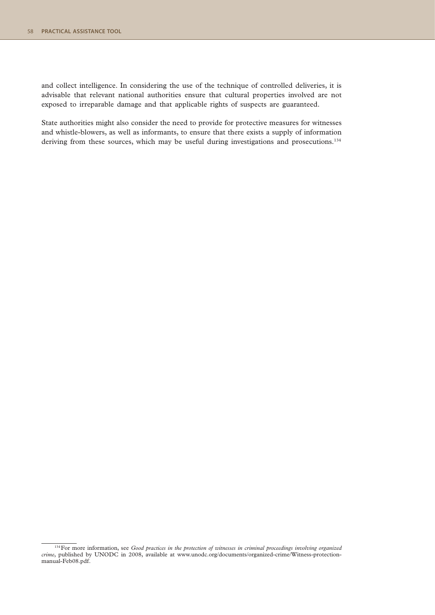and collect intelligence. In considering the use of the technique of controlled deliveries, it is advisable that relevant national authorities ensure that cultural properties involved are not exposed to irreparable damage and that applicable rights of suspects are guaranteed.

State authorities might also consider the need to provide for protective measures for witnesses and whistle-blowers, as well as informants, to ensure that there exists a supply of information deriving from these sources, which may be useful during investigations and prosecutions.<sup>134</sup>

<sup>134</sup>For more information, see *Good practices in the protection of witnesses in criminal proceedings involving organized crime*, published by UNODC in 2008, available at www.unodc.org/documents/organized-crime/Witness-protectionmanual-Feb08.pdf.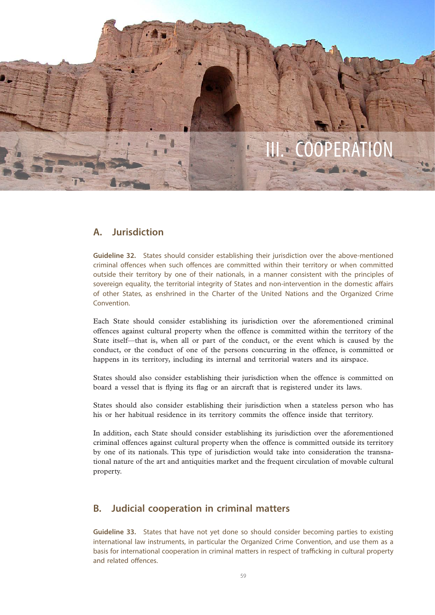# **COOPERATION**

## **A. Jurisdiction**

**Guideline 32.** States should consider establishing their jurisdiction over the above-mentioned criminal offences when such offences are committed within their territory or when committed outside their territory by one of their nationals, in a manner consistent with the principles of sovereign equality, the territorial integrity of States and non-intervention in the domestic affairs of other States, as enshrined in the Charter of the United Nations and the Organized Crime Convention.

Each State should consider establishing its jurisdiction over the aforementioned criminal offences against cultural property when the offence is committed within the territory of the State itself—that is, when all or part of the conduct, or the event which is caused by the conduct, or the conduct of one of the persons concurring in the offence, is committed or happens in its territory, including its internal and territorial waters and its airspace.

States should also consider establishing their jurisdiction when the offence is committed on board a vessel that is flying its flag or an aircraft that is registered under its laws.

States should also consider establishing their jurisdiction when a stateless person who has his or her habitual residence in its territory commits the offence inside that territory.

In addition, each State should consider establishing its jurisdiction over the aforementioned criminal offences against cultural property when the offence is committed outside its territory by one of its nationals. This type of jurisdiction would take into consideration the transnational nature of the art and antiquities market and the frequent circulation of movable cultural property.

## **B. Judicial cooperation in criminal matters**

**Guideline 33.** States that have not yet done so should consider becoming parties to existing international law instruments, in particular the Organized Crime Convention, and use them as a basis for international cooperation in criminal matters in respect of trafficking in cultural property and related offences.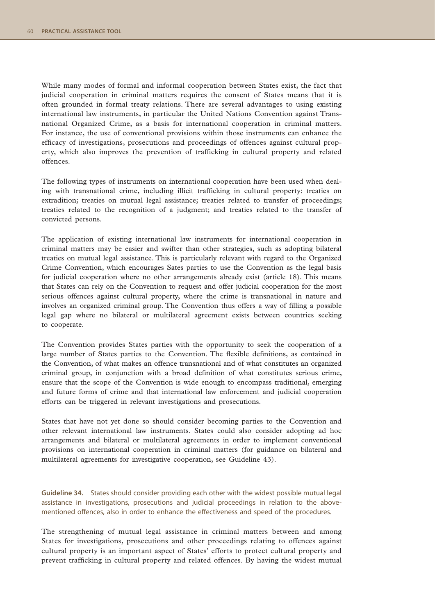While many modes of formal and informal cooperation between States exist, the fact that judicial cooperation in criminal matters requires the consent of States means that it is often grounded in formal treaty relations. There are several advantages to using existing international law instruments, in particular the United Nations Convention against Transnational Organized Crime, as a basis for international cooperation in criminal matters. For instance, the use of conventional provisions within those instruments can enhance the efficacy of investigations, prosecutions and proceedings of offences against cultural property, which also improves the prevention of trafficking in cultural property and related offences.

The following types of instruments on international cooperation have been used when dealing with transnational crime, including illicit trafficking in cultural property: treaties on extradition; treaties on mutual legal assistance; treaties related to transfer of proceedings; treaties related to the recognition of a judgment; and treaties related to the transfer of convicted persons.

The application of existing international law instruments for international cooperation in criminal matters may be easier and swifter than other strategies, such as adopting bilateral treaties on mutual legal assistance. This is particularly relevant with regard to the Organized Crime Convention, which encourages Sates parties to use the Convention as the legal basis for judicial cooperation where no other arrangements already exist (article 18). This means that States can rely on the Convention to request and offer judicial cooperation for the most serious offences against cultural property, where the crime is transnational in nature and involves an organized criminal group. The Convention thus offers a way of filling a possible legal gap where no bilateral or multilateral agreement exists between countries seeking to cooperate.

The Convention provides States parties with the opportunity to seek the cooperation of a large number of States parties to the Convention. The flexible definitions, as contained in the Convention, of what makes an offence transnational and of what constitutes an organized criminal group, in conjunction with a broad definition of what constitutes serious crime, ensure that the scope of the Convention is wide enough to encompass traditional, emerging and future forms of crime and that international law enforcement and judicial cooperation efforts can be triggered in relevant investigations and prosecutions.

States that have not yet done so should consider becoming parties to the Convention and other relevant international law instruments. States could also consider adopting ad hoc arrangements and bilateral or multilateral agreements in order to implement conventional provisions on international cooperation in criminal matters (for guidance on bilateral and multilateral agreements for investigative cooperation, see Guideline 43).

**Guideline 34.** States should consider providing each other with the widest possible mutual legal assistance in investigations, prosecutions and judicial proceedings in relation to the abovementioned offences, also in order to enhance the effectiveness and speed of the procedures.

The strengthening of mutual legal assistance in criminal matters between and among States for investigations, prosecutions and other proceedings relating to offences against cultural property is an important aspect of States' efforts to protect cultural property and prevent trafficking in cultural property and related offences. By having the widest mutual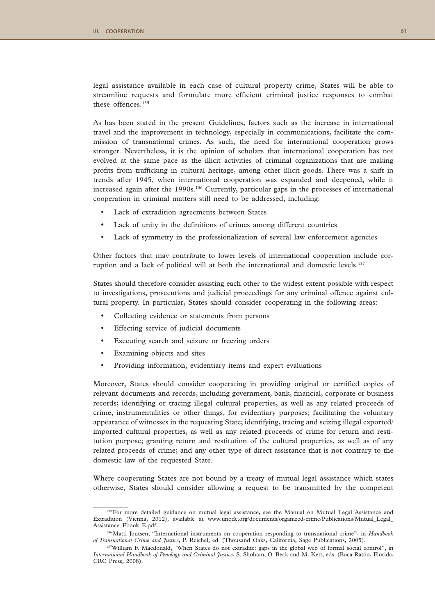legal assistance available in each case of cultural property crime, States will be able to streamline requests and formulate more efficient criminal justice responses to combat these offences.135

As has been stated in the present Guidelines, factors such as the increase in international travel and the improvement in technology, especially in communications, facilitate the commission of transnational crimes. As such, the need for international cooperation grows stronger. Nevertheless, it is the opinion of scholars that international cooperation has not evolved at the same pace as the illicit activities of criminal organizations that are making profits from trafficking in cultural heritage, among other illicit goods. There was a shift in trends after 1945, when international cooperation was expanded and deepened, while it increased again after the 1990s.136 Currently, particular gaps in the processes of international cooperation in criminal matters still need to be addressed, including:

- Lack of extradition agreements between States
- Lack of unity in the definitions of crimes among different countries
- Lack of symmetry in the professionalization of several law enforcement agencies

Other factors that may contribute to lower levels of international cooperation include corruption and a lack of political will at both the international and domestic levels.137

States should therefore consider assisting each other to the widest extent possible with respect to investigations, prosecutions and judicial proceedings for any criminal offence against cultural property. In particular, States should consider cooperating in the following areas:

- Collecting evidence or statements from persons
- Effecting service of judicial documents
- y Executing search and seizure or freezing orders
- Examining objects and sites
- Providing information, evidentiary items and expert evaluations

Moreover, States should consider cooperating in providing original or certified copies of relevant documents and records, including government, bank, financial, corporate or business records; identifying or tracing illegal cultural properties, as well as any related proceeds of crime, instrumentalities or other things, for evidentiary purposes; facilitating the voluntary appearance of witnesses in the requesting State; identifying, tracing and seizing illegal exported/ imported cultural properties, as well as any related proceeds of crime for return and restitution purpose; granting return and restitution of the cultural properties, as well as of any related proceeds of crime; and any other type of direct assistance that is not contrary to the domestic law of the requested State.

Where cooperating States are not bound by a treaty of mutual legal assistance which states otherwise, States should consider allowing a request to be transmitted by the competent

<sup>&</sup>lt;sup>135</sup> For more detailed guidance on mutual legal assistance, see the Manual on Mutual Legal Assistance and Extradition (Vienna, 2012), available at www.unodc.org/documents/organized-crime/Publications/Mutual\_Legal\_ Assistance\_Ebook\_E.pdf.

<sup>136</sup>Matti Joutsen, "International instruments on cooperation responding to transnational crime", in *Handbook of Transnational Crime and Justice*, P. Reichel, ed*.* (Thousand Oaks, California, Sage Publications, 2005).

<sup>137</sup>William F. Macdonald, "When States do not extradite: gaps in the global web of formal social control", in *International Handbook of Penology and Criminal Justice*, S. Shoham, O. Beck and M. Kett, eds*.* (Boca Ratón, Florida, CRC Press, 2008).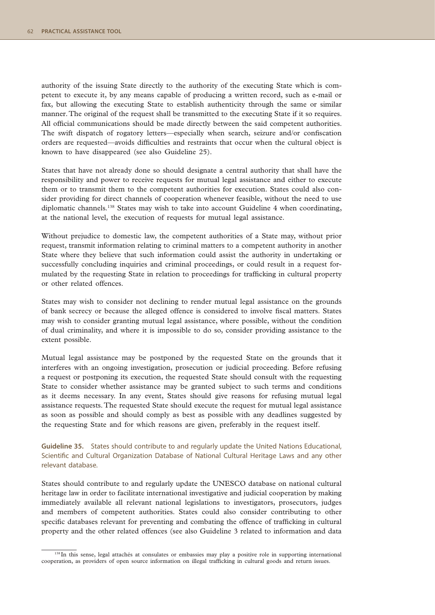authority of the issuing State directly to the authority of the executing State which is competent to execute it, by any means capable of producing a written record, such as e-mail or fax, but allowing the executing State to establish authenticity through the same or similar manner. The original of the request shall be transmitted to the executing State if it so requires. All official communications should be made directly between the said competent authorities. The swift dispatch of rogatory letters—especially when search, seizure and/or confiscation orders are requested—avoids difficulties and restraints that occur when the cultural object is known to have disappeared (see also Guideline 25).

States that have not already done so should designate a central authority that shall have the responsibility and power to receive requests for mutual legal assistance and either to execute them or to transmit them to the competent authorities for execution. States could also consider providing for direct channels of cooperation whenever feasible, without the need to use diplomatic channels.138 States may wish to take into account Guideline 4 when coordinating, at the national level, the execution of requests for mutual legal assistance.

Without prejudice to domestic law, the competent authorities of a State may, without prior request, transmit information relating to criminal matters to a competent authority in another State where they believe that such information could assist the authority in undertaking or successfully concluding inquiries and criminal proceedings, or could result in a request formulated by the requesting State in relation to proceedings for trafficking in cultural property or other related offences.

States may wish to consider not declining to render mutual legal assistance on the grounds of bank secrecy or because the alleged offence is considered to involve fiscal matters. States may wish to consider granting mutual legal assistance, where possible, without the condition of dual criminality, and where it is impossible to do so, consider providing assistance to the extent possible.

Mutual legal assistance may be postponed by the requested State on the grounds that it interferes with an ongoing investigation, prosecution or judicial proceeding. Before refusing a request or postponing its execution, the requested State should consult with the requesting State to consider whether assistance may be granted subject to such terms and conditions as it deems necessary. In any event, States should give reasons for refusing mutual legal assistance requests. The requested State should execute the request for mutual legal assistance as soon as possible and should comply as best as possible with any deadlines suggested by the requesting State and for which reasons are given, preferably in the request itself.

**Guideline 35.** States should contribute to and regularly update the United Nations Educational, Scientific and Cultural Organization Database of National Cultural Heritage Laws and any other relevant database.

States should contribute to and regularly update the UNESCO database on national cultural heritage law in order to facilitate international investigative and judicial cooperation by making immediately available all relevant national legislations to investigators, prosecutors, judges and members of competent authorities. States could also consider contributing to other specific databases relevant for preventing and combating the offence of trafficking in cultural property and the other related offences (see also Guideline 3 related to information and data

<sup>138</sup> In this sense, legal attachés at consulates or embassies may play a positive role in supporting international cooperation, as providers of open source information on illegal trafficking in cultural goods and return issues.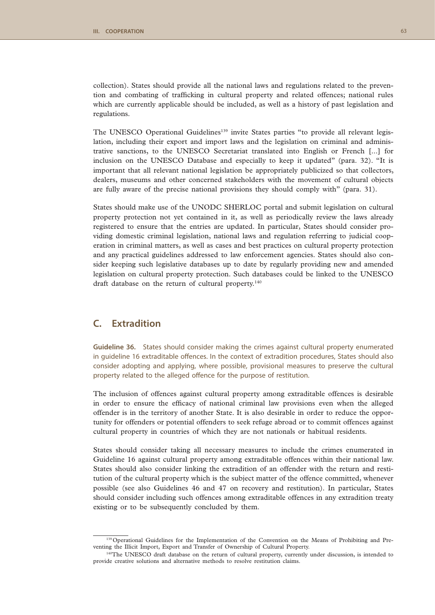collection). States should provide all the national laws and regulations related to the prevention and combating of trafficking in cultural property and related offences; national rules which are currently applicable should be included, as well as a history of past legislation and regulations.

The UNESCO Operational Guidelines<sup>139</sup> invite States parties "to provide all relevant legislation, including their export and import laws and the legislation on criminal and administrative sanctions, to the UNESCO Secretariat translated into English or French [...] for inclusion on the UNESCO Database and especially to keep it updated" (para. 32). "It is important that all relevant national legislation be appropriately publicized so that collectors, dealers, museums and other concerned stakeholders with the movement of cultural objects are fully aware of the precise national provisions they should comply with" (para. 31).

States should make use of the UNODC SHERLOC portal and submit legislation on cultural property protection not yet contained in it, as well as periodically review the laws already registered to ensure that the entries are updated. In particular, States should consider providing domestic criminal legislation, national laws and regulation referring to judicial cooperation in criminal matters, as well as cases and best practices on cultural property protection and any practical guidelines addressed to law enforcement agencies. States should also consider keeping such legislative databases up to date by regularly providing new and amended legislation on cultural property protection. Such databases could be linked to the UNESCO draft database on the return of cultural property.<sup>140</sup>

## **C. Extradition**

**Guideline 36.** States should consider making the crimes against cultural property enumerated in guideline 16 extraditable offences. In the context of extradition procedures, States should also consider adopting and applying, where possible, provisional measures to preserve the cultural property related to the alleged offence for the purpose of restitution.

The inclusion of offences against cultural property among extraditable offences is desirable in order to ensure the efficacy of national criminal law provisions even when the alleged offender is in the territory of another State. It is also desirable in order to reduce the opportunity for offenders or potential offenders to seek refuge abroad or to commit offences against cultural property in countries of which they are not nationals or habitual residents.

States should consider taking all necessary measures to include the crimes enumerated in Guideline 16 against cultural property among extraditable offences within their national law. States should also consider linking the extradition of an offender with the return and restitution of the cultural property which is the subject matter of the offence committed, whenever possible (see also Guidelines 46 and 47 on recovery and restitution). In particular, States should consider including such offences among extraditable offences in any extradition treaty existing or to be subsequently concluded by them.

<sup>139</sup> Operational Guidelines for the Implementation of the Convention on the Means of Prohibiting and Preventing the Illicit Import, Export and Transfer of Ownership of Cultural Property.

<sup>140</sup>The UNESCO draft database on the return of cultural property, currently under discussion, is intended to provide creative solutions and alternative methods to resolve restitution claims.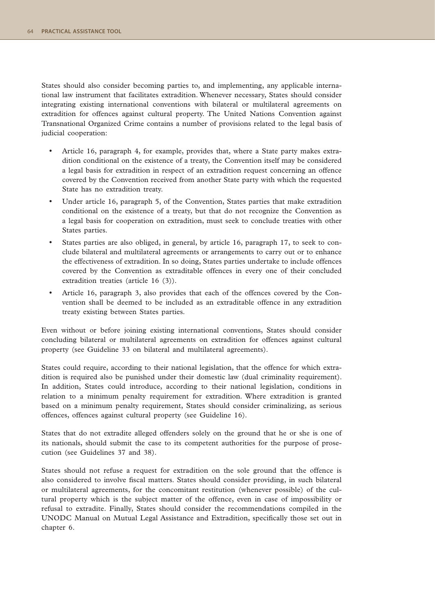States should also consider becoming parties to, and implementing, any applicable international law instrument that facilitates extradition. Whenever necessary, States should consider integrating existing international conventions with bilateral or multilateral agreements on extradition for offences against cultural property. The United Nations Convention against Transnational Organized Crime contains a number of provisions related to the legal basis of judicial cooperation:

- Article 16, paragraph 4, for example, provides that, where a State party makes extradition conditional on the existence of a treaty, the Convention itself may be considered a legal basis for extradition in respect of an extradition request concerning an offence covered by the Convention received from another State party with which the requested State has no extradition treaty.
- Under article 16, paragraph 5, of the Convention, States parties that make extradition conditional on the existence of a treaty, but that do not recognize the Convention as a legal basis for cooperation on extradition, must seek to conclude treaties with other States parties.
- States parties are also obliged, in general, by article 16, paragraph 17, to seek to conclude bilateral and multilateral agreements or arrangements to carry out or to enhance the effectiveness of extradition. In so doing, States parties undertake to include offences covered by the Convention as extraditable offences in every one of their concluded extradition treaties (article 16 (3)).
- Article 16, paragraph 3, also provides that each of the offences covered by the Convention shall be deemed to be included as an extraditable offence in any extradition treaty existing between States parties.

Even without or before joining existing international conventions, States should consider concluding bilateral or multilateral agreements on extradition for offences against cultural property (see Guideline 33 on bilateral and multilateral agreements).

States could require, according to their national legislation, that the offence for which extradition is required also be punished under their domestic law (dual criminality requirement). In addition, States could introduce, according to their national legislation, conditions in relation to a minimum penalty requirement for extradition. Where extradition is granted based on a minimum penalty requirement, States should consider criminalizing, as serious offences, offences against cultural property (see Guideline 16).

States that do not extradite alleged offenders solely on the ground that he or she is one of its nationals, should submit the case to its competent authorities for the purpose of prosecution (see Guidelines 37 and 38).

States should not refuse a request for extradition on the sole ground that the offence is also considered to involve fiscal matters. States should consider providing, in such bilateral or multilateral agreements, for the concomitant restitution (whenever possible) of the cultural property which is the subject matter of the offence, even in case of impossibility or refusal to extradite. Finally, States should consider the recommendations compiled in the UNODC Manual on Mutual Legal Assistance and Extradition, specifically those set out in chapter 6.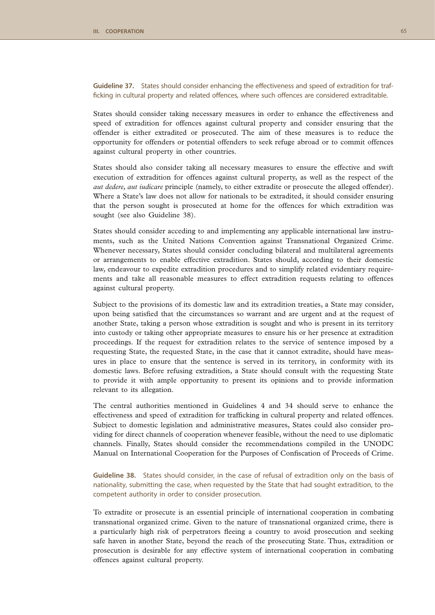**Guideline 37.** States should consider enhancing the effectiveness and speed of extradition for trafficking in cultural property and related offences, where such offences are considered extraditable.

States should consider taking necessary measures in order to enhance the effectiveness and speed of extradition for offences against cultural property and consider ensuring that the offender is either extradited or prosecuted. The aim of these measures is to reduce the opportunity for offenders or potential offenders to seek refuge abroad or to commit offences against cultural property in other countries.

States should also consider taking all necessary measures to ensure the effective and swift execution of extradition for offences against cultural property, as well as the respect of the *aut dedere, aut iudicare* principle (namely, to either extradite or prosecute the alleged offender). Where a State's law does not allow for nationals to be extradited, it should consider ensuring that the person sought is prosecuted at home for the offences for which extradition was sought (see also Guideline 38).

States should consider acceding to and implementing any applicable international law instruments, such as the United Nations Convention against Transnational Organized Crime. Whenever necessary, States should consider concluding bilateral and multilateral agreements or arrangements to enable effective extradition. States should, according to their domestic law, endeavour to expedite extradition procedures and to simplify related evidentiary requirements and take all reasonable measures to effect extradition requests relating to offences against cultural property.

Subject to the provisions of its domestic law and its extradition treaties, a State may consider, upon being satisfied that the circumstances so warrant and are urgent and at the request of another State, taking a person whose extradition is sought and who is present in its territory into custody or taking other appropriate measures to ensure his or her presence at extradition proceedings. If the request for extradition relates to the service of sentence imposed by a requesting State, the requested State, in the case that it cannot extradite, should have measures in place to ensure that the sentence is served in its territory, in conformity with its domestic laws. Before refusing extradition, a State should consult with the requesting State to provide it with ample opportunity to present its opinions and to provide information relevant to its allegation.

The central authorities mentioned in Guidelines 4 and 34 should serve to enhance the effectiveness and speed of extradition for trafficking in cultural property and related offences. Subject to domestic legislation and administrative measures, States could also consider providing for direct channels of cooperation whenever feasible, without the need to use diplomatic channels. Finally, States should consider the recommendations compiled in the UNODC Manual on International Cooperation for the Purposes of Confiscation of Proceeds of Crime.

**Guideline 38.** States should consider, in the case of refusal of extradition only on the basis of nationality, submitting the case, when requested by the State that had sought extradition, to the competent authority in order to consider prosecution.

To extradite or prosecute is an essential principle of international cooperation in combating transnational organized crime. Given to the nature of transnational organized crime, there is a particularly high risk of perpetrators fleeing a country to avoid prosecution and seeking safe haven in another State, beyond the reach of the prosecuting State. Thus, extradition or prosecution is desirable for any effective system of international cooperation in combating offences against cultural property.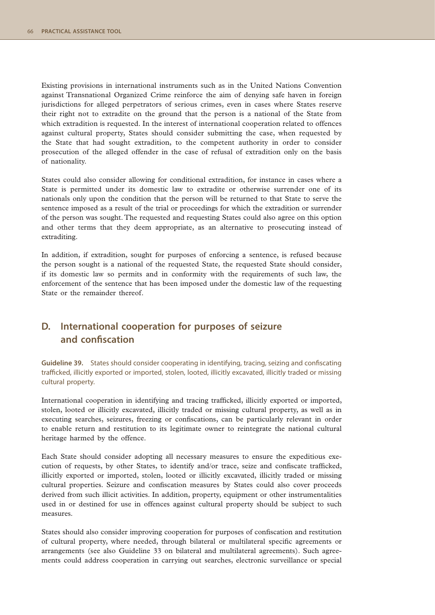Existing provisions in international instruments such as in the United Nations Convention against Transnational Organized Crime reinforce the aim of denying safe haven in foreign jurisdictions for alleged perpetrators of serious crimes, even in cases where States reserve their right not to extradite on the ground that the person is a national of the State from which extradition is requested. In the interest of international cooperation related to offences against cultural property, States should consider submitting the case, when requested by the State that had sought extradition, to the competent authority in order to consider prosecution of the alleged offender in the case of refusal of extradition only on the basis of nationality.

States could also consider allowing for conditional extradition, for instance in cases where a State is permitted under its domestic law to extradite or otherwise surrender one of its nationals only upon the condition that the person will be returned to that State to serve the sentence imposed as a result of the trial or proceedings for which the extradition or surrender of the person was sought. The requested and requesting States could also agree on this option and other terms that they deem appropriate, as an alternative to prosecuting instead of extraditing.

In addition, if extradition, sought for purposes of enforcing a sentence, is refused because the person sought is a national of the requested State, the requested State should consider, if its domestic law so permits and in conformity with the requirements of such law, the enforcement of the sentence that has been imposed under the domestic law of the requesting State or the remainder thereof.

# **D. International cooperation for purposes of seizure and confiscation**

**Guideline 39.** States should consider cooperating in identifying, tracing, seizing and confiscating trafficked, illicitly exported or imported, stolen, looted, illicitly excavated, illicitly traded or missing cultural property.

International cooperation in identifying and tracing trafficked, illicitly exported or imported, stolen, looted or illicitly excavated, illicitly traded or missing cultural property, as well as in executing searches, seizures, freezing or confiscations, can be particularly relevant in order to enable return and restitution to its legitimate owner to reintegrate the national cultural heritage harmed by the offence.

Each State should consider adopting all necessary measures to ensure the expeditious execution of requests, by other States, to identify and/or trace, seize and confiscate trafficked, illicitly exported or imported, stolen, looted or illicitly excavated, illicitly traded or missing cultural properties. Seizure and confiscation measures by States could also cover proceeds derived from such illicit activities. In addition, property, equipment or other instrumentalities used in or destined for use in offences against cultural property should be subject to such measures.

States should also consider improving cooperation for purposes of confiscation and restitution of cultural property, where needed, through bilateral or multilateral specific agreements or arrangements (see also Guideline 33 on bilateral and multilateral agreements). Such agreements could address cooperation in carrying out searches, electronic surveillance or special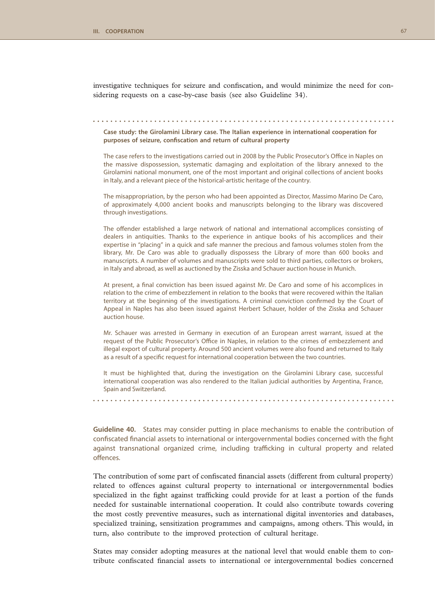investigative techniques for seizure and confiscation, and would minimize the need for considering requests on a case-by-case basis (see also Guideline 34).

and a share and a <u>. . . . . . . . . . . . .</u>

**Case study: the Girolamini Library case. The Italian experience in international cooperation for purposes of seizure, confiscation and return of cultural property**

The case refers to the investigations carried out in 2008 by the Public Prosecutor's Office in Naples on the massive dispossession, systematic damaging and exploitation of the library annexed to the Girolamini national monument, one of the most important and original collections of ancient books in Italy, and a relevant piece of the historical-artistic heritage of the country.

The misappropriation, by the person who had been appointed as Director, Massimo Marino De Caro, of approximately 4,000 ancient books and manuscripts belonging to the library was discovered through investigations.

The offender established a large network of national and international accomplices consisting of dealers in antiquities. Thanks to the experience in antique books of his accomplices and their expertise in "placing" in a quick and safe manner the precious and famous volumes stolen from the library, Mr. De Caro was able to gradually dispossess the Library of more than 600 books and manuscripts. A number of volumes and manuscripts were sold to third parties, collectors or brokers, in Italy and abroad, as well as auctioned by the Zisska and Schauer auction house in Munich.

At present, a final conviction has been issued against Mr. De Caro and some of his accomplices in relation to the crime of embezzlement in relation to the books that were recovered within the Italian territory at the beginning of the investigations. A criminal conviction confirmed by the Court of Appeal in Naples has also been issued against Herbert Schauer, holder of the Zisska and Schauer auction house.

Mr. Schauer was arrested in Germany in execution of an European arrest warrant, issued at the request of the Public Prosecutor's Office in Naples, in relation to the crimes of embezzlement and illegal export of cultural property. Around 500 ancient volumes were also found and returned to Italy as a result of a specific request for international cooperation between the two countries.

It must be highlighted that, during the investigation on the Girolamini Library case, successful international cooperation was also rendered to the Italian judicial authorities by Argentina, France, Spain and Switzerland.

**Guideline 40.** States may consider putting in place mechanisms to enable the contribution of confiscated financial assets to international or intergovernmental bodies concerned with the fight against transnational organized crime, including trafficking in cultural property and related offences.

The contribution of some part of confiscated financial assets (different from cultural property) related to offences against cultural property to international or intergovernmental bodies specialized in the fight against trafficking could provide for at least a portion of the funds needed for sustainable international cooperation. It could also contribute towards covering the most costly preventive measures, such as international digital inventories and databases, specialized training, sensitization programmes and campaigns, among others. This would, in turn, also contribute to the improved protection of cultural heritage.

States may consider adopting measures at the national level that would enable them to contribute confiscated financial assets to international or intergovernmental bodies concerned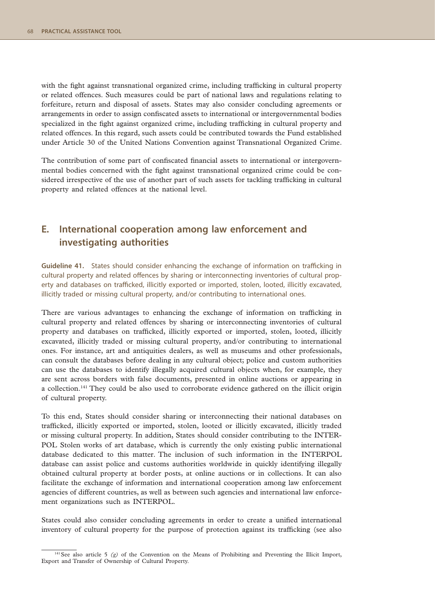with the fight against transnational organized crime, including trafficking in cultural property or related offences. Such measures could be part of national laws and regulations relating to forfeiture, return and disposal of assets. States may also consider concluding agreements or arrangements in order to assign confiscated assets to international or intergovernmental bodies specialized in the fight against organized crime, including trafficking in cultural property and related offences. In this regard, such assets could be contributed towards the Fund established under Article 30 of the United Nations Convention against Transnational Organized Crime.

The contribution of some part of confiscated financial assets to international or intergovernmental bodies concerned with the fight against transnational organized crime could be considered irrespective of the use of another part of such assets for tackling trafficking in cultural property and related offences at the national level.

# **E. International cooperation among law enforcement and investigating authorities**

**Guideline 41.** States should consider enhancing the exchange of information on trafficking in cultural property and related offences by sharing or interconnecting inventories of cultural property and databases on trafficked, illicitly exported or imported, stolen, looted, illicitly excavated, illicitly traded or missing cultural property, and/or contributing to international ones.

There are various advantages to enhancing the exchange of information on trafficking in cultural property and related offences by sharing or interconnecting inventories of cultural property and databases on trafficked, illicitly exported or imported, stolen, looted, illicitly excavated, illicitly traded or missing cultural property, and/or contributing to international ones. For instance, art and antiquities dealers, as well as museums and other professionals, can consult the databases before dealing in any cultural object; police and custom authorities can use the databases to identify illegally acquired cultural objects when, for example, they are sent across borders with false documents, presented in online auctions or appearing in a collection.141 They could be also used to corroborate evidence gathered on the illicit origin of cultural property.

To this end, States should consider sharing or interconnecting their national databases on trafficked, illicitly exported or imported, stolen, looted or illicitly excavated, illicitly traded or missing cultural property. In addition, States should consider contributing to the INTER-POL Stolen works of art database, which is currently the only existing public international database dedicated to this matter. The inclusion of such information in the INTERPOL database can assist police and customs authorities worldwide in quickly identifying illegally obtained cultural property at border posts, at online auctions or in collections. It can also facilitate the exchange of information and international cooperation among law enforcement agencies of different countries, as well as between such agencies and international law enforcement organizations such as INTERPOL.

States could also consider concluding agreements in order to create a unified international inventory of cultural property for the purpose of protection against its trafficking (see also

<sup>141</sup>See also article 5 *(g)* of the Convention on the Means of Prohibiting and Preventing the Illicit Import, Export and Transfer of Ownership of Cultural Property.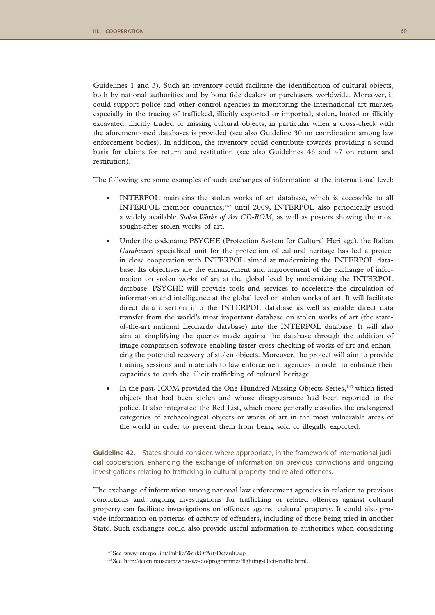Guidelines 1 and 3). Such an inventory could facilitate the identification of cultural objects, both by national authorities and by bona fide dealers or purchasers worldwide. Moreover, it could support police and other control agencies in monitoring the international art market, especially in the tracing of trafficked, illicitly exported or imported, stolen, looted or illicitly excavated, illicitly traded or missing cultural objects, in particular when a cross-check with the aforementioned databases is provided (see also Guideline 30 on coordination among law enforcement bodies). In addition, the inventory could contribute towards providing a sound basis for claims for return and restitution (see also Guidelines 46 and 47 on return and restitution).

The following are some examples of such exchanges of information at the international level:

- INTERPOL maintains the stolen works of art database, which is accessible to all INTERPOL member countries;<sup>142</sup> until 2009, INTERPOL also periodically issued a widely available *Stolen Works of Art CD-ROM*, as well as posters showing the most sought-after stolen works of art.
- Under the codename PSYCHE (Protection System for Cultural Heritage), the Italian *Carabinieri* specialized unit for the protection of cultural heritage has led a project in close cooperation with INTERPOL aimed at modernizing the INTERPOL database. Its objectives are the enhancement and improvement of the exchange of information on stolen works of art at the global level by modernizing the INTERPOL database. PSYCHE will provide tools and services to accelerate the circulation of information and intelligence at the global level on stolen works of art. It will facilitate direct data insertion into the INTERPOL database as well as enable direct data transfer from the world's most important database on stolen works of art (the stateof-the-art national Leonardo database) into the INTERPOL database. It will also aim at simplifying the queries made against the database through the addition of image comparison software enabling faster cross-checking of works of art and enhancing the potential recovery of stolen objects. Moreover, the project will aim to provide training sessions and materials to law enforcement agencies in order to enhance their capacities to curb the illicit trafficking of cultural heritage.
- In the past, ICOM provided the One-Hundred Missing Objects Series,<sup>143</sup> which listed objects that had been stolen and whose disappearance had been reported to the police. It also integrated the Red List, which more generally classifies the endangered categories of archaeological objects or works of art in the most vulnerable areas of the world in order to prevent them from being sold or illegally exported.

**Guideline 42.** States should consider, where appropriate, in the framework of international judicial cooperation, enhancing the exchange of information on previous convictions and ongoing investigations relating to trafficking in cultural property and related offences.

The exchange of information among national law enforcement agencies in relation to previous convictions and ongoing investigations for trafficking or related offences against cultural property can facilitate investigations on offences against cultural property. It could also provide information on patterns of activity of offenders, including of those being tried in another State. Such exchanges could also provide useful information to authorities when considering

<sup>&</sup>lt;sup>142</sup> See www.interpol.int/Public/WorkOfArt/Default.asp.

<sup>143</sup>See http://icom.museum/what-we-do/programmes/fighting-illicit-traffic.html.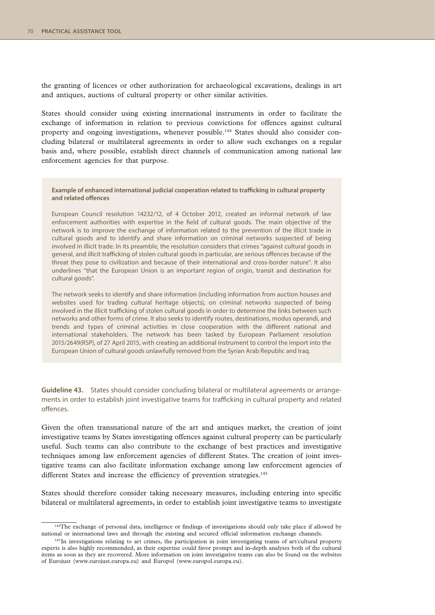the granting of licences or other authorization for archaeological excavations, dealings in art and antiques, auctions of cultural property or other similar activities.

States should consider using existing international instruments in order to facilitate the exchange of information in relation to previous convictions for offences against cultural property and ongoing investigations, whenever possible.144 States should also consider concluding bilateral or multilateral agreements in order to allow such exchanges on a regular basis and, where possible, establish direct channels of communication among national law enforcement agencies for that purpose.

**Example of enhanced international judicial cooperation related to trafficking in cultural property and related offences**

European Council resolution 14232/12, of 4 October 2012, created an informal network of law enforcement authorities with expertise in the field of cultural goods. The main objective of the network is to improve the exchange of information related to the prevention of the illicit trade in cultural goods and to identify and share information on criminal networks suspected of being involved in illicit trade. In its preamble, the resolution considers that crimes "against cultural goods in general, and illicit trafficking of stolen cultural goods in particular, are serious offences because of the threat they pose to civilization and because of their international and cross-border nature". It also underlines "that the European Union is an important region of origin, transit and destination for cultural goods".

The network seeks to identify and share information (including information from auction houses and websites used for trading cultural heritage objects), on criminal networks suspected of being involved in the illicit trafficking of stolen cultural goods in order to determine the links between such networks and other forms of crime. It also seeks to identify routes, destinations, modus operandi, and trends and types of criminal activities in close cooperation with the different national and international stakeholders. The network has been tasked by European Parliament resolution 2015/2649(RSP), of 27 April 2015, with creating an additional instrument to control the import into the European Union of cultural goods unlawfully removed from the Syrian Arab Republic and Iraq.

**Guideline 43.** States should consider concluding bilateral or multilateral agreements or arrangements in order to establish joint investigative teams for trafficking in cultural property and related offences.

Given the often transnational nature of the art and antiques market, the creation of joint investigative teams by States investigating offences against cultural property can be particularly useful. Such teams can also contribute to the exchange of best practices and investigative techniques among law enforcement agencies of different States. The creation of joint investigative teams can also facilitate information exchange among law enforcement agencies of different States and increase the efficiency of prevention strategies.<sup>145</sup>

States should therefore consider taking necessary measures, including entering into specific bilateral or multilateral agreements, in order to establish joint investigative teams to investigate

<sup>&</sup>lt;sup>144</sup>The exchange of personal data, intelligence or findings of investigations should only take place if allowed by national or international laws and through the existing and secured official information exchange channels.

 $145$  In investigations relating to art crimes, the participation in joint investigating teams of art/cultural property experts is also highly recommended, as their expertise could favor prompt and in-depth analyses both of the cultural items as soon as they are recovered. More information on joint investigative teams can also be found on the websites of Eurojust (www.eurojust.europa.eu) and Europol (www.europol.europa.eu).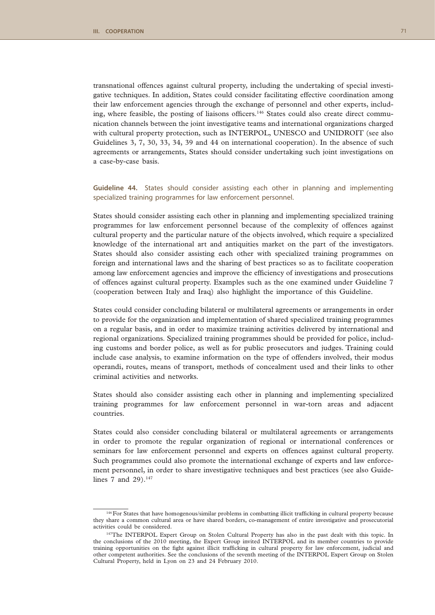transnational offences against cultural property, including the undertaking of special investigative techniques. In addition, States could consider facilitating effective coordination among their law enforcement agencies through the exchange of personnel and other experts, including, where feasible, the posting of liaisons officers.<sup>146</sup> States could also create direct communication channels between the joint investigative teams and international organizations charged with cultural property protection, such as INTERPOL, UNESCO and UNIDROIT (see also Guidelines 3, 7, 30, 33, 34, 39 and 44 on international cooperation). In the absence of such agreements or arrangements, States should consider undertaking such joint investigations on a case-by-case basis.

#### **Guideline 44.** States should consider assisting each other in planning and implementing specialized training programmes for law enforcement personnel.

States should consider assisting each other in planning and implementing specialized training programmes for law enforcement personnel because of the complexity of offences against cultural property and the particular nature of the objects involved, which require a specialized knowledge of the international art and antiquities market on the part of the investigators. States should also consider assisting each other with specialized training programmes on foreign and international laws and the sharing of best practices so as to facilitate cooperation among law enforcement agencies and improve the efficiency of investigations and prosecutions of offences against cultural property. Examples such as the one examined under Guideline 7 (cooperation between Italy and Iraq) also highlight the importance of this Guideline.

States could consider concluding bilateral or multilateral agreements or arrangements in order to provide for the organization and implementation of shared specialized training programmes on a regular basis, and in order to maximize training activities delivered by international and regional organizations. Specialized training programmes should be provided for police, including customs and border police, as well as for public prosecutors and judges. Training could include case analysis, to examine information on the type of offenders involved, their modus operandi, routes, means of transport, methods of concealment used and their links to other criminal activities and networks.

States should also consider assisting each other in planning and implementing specialized training programmes for law enforcement personnel in war-torn areas and adjacent countries.

States could also consider concluding bilateral or multilateral agreements or arrangements in order to promote the regular organization of regional or international conferences or seminars for law enforcement personnel and experts on offences against cultural property. Such programmes could also promote the international exchange of experts and law enforcement personnel, in order to share investigative techniques and best practices (see also Guidelines 7 and  $29$ ).<sup>147</sup>

<sup>&</sup>lt;sup>146</sup> For States that have homogenous/similar problems in combatting illicit trafficking in cultural property because they share a common cultural area or have shared borders, co-management of entire investigative and prosecutorial activities could be considered.

<sup>&</sup>lt;sup>147</sup>The INTERPOL Expert Group on Stolen Cultural Property has also in the past dealt with this topic. In the conclusions of the 2010 meeting, the Expert Group invited INTERPOL and its member countries to provide training opportunities on the fight against illicit trafficking in cultural property for law enforcement, judicial and other competent authorities. See the conclusions of the seventh meeting of the INTERPOL Expert Group on Stolen Cultural Property, held in Lyon on 23 and 24 February 2010.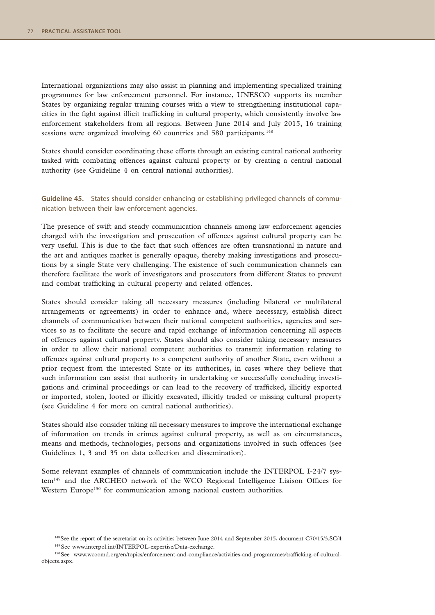International organizations may also assist in planning and implementing specialized training programmes for law enforcement personnel. For instance, UNESCO supports its member States by organizing regular training courses with a view to strengthening institutional capacities in the fight against illicit trafficking in cultural property, which consistently involve law enforcement stakeholders from all regions. Between June 2014 and July 2015, 16 training sessions were organized involving 60 countries and 580 participants.<sup>148</sup>

States should consider coordinating these efforts through an existing central national authority tasked with combating offences against cultural property or by creating a central national authority (see Guideline 4 on central national authorities).

**Guideline 45.** States should consider enhancing or establishing privileged channels of communication between their law enforcement agencies.

The presence of swift and steady communication channels among law enforcement agencies charged with the investigation and prosecution of offences against cultural property can be very useful. This is due to the fact that such offences are often transnational in nature and the art and antiques market is generally opaque, thereby making investigations and prosecutions by a single State very challenging. The existence of such communication channels can therefore facilitate the work of investigators and prosecutors from different States to prevent and combat trafficking in cultural property and related offences.

States should consider taking all necessary measures (including bilateral or multilateral arrangements or agreements) in order to enhance and, where necessary, establish direct channels of communication between their national competent authorities, agencies and services so as to facilitate the secure and rapid exchange of information concerning all aspects of offences against cultural property. States should also consider taking necessary measures in order to allow their national competent authorities to transmit information relating to offences against cultural property to a competent authority of another State, even without a prior request from the interested State or its authorities, in cases where they believe that such information can assist that authority in undertaking or successfully concluding investigations and criminal proceedings or can lead to the recovery of trafficked, illicitly exported or imported, stolen, looted or illicitly excavated, illicitly traded or missing cultural property (see Guideline 4 for more on central national authorities).

States should also consider taking all necessary measures to improve the international exchange of information on trends in crimes against cultural property, as well as on circumstances, means and methods, technologies, persons and organizations involved in such offences (see Guidelines 1, 3 and 35 on data collection and dissemination).

Some relevant examples of channels of communication include the INTERPOL I-24/7 system149 and the ARCHEO network of the WCO Regional Intelligence Liaison Offices for Western Europe<sup>150</sup> for communication among national custom authorities.

<sup>&</sup>lt;sup>148</sup>See the report of the secretariat on its activities between June 2014 and September 2015, document C70/15/3.SC/4

<sup>&</sup>lt;sup>149</sup> See www.interpol.int/INTERPOL-expertise/Data-exchange.

<sup>150</sup>See www.wcoomd.org/en/topics/enforcement-and-compliance/activities-and-programmes/trafficking-of-culturalobjects.aspx.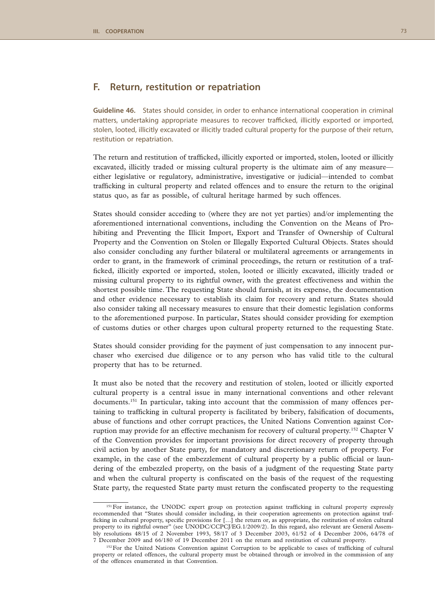## **F. Return, restitution or repatriation**

**Guideline 46.** States should consider, in order to enhance international cooperation in criminal matters, undertaking appropriate measures to recover trafficked, illicitly exported or imported, stolen, looted, illicitly excavated or illicitly traded cultural property for the purpose of their return, restitution or repatriation.

The return and restitution of trafficked, illicitly exported or imported, stolen, looted or illicitly excavated, illicitly traded or missing cultural property is the ultimate aim of any measure either legislative or regulatory, administrative, investigative or judicial—intended to combat trafficking in cultural property and related offences and to ensure the return to the original status quo, as far as possible, of cultural heritage harmed by such offences.

States should consider acceding to (where they are not yet parties) and/or implementing the aforementioned international conventions, including the Convention on the Means of Prohibiting and Preventing the Illicit Import, Export and Transfer of Ownership of Cultural Property and the Convention on Stolen or Illegally Exported Cultural Objects. States should also consider concluding any further bilateral or multilateral agreements or arrangements in order to grant, in the framework of criminal proceedings, the return or restitution of a trafficked, illicitly exported or imported, stolen, looted or illicitly excavated, illicitly traded or missing cultural property to its rightful owner, with the greatest effectiveness and within the shortest possible time. The requesting State should furnish, at its expense, the documentation and other evidence necessary to establish its claim for recovery and return. States should also consider taking all necessary measures to ensure that their domestic legislation conforms to the aforementioned purpose. In particular, States should consider providing for exemption of customs duties or other charges upon cultural property returned to the requesting State.

States should consider providing for the payment of just compensation to any innocent purchaser who exercised due diligence or to any person who has valid title to the cultural property that has to be returned.

It must also be noted that the recovery and restitution of stolen, looted or illicitly exported cultural property is a central issue in many international conventions and other relevant documents.151 In particular, taking into account that the commission of many offences pertaining to trafficking in cultural property is facilitated by bribery, falsification of documents, abuse of functions and other corrupt practices, the United Nations Convention against Corruption may provide for an effective mechanism for recovery of cultural property.152 Chapter V of the Convention provides for important provisions for direct recovery of property through civil action by another State party, for mandatory and discretionary return of property. For example, in the case of the embezzlement of cultural property by a public official or laundering of the embezzled property, on the basis of a judgment of the requesting State party and when the cultural property is confiscated on the basis of the request of the requesting State party, the requested State party must return the confiscated property to the requesting

<sup>&</sup>lt;sup>151</sup>For instance, the UNODC expert group on protection against trafficking in cultural property expressly recommended that "States should consider including, in their cooperation agreements on protection against trafficking in cultural property, specific provisions for […] the return or, as appropriate, the restitution of stolen cultural property to its rightful owner" (see UNODC/CCPCJ/EG.1/2009/2). In this regard, also relevant are General Assembly resolutions 48/15 of 2 November 1993, 58/17 of 3 December 2003, 61/52 of 4 December 2006, 64/78 of 7 December 2009 and 66/180 of 19 December 2011 on the return and restitution of cultural property.

<sup>&</sup>lt;sup>152</sup>For the United Nations Convention against Corruption to be applicable to cases of trafficking of cultural property or related offences, the cultural property must be obtained through or involved in the commission of any of the offences enumerated in that Convention.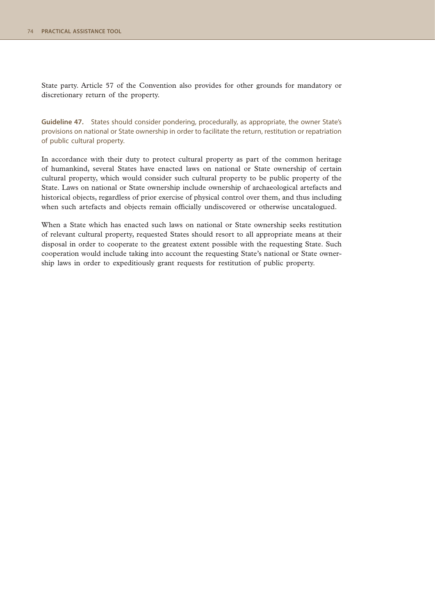State party. Article 57 of the Convention also provides for other grounds for mandatory or discretionary return of the property.

**Guideline 47.** States should consider pondering, procedurally, as appropriate, the owner State's provisions on national or State ownership in order to facilitate the return, restitution or repatriation of public cultural property.

In accordance with their duty to protect cultural property as part of the common heritage of humankind, several States have enacted laws on national or State ownership of certain cultural property, which would consider such cultural property to be public property of the State. Laws on national or State ownership include ownership of archaeological artefacts and historical objects, regardless of prior exercise of physical control over them, and thus including when such artefacts and objects remain officially undiscovered or otherwise uncatalogued.

When a State which has enacted such laws on national or State ownership seeks restitution of relevant cultural property, requested States should resort to all appropriate means at their disposal in order to cooperate to the greatest extent possible with the requesting State. Such cooperation would include taking into account the requesting State's national or State ownership laws in order to expeditiously grant requests for restitution of public property.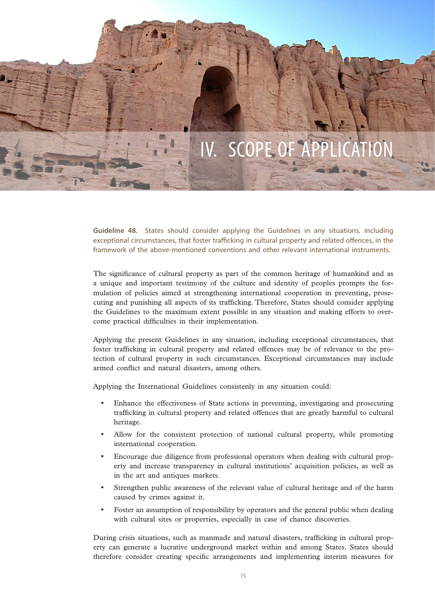# IV. SCOPE OF APPLICATIO

**Guideline 48.** States should consider applying the Guidelines in any situations, including exceptional circumstances, that foster trafficking in cultural property and related offences, in the framework of the above-mentioned conventions and other relevant international instruments.

The significance of cultural property as part of the common heritage of humankind and as a unique and important testimony of the culture and identity of peoples prompts the formulation of policies aimed at strengthening international cooperation in preventing, prosecuting and punishing all aspects of its trafficking. Therefore, States should consider applying the Guidelines to the maximum extent possible in any situation and making efforts to overcome practical difficulties in their implementation.

Applying the present Guidelines in any situation, including exceptional circumstances, that foster trafficking in cultural property and related offences may be of relevance to the protection of cultural property in such circumstances. Exceptional circumstances may include armed conflict and natural disasters, among others.

Applying the International Guidelines consistenly in any situation could:

- Enhance the effectiveness of State actions in preventing, investigating and prosecuting trafficking in cultural property and related offences that are greatly harmful to cultural heritage.
- Allow for the consistent protection of national cultural property, while promoting international cooperation.
- Encourage due diligence from professional operators when dealing with cultural property and increase transparency in cultural institutions' acquisition policies, as well as in the art and antiques markets.
- Strengthen public awareness of the relevant value of cultural heritage and of the harm caused by crimes against it.
- Foster an assumption of responsibility by operators and the general public when dealing with cultural sites or properties, especially in case of chance discoveries.

During crisis situations, such as manmade and natural disasters, trafficking in cultural property can generate a lucrative underground market within and among States. States should therefore consider creating specific arrangements and implementing interim measures for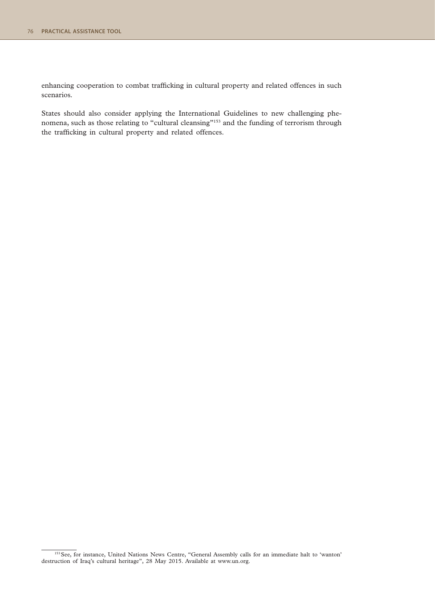enhancing cooperation to combat trafficking in cultural property and related offences in such scenarios.

States should also consider applying the International Guidelines to new challenging phenomena, such as those relating to "cultural cleansing"153 and the funding of terrorism through the trafficking in cultural property and related offences.

<sup>153</sup>See, for instance, United Nations News Centre, "General Assembly calls for an immediate halt to 'wanton' destruction of Iraq's cultural heritage", 28 May 2015. Available at www.un.org.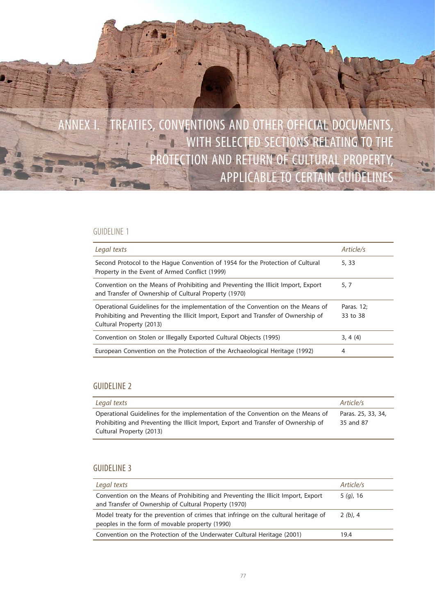ANNEX I. TREATIES, CONVENTIONS AND OTHER OFFICIAL DOCUMENTS, WITH SELECTED SECTIONS RELATING TO THE PROTECTION AND RETURN OF CULTURAL PROPERTY, APPLICABLE TO CERTAIN GUIDELINES**FR** 

# GUIDELINE 1

| Legal texts                                                                                                                                                                                       | Article/s              |
|---------------------------------------------------------------------------------------------------------------------------------------------------------------------------------------------------|------------------------|
| Second Protocol to the Hague Convention of 1954 for the Protection of Cultural<br>Property in the Event of Armed Conflict (1999)                                                                  | 5, 33                  |
| Convention on the Means of Prohibiting and Preventing the Illicit Import, Export<br>and Transfer of Ownership of Cultural Property (1970)                                                         | 5, 7                   |
| Operational Guidelines for the implementation of the Convention on the Means of<br>Prohibiting and Preventing the Illicit Import, Export and Transfer of Ownership of<br>Cultural Property (2013) | Paras. 12:<br>33 to 38 |
| Convention on Stolen or Illegally Exported Cultural Objects (1995)                                                                                                                                | 3, 4(4)                |
| European Convention on the Protection of the Archaeological Heritage (1992)                                                                                                                       | 4                      |

# GUIDELINE 2

| Legal texts                                                                                                                                                           | Article/s                       |
|-----------------------------------------------------------------------------------------------------------------------------------------------------------------------|---------------------------------|
| Operational Guidelines for the implementation of the Convention on the Means of<br>Prohibiting and Preventing the Illicit Import, Export and Transfer of Ownership of | Paras. 25, 33, 34,<br>35 and 87 |
| Cultural Property (2013)                                                                                                                                              |                                 |

| Legal texts                                                                                                                               | Article/s    |
|-------------------------------------------------------------------------------------------------------------------------------------------|--------------|
| Convention on the Means of Prohibiting and Preventing the Illicit Import, Export<br>and Transfer of Ownership of Cultural Property (1970) | $5 (q)$ , 16 |
| Model treaty for the prevention of crimes that infringe on the cultural heritage of<br>peoples in the form of movable property (1990)     | $2(b)$ , 4   |
| Convention on the Protection of the Underwater Cultural Heritage (2001)                                                                   | 19.4         |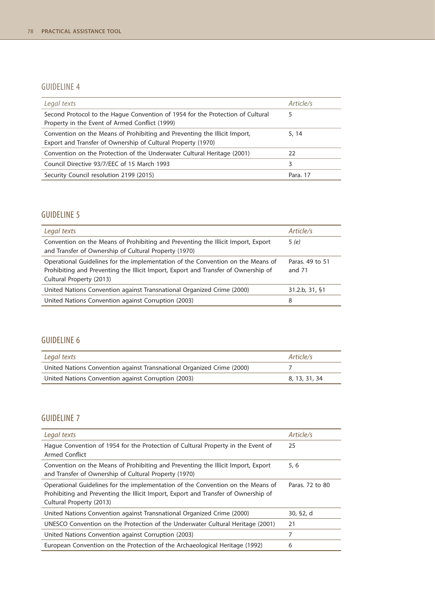| Legal texts                                                                                                                               | Article/s |
|-------------------------------------------------------------------------------------------------------------------------------------------|-----------|
| Second Protocol to the Hague Convention of 1954 for the Protection of Cultural<br>Property in the Event of Armed Conflict (1999)          | 5         |
| Convention on the Means of Prohibiting and Preventing the Illicit Import,<br>Export and Transfer of Ownership of Cultural Property (1970) | 5, 14     |
| Convention on the Protection of the Underwater Cultural Heritage (2001)                                                                   | 22        |
| Council Directive 93/7/EEC of 15 March 1993                                                                                               | 3         |
| Security Council resolution 2199 (2015)                                                                                                   | Para, 17  |

#### GUIDELINE 5

| Legal texts                                                                                                                                                                                       | Article/s                   |
|---------------------------------------------------------------------------------------------------------------------------------------------------------------------------------------------------|-----------------------------|
| Convention on the Means of Prohibiting and Preventing the Illicit Import, Export<br>and Transfer of Ownership of Cultural Property (1970)                                                         | 5 (e)                       |
| Operational Guidelines for the implementation of the Convention on the Means of<br>Prohibiting and Preventing the Illicit Import, Export and Transfer of Ownership of<br>Cultural Property (2013) | Paras, 49 to 51<br>and $71$ |
| United Nations Convention against Transnational Organized Crime (2000)                                                                                                                            | 31.2.b, 31, §1              |
| United Nations Convention against Corruption (2003)                                                                                                                                               | 8                           |

# GUIDELINE 6

| Legal texts                                                            | Article/s     |
|------------------------------------------------------------------------|---------------|
| United Nations Convention against Transnational Organized Crime (2000) |               |
| United Nations Convention against Corruption (2003)                    | 8, 13, 31, 34 |

| Legal texts                                                                                                                                                                                       | Article/s       |
|---------------------------------------------------------------------------------------------------------------------------------------------------------------------------------------------------|-----------------|
| Haque Convention of 1954 for the Protection of Cultural Property in the Event of<br>Armed Conflict                                                                                                | 25              |
| Convention on the Means of Prohibiting and Preventing the Illicit Import, Export<br>and Transfer of Ownership of Cultural Property (1970)                                                         | 5, 6            |
| Operational Guidelines for the implementation of the Convention on the Means of<br>Prohibiting and Preventing the Illicit Import, Export and Transfer of Ownership of<br>Cultural Property (2013) | Paras, 72 to 80 |
| United Nations Convention against Transnational Organized Crime (2000)                                                                                                                            | 30, §2, d       |
| UNESCO Convention on the Protection of the Underwater Cultural Heritage (2001)                                                                                                                    | 21              |
| United Nations Convention against Corruption (2003)                                                                                                                                               | 7               |
| European Convention on the Protection of the Archaeological Heritage (1992)                                                                                                                       | 6               |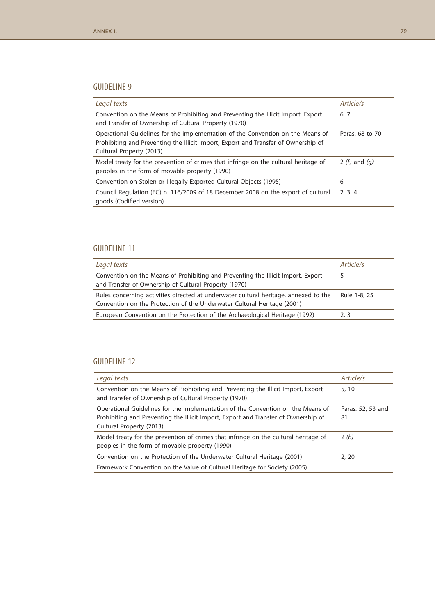| Legal texts                                                                                                                                                                                       | Article/s         |
|---------------------------------------------------------------------------------------------------------------------------------------------------------------------------------------------------|-------------------|
|                                                                                                                                                                                                   |                   |
| Convention on the Means of Prohibiting and Preventing the Illicit Import, Export<br>and Transfer of Ownership of Cultural Property (1970)                                                         | 6, 7              |
| Operational Guidelines for the implementation of the Convention on the Means of<br>Prohibiting and Preventing the Illicit Import, Export and Transfer of Ownership of<br>Cultural Property (2013) | Paras, 68 to 70   |
| Model treaty for the prevention of crimes that infringe on the cultural heritage of<br>peoples in the form of movable property (1990)                                                             | 2 $(f)$ and $(q)$ |
| Convention on Stolen or Illegally Exported Cultural Objects (1995)                                                                                                                                | 6                 |
| Council Regulation (EC) n. 116/2009 of 18 December 2008 on the export of cultural<br>goods (Codified version)                                                                                     | 2, 3, 4           |

# GUIDELINE 11

| Legal texts                                                                                                                                                     | Article/s    |
|-----------------------------------------------------------------------------------------------------------------------------------------------------------------|--------------|
| Convention on the Means of Prohibiting and Preventing the Illicit Import, Export<br>and Transfer of Ownership of Cultural Property (1970)                       | 5            |
| Rules concerning activities directed at underwater cultural heritage, annexed to the<br>Convention on the Protection of the Underwater Cultural Heritage (2001) | Rule 1-8, 25 |
| European Convention on the Protection of the Archaeological Heritage (1992)                                                                                     | 2, 3         |

| Legal texts                                                                                                                                                                                       | Article/s               |
|---------------------------------------------------------------------------------------------------------------------------------------------------------------------------------------------------|-------------------------|
| Convention on the Means of Prohibiting and Preventing the Illicit Import, Export<br>and Transfer of Ownership of Cultural Property (1970)                                                         | 5.10                    |
| Operational Guidelines for the implementation of the Convention on the Means of<br>Prohibiting and Preventing the Illicit Import, Export and Transfer of Ownership of<br>Cultural Property (2013) | Paras. 52, 53 and<br>81 |
| Model treaty for the prevention of crimes that infringe on the cultural heritage of<br>peoples in the form of movable property (1990)                                                             | 2(h)                    |
| Convention on the Protection of the Underwater Cultural Heritage (2001)                                                                                                                           | 2, 20                   |
| Framework Convention on the Value of Cultural Heritage for Society (2005)                                                                                                                         |                         |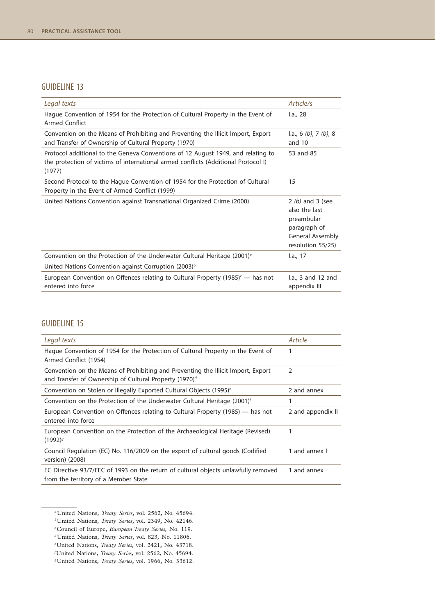| Legal texts                                                                                                                                                                      | Article/s                                                                                                       |
|----------------------------------------------------------------------------------------------------------------------------------------------------------------------------------|-----------------------------------------------------------------------------------------------------------------|
| Hague Convention of 1954 for the Protection of Cultural Property in the Event of<br>Armed Conflict                                                                               | I.a., 28                                                                                                        |
| Convention on the Means of Prohibiting and Preventing the Illicit Import, Export<br>and Transfer of Ownership of Cultural Property (1970)                                        | l.a., 6 (b), 7 (b), 8<br>and $10$                                                                               |
| Protocol additional to the Geneva Conventions of 12 August 1949, and relating to<br>the protection of victims of international armed conflicts (Additional Protocol I)<br>(1977) | 53 and 85                                                                                                       |
| Second Protocol to the Hague Convention of 1954 for the Protection of Cultural<br>Property in the Event of Armed Conflict (1999)                                                 | 15                                                                                                              |
| United Nations Convention against Transnational Organized Crime (2000)                                                                                                           | 2 (b) and 3 (see<br>also the last<br>preambular<br>paragraph of<br><b>General Assembly</b><br>resolution 55/25) |
| Convention on the Protection of the Underwater Cultural Heritage $(2001)^{a}$                                                                                                    | I.a., 17                                                                                                        |
| United Nations Convention against Corruption $(2003)^b$                                                                                                                          |                                                                                                                 |
| European Convention on Offences relating to Cultural Property $(1985)^{c}$ — has not<br>entered into force                                                                       | I.a., 3 and 12 and<br>appendix III                                                                              |

| Legal texts                                                                                                                                            | Article           |
|--------------------------------------------------------------------------------------------------------------------------------------------------------|-------------------|
| Hague Convention of 1954 for the Protection of Cultural Property in the Event of<br>Armed Conflict (1954)                                              | 1                 |
| Convention on the Means of Prohibiting and Preventing the Illicit Import, Export<br>and Transfer of Ownership of Cultural Property (1970) <sup>d</sup> | 2                 |
| Convention on Stolen or Illegally Exported Cultural Objects $(1995)^e$                                                                                 | 2 and annex       |
| Convention on the Protection of the Underwater Cultural Heritage $(2001)^f$                                                                            |                   |
| European Convention on Offences relating to Cultural Property (1985) — has not<br>entered into force                                                   | 2 and appendix II |
| European Convention on the Protection of the Archaeological Heritage (Revised)<br>$(1992)^{g}$                                                         |                   |
| Council Regulation (EC) No. 116/2009 on the export of cultural goods (Codified<br>version) (2008)                                                      | 1 and annex I     |
| EC Directive 93/7/EEC of 1993 on the return of cultural objects unlawfully removed<br>from the territory of a Member State                             | 1 and annex       |

*<sup>a</sup>*United Nations, *Treaty Series*, vol. 2562*,* No. 45694.

*<sup>b</sup>*United Nations, *Treaty Series*, vol. 2349*,* No. 42146.

*<sup>c</sup>*Council of Europe, *European Treaty Series,* No. 119.

*<sup>d</sup>*United Nations, *Treaty Series*, vol. 823*,* No. 11806.

*<sup>e</sup>*United Nations, *Treaty Series*, vol. 2421, No. 43718.

*f* United Nations, *Treaty Series*, vol. 2562, No. 45694.

*g*United Nations, *Treaty Series*, vol. 1966, No. 33612.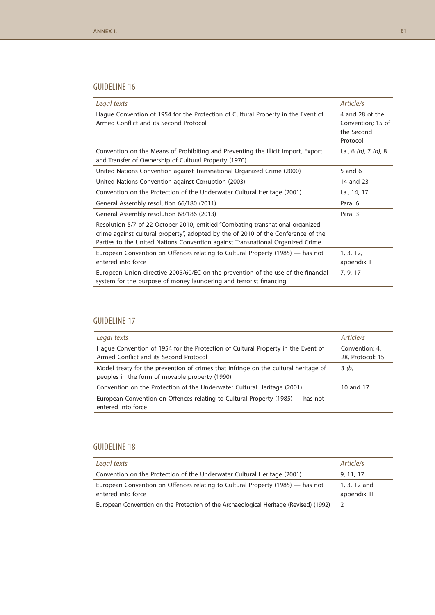| Legal texts                                                                                                                                                                                                                                           | Article/s                                                      |
|-------------------------------------------------------------------------------------------------------------------------------------------------------------------------------------------------------------------------------------------------------|----------------------------------------------------------------|
| Hague Convention of 1954 for the Protection of Cultural Property in the Event of<br>Armed Conflict and its Second Protocol                                                                                                                            | 4 and 28 of the<br>Convention; 15 of<br>the Second<br>Protocol |
| Convention on the Means of Prohibiting and Preventing the Illicit Import, Export<br>and Transfer of Ownership of Cultural Property (1970)                                                                                                             | l.a., $6(b)$ , $7(b)$ , $8$                                    |
| United Nations Convention against Transnational Organized Crime (2000)                                                                                                                                                                                | 5 and 6                                                        |
| United Nations Convention against Corruption (2003)                                                                                                                                                                                                   | 14 and 23                                                      |
| Convention on the Protection of the Underwater Cultural Heritage (2001)                                                                                                                                                                               | l.a., 14, 17                                                   |
| General Assembly resolution 66/180 (2011)                                                                                                                                                                                                             | Para, 6                                                        |
| General Assembly resolution 68/186 (2013)                                                                                                                                                                                                             | Para. 3                                                        |
| Resolution 5/7 of 22 October 2010, entitled "Combating transnational organized<br>crime against cultural property", adopted by the of 2010 of the Conference of the<br>Parties to the United Nations Convention against Transnational Organized Crime |                                                                |
| European Convention on Offences relating to Cultural Property (1985) — has not<br>entered into force                                                                                                                                                  | 1, 3, 12,<br>appendix II                                       |
| European Union directive 2005/60/EC on the prevention of the use of the financial<br>system for the purpose of money laundering and terrorist financing                                                                                               | 7, 9, 17                                                       |

## GUIDELINE 17

| Legal texts                                                                                                                           | Article/s                          |
|---------------------------------------------------------------------------------------------------------------------------------------|------------------------------------|
| Haque Convention of 1954 for the Protection of Cultural Property in the Event of<br>Armed Conflict and its Second Protocol            | Convention: 4,<br>28, Protocol: 15 |
| Model treaty for the prevention of crimes that infringe on the cultural heritage of<br>peoples in the form of movable property (1990) | 3(b)                               |
| Convention on the Protection of the Underwater Cultural Heritage (2001)                                                               | 10 and 17                          |
| European Convention on Offences relating to Cultural Property (1985) — has not<br>entered into force                                  |                                    |

| Legal texts                                                                                          | Article/s                    |
|------------------------------------------------------------------------------------------------------|------------------------------|
| Convention on the Protection of the Underwater Cultural Heritage (2001)                              | 9, 11, 17                    |
| European Convention on Offences relating to Cultural Property (1985) — has not<br>entered into force | 1, 3, 12 and<br>appendix III |
| European Convention on the Protection of the Archaeological Heritage (Revised) (1992)                |                              |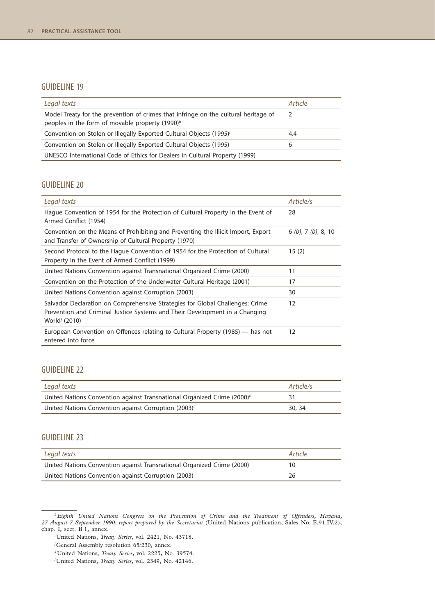| Legal texts                                                                                                                                        | Article |
|----------------------------------------------------------------------------------------------------------------------------------------------------|---------|
| Model Treaty for the prevention of crimes that infringe on the cultural heritage of<br>peoples in the form of movable property (1990) <sup>h</sup> | 2       |
| Convention on Stolen or Illegally Exported Cultural Objects (1995) <sup>i</sup>                                                                    | 4.4     |
| Convention on Stolen or Illegally Exported Cultural Objects (1995)                                                                                 | 6       |
| UNESCO International Code of Ethics for Dealers in Cultural Property (1999)                                                                        |         |

#### GUIDELINE 20

| Legal texts                                                                                                                                                                               | Article/s                  |
|-------------------------------------------------------------------------------------------------------------------------------------------------------------------------------------------|----------------------------|
| Haque Convention of 1954 for the Protection of Cultural Property in the Event of<br>Armed Conflict (1954)                                                                                 | 28                         |
| Convention on the Means of Prohibiting and Preventing the Illicit Import, Export<br>and Transfer of Ownership of Cultural Property (1970)                                                 | $(6)(b)$ , 7 $(b)$ , 8, 10 |
| Second Protocol to the Hague Convention of 1954 for the Protection of Cultural<br>Property in the Event of Armed Conflict (1999)                                                          | 15(2)                      |
| United Nations Convention against Transnational Organized Crime (2000)                                                                                                                    | 11                         |
| Convention on the Protection of the Underwater Cultural Heritage (2001)                                                                                                                   | 17                         |
| United Nations Convention against Corruption (2003)                                                                                                                                       | 30                         |
| Salvador Declaration on Comprehensive Strategies for Global Challenges: Crime<br>Prevention and Criminal Justice Systems and Their Development in a Changing<br>World <sup>j</sup> (2010) | 12                         |
| European Convention on Offences relating to Cultural Property (1985) — has not<br>entered into force                                                                                      | 12                         |

#### GUIDELINE 22

| Legal texts                                                                         | Article/s |
|-------------------------------------------------------------------------------------|-----------|
| United Nations Convention against Transnational Organized Crime (2000) <sup>k</sup> |           |
| United Nations Convention against Corruption (2003)'                                | 30.34     |

| Legal texts                                                            | Article |
|------------------------------------------------------------------------|---------|
| United Nations Convention against Transnational Organized Crime (2000) | 10      |
| United Nations Convention against Corruption (2003)                    | 26      |

*hEighth United Nations Congress on the Prevention of Crime and the Treatment of Offenders, Havana, 27 August-7 September 1990: report prepared by the Secretariat* (United Nations publication, Sales No. E.91.IV.2), chap. I, sect. B.1, annex.

*i* United Nations, *Treaty Series*, vol. 2421, No. 43718.

*j* General Assembly resolution 65/230, annex.

*<sup>k</sup>*United Nations, *Treaty Series*, vol. 2225, No. 39574.

*l* United Nations, *Treaty Series*, vol. 2349, No. 42146.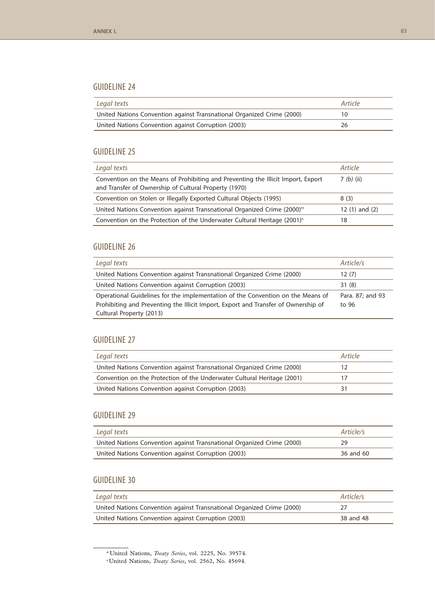| Legal texts                                                            | Article |
|------------------------------------------------------------------------|---------|
| United Nations Convention against Transnational Organized Crime (2000) |         |
| United Nations Convention against Corruption (2003)                    | 26      |

# GUIDELINE 25

| Legal texts                                                                                                                               | Article            |
|-------------------------------------------------------------------------------------------------------------------------------------------|--------------------|
| Convention on the Means of Prohibiting and Preventing the Illicit Import, Export<br>and Transfer of Ownership of Cultural Property (1970) | 7 (b) (ii)         |
| Convention on Stolen or Illegally Exported Cultural Objects (1995)                                                                        | 8(3)               |
| United Nations Convention against Transnational Organized Crime (2000) <sup>m</sup>                                                       | 12 $(1)$ and $(2)$ |
| Convention on the Protection of the Underwater Cultural Heritage (2001) <sup>n</sup>                                                      | 18                 |

#### GUIDELINE 26

| Legal texts                                                                                                                                                                                       | Article/s                 |
|---------------------------------------------------------------------------------------------------------------------------------------------------------------------------------------------------|---------------------------|
| United Nations Convention against Transnational Organized Crime (2000)                                                                                                                            | 12(7)                     |
| United Nations Convention against Corruption (2003)                                                                                                                                               | 31 (8)                    |
| Operational Guidelines for the implementation of the Convention on the Means of<br>Prohibiting and Preventing the Illicit Import, Export and Transfer of Ownership of<br>Cultural Property (2013) | Para. 87; and 93<br>to 96 |

#### GUIDELINE 27

| Legal texts                                                             | Article |
|-------------------------------------------------------------------------|---------|
| United Nations Convention against Transnational Organized Crime (2000)  |         |
| Convention on the Protection of the Underwater Cultural Heritage (2001) |         |
| United Nations Convention against Corruption (2003)                     | 31      |

#### GUIDELINE 29

| Legal texts                                                            | Article/s |
|------------------------------------------------------------------------|-----------|
| United Nations Convention against Transnational Organized Crime (2000) | 29        |
| United Nations Convention against Corruption (2003)                    | 36 and 60 |

| Legal texts                                                            | Article/s |
|------------------------------------------------------------------------|-----------|
| United Nations Convention against Transnational Organized Crime (2000) |           |
| United Nations Convention against Corruption (2003)                    | 38 and 48 |

*<sup>m</sup>*United Nations, *Treaty Series*, vol. 2225, No. 39574.

*n*United Nations, *Treaty Series*, vol. 2562, No. 45694.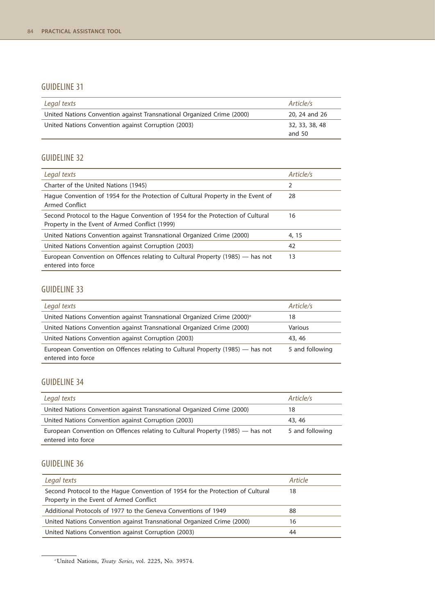| Legal texts                                                            | Article/s      |
|------------------------------------------------------------------------|----------------|
| United Nations Convention against Transnational Organized Crime (2000) | 20, 24 and 26  |
| United Nations Convention against Corruption (2003)                    | 32, 33, 38, 48 |
|                                                                        | and $50$       |

# GUIDELINE 32

| Legal texts                                                                                                                      | Article/s |
|----------------------------------------------------------------------------------------------------------------------------------|-----------|
| Charter of the United Nations (1945)                                                                                             | 2         |
| Hague Convention of 1954 for the Protection of Cultural Property in the Event of<br>Armed Conflict                               | 28        |
| Second Protocol to the Hague Convention of 1954 for the Protection of Cultural<br>Property in the Event of Armed Conflict (1999) | 16        |
| United Nations Convention against Transnational Organized Crime (2000)                                                           | 4, 15     |
| United Nations Convention against Corruption (2003)                                                                              | 42        |
| European Convention on Offences relating to Cultural Property (1985) — has not<br>entered into force                             | 13        |

# GUIDELINE 33

| Legal texts                                                                                          | Article/s       |
|------------------------------------------------------------------------------------------------------|-----------------|
| United Nations Convention against Transnational Organized Crime (2000) <sup>o</sup>                  | 18              |
| United Nations Convention against Transnational Organized Crime (2000)                               | Various         |
| United Nations Convention against Corruption (2003)                                                  | 43, 46          |
| European Convention on Offences relating to Cultural Property (1985) — has not<br>entered into force | 5 and following |

#### GUIDELINE 34

| Legal texts                                                                    | Article/s       |
|--------------------------------------------------------------------------------|-----------------|
| United Nations Convention against Transnational Organized Crime (2000)         | 18              |
| United Nations Convention against Corruption (2003)                            | 43, 46          |
| European Convention on Offences relating to Cultural Property (1985) — has not | 5 and following |
| entered into force                                                             |                 |

# GUIDELINE 36

| Legal texts                                                                    | Article |
|--------------------------------------------------------------------------------|---------|
| Second Protocol to the Hague Convention of 1954 for the Protection of Cultural | 18      |
| Property in the Event of Armed Conflict                                        |         |
| Additional Protocols of 1977 to the Geneva Conventions of 1949                 | 88      |
| United Nations Convention against Transnational Organized Crime (2000)         | 16      |
| United Nations Convention against Corruption (2003)                            | 44      |

*o*United Nations, *Treaty Series*, vol. 2225, No. 39574.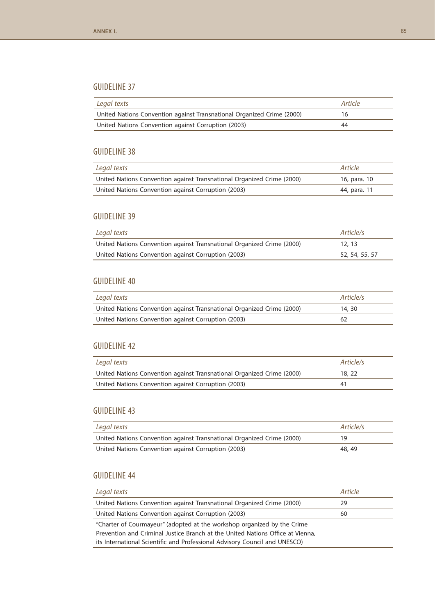| Legal texts                                                            | Article |
|------------------------------------------------------------------------|---------|
| United Nations Convention against Transnational Organized Crime (2000) | 16      |
| United Nations Convention against Corruption (2003)                    | 44      |

# GUIDELINE 38

| Legal texts                                                            | Article      |
|------------------------------------------------------------------------|--------------|
| United Nations Convention against Transnational Organized Crime (2000) | 16, para. 10 |
| United Nations Convention against Corruption (2003)                    | 44, para. 11 |

#### GUIDELINE 39

| Legal texts                                                            | Article/s      |
|------------------------------------------------------------------------|----------------|
| United Nations Convention against Transnational Organized Crime (2000) | 12.13          |
| United Nations Convention against Corruption (2003)                    | 52, 54, 55, 57 |

# GUIDELINE 40

| Legal texts                                                            | Article/s |
|------------------------------------------------------------------------|-----------|
| United Nations Convention against Transnational Organized Crime (2000) | 14, 30    |
| United Nations Convention against Corruption (2003)                    | 62        |

#### GUIDELINE 42

| Legal texts                                                            | Article/s |
|------------------------------------------------------------------------|-----------|
| United Nations Convention against Transnational Organized Crime (2000) | 18.22     |
| United Nations Convention against Corruption (2003)                    | 41        |

#### GUIDELINE 43

| Legal texts                                                            | Article/s |
|------------------------------------------------------------------------|-----------|
| United Nations Convention against Transnational Organized Crime (2000) | 1 Q       |
| United Nations Convention against Corruption (2003)                    | 48.49     |

| Legal texts                                                                    | Article |
|--------------------------------------------------------------------------------|---------|
| United Nations Convention against Transnational Organized Crime (2000)         | 29      |
| United Nations Convention against Corruption (2003)                            | 60      |
| "Charter of Courmayeur" (adopted at the workshop organized by the Crime        |         |
| Prevention and Criminal Justice Branch at the United Nations Office at Vienna, |         |
| its International Scientific and Professional Advisory Council and UNESCO)     |         |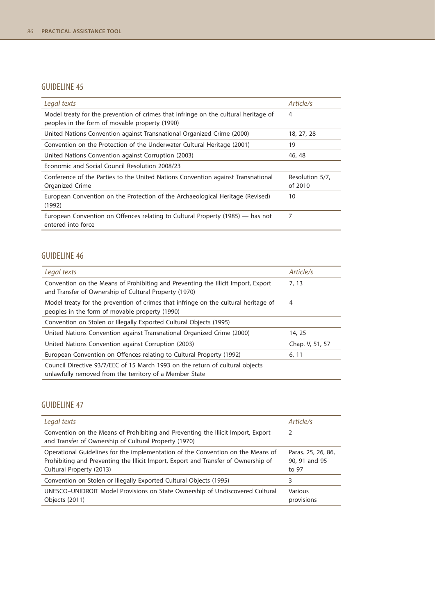| Legal texts                                                                                                                           | Article/s                  |
|---------------------------------------------------------------------------------------------------------------------------------------|----------------------------|
| Model treaty for the prevention of crimes that infringe on the cultural heritage of<br>peoples in the form of movable property (1990) | 4                          |
| United Nations Convention against Transnational Organized Crime (2000)                                                                | 18, 27, 28                 |
| Convention on the Protection of the Underwater Cultural Heritage (2001)                                                               | 19                         |
| United Nations Convention against Corruption (2003)                                                                                   | 46, 48                     |
| Economic and Social Council Resolution 2008/23                                                                                        |                            |
| Conference of the Parties to the United Nations Convention against Transnational<br>Organized Crime                                   | Resolution 5/7.<br>of 2010 |
| European Convention on the Protection of the Archaeological Heritage (Revised)<br>(1992)                                              | 10                         |
| European Convention on Offences relating to Cultural Property (1985) — has not<br>entered into force                                  | 7                          |

# GUIDELINE 46

| Legal texts                                                                                                                               | Article/s       |
|-------------------------------------------------------------------------------------------------------------------------------------------|-----------------|
| Convention on the Means of Prohibiting and Preventing the Illicit Import, Export<br>and Transfer of Ownership of Cultural Property (1970) | 7, 13           |
| Model treaty for the prevention of crimes that infringe on the cultural heritage of<br>peoples in the form of movable property (1990)     | 4               |
| Convention on Stolen or Illegally Exported Cultural Objects (1995)                                                                        |                 |
| United Nations Convention against Transnational Organized Crime (2000)                                                                    | 14, 25          |
| United Nations Convention against Corruption (2003)                                                                                       | Chap. V, 51, 57 |
| European Convention on Offences relating to Cultural Property (1992)                                                                      | 6, 11           |
| Council Directive 93/7/EEC of 15 March 1993 on the return of cultural objects<br>unlawfully removed from the territory of a Member State  |                 |

| Legal texts                                                                                                                                                                                       | Article/s                                    |
|---------------------------------------------------------------------------------------------------------------------------------------------------------------------------------------------------|----------------------------------------------|
| Convention on the Means of Prohibiting and Preventing the Illicit Import, Export<br>and Transfer of Ownership of Cultural Property (1970)                                                         | 2                                            |
| Operational Guidelines for the implementation of the Convention on the Means of<br>Prohibiting and Preventing the Illicit Import, Export and Transfer of Ownership of<br>Cultural Property (2013) | Paras. 25, 26, 86,<br>90, 91 and 95<br>to 97 |
| Convention on Stolen or Illegally Exported Cultural Objects (1995)                                                                                                                                | 3                                            |
| UNESCO-UNIDROIT Model Provisions on State Ownership of Undiscovered Cultural<br>Objects (2011)                                                                                                    | Various<br>provisions                        |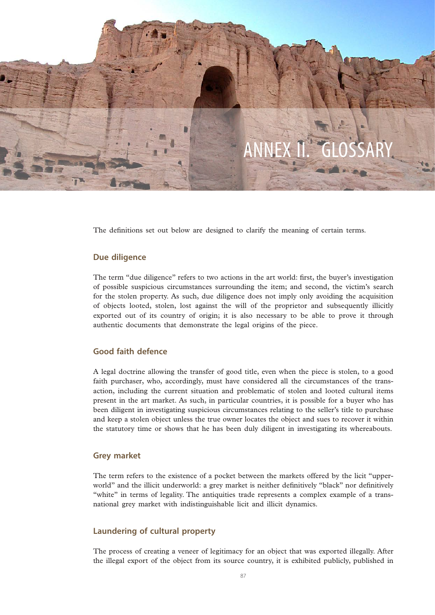

The definitions set out below are designed to clarify the meaning of certain terms.

#### **Due diligence**

The term "due diligence" refers to two actions in the art world: first, the buyer's investigation of possible suspicious circumstances surrounding the item; and second, the victim's search for the stolen property. As such, due diligence does not imply only avoiding the acquisition of objects looted, stolen, lost against the will of the proprietor and subsequently illicitly exported out of its country of origin; it is also necessary to be able to prove it through authentic documents that demonstrate the legal origins of the piece.

#### **Good faith defence**

A legal doctrine allowing the transfer of good title, even when the piece is stolen, to a good faith purchaser, who, accordingly, must have considered all the circumstances of the transaction, including the current situation and problematic of stolen and looted cultural items present in the art market. As such, in particular countries, it is possible for a buyer who has been diligent in investigating suspicious circumstances relating to the seller's title to purchase and keep a stolen object unless the true owner locates the object and sues to recover it within the statutory time or shows that he has been duly diligent in investigating its whereabouts.

#### **Grey market**

The term refers to the existence of a pocket between the markets offered by the licit "upperworld" and the illicit underworld: a grey market is neither definitively "black" nor definitively "white" in terms of legality. The antiquities trade represents a complex example of a transnational grey market with indistinguishable licit and illicit dynamics.

#### **Laundering of cultural property**

The process of creating a veneer of legitimacy for an object that was exported illegally. After the illegal export of the object from its source country, it is exhibited publicly, published in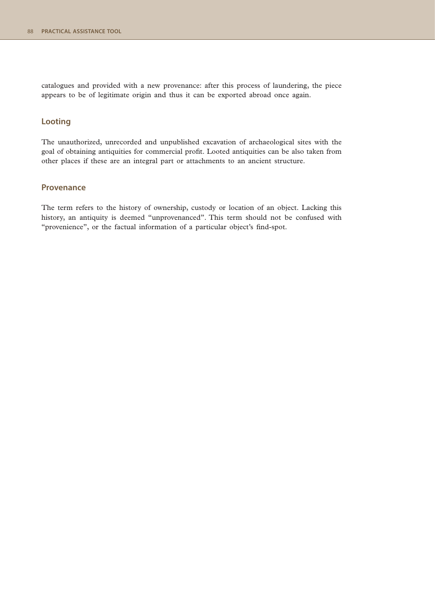catalogues and provided with a new provenance: after this process of laundering, the piece appears to be of legitimate origin and thus it can be exported abroad once again.

#### **Looting**

The unauthorized, unrecorded and unpublished excavation of archaeological sites with the goal of obtaining antiquities for commercial profit. Looted antiquities can be also taken from other places if these are an integral part or attachments to an ancient structure.

#### **Provenance**

The term refers to the history of ownership, custody or location of an object. Lacking this history, an antiquity is deemed "unprovenanced". This term should not be confused with "provenience", or the factual information of a particular object's find-spot.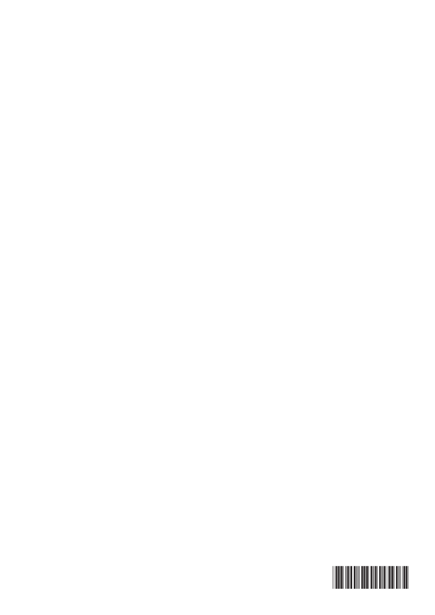